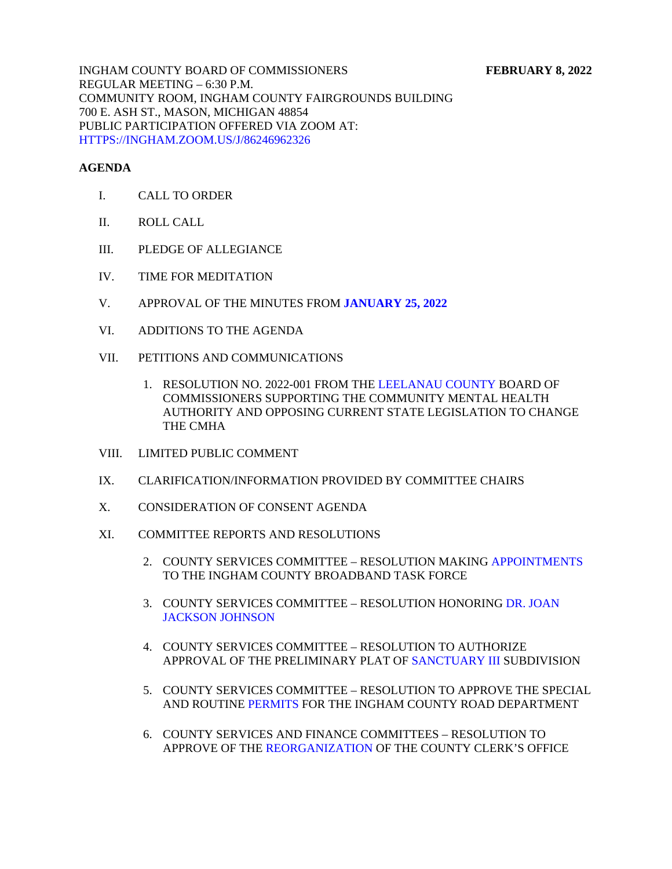INGHAM COUNTY BOARD OF COMMISSIONERS **FEBRUARY 8, 2022**  REGULAR MEETING – 6:30 P.M. COMMUNITY ROOM, INGHAM COUNTY FAIRGROUNDS BUILDING 700 E. ASH ST., MASON, MICHIGAN 48854 PUBLIC PARTICIPATION OFFERED VIA ZOOM AT: [HTTPS://INGHAM.ZOOM.US/J/86246962326](https://ingham.zoom.us/J/86246962326)

#### **AGENDA**

- I. CALL TO ORDER
- II. ROLL CALL
- III. PLEDGE OF ALLEGIANCE
- IV. TIME FOR MEDITATION
- V. APPROVAL OF THE MINUTES FROM **[JANUARY 25, 2022](#page-3-0)**
- VI. ADDITIONS TO THE AGENDA
- VII. PETITIONS AND COMMUNICATIONS
	- 1. RESOLUTION NO. 2022-001 FROM THE LEELANAU COUNTY BOARD OF COMMISSIONERS SUPPORTING [THE COMMUNITY MENTAL HE](#page--1-0)ALTH AUTHORITY AND OPPOSI[NG CURRENT STATE LEGISLATION TO CHANGE](#page-90-0) THE CMHA
- VIII. LIMITED PUBLIC COMMENT
- IX. CLARIFICATION/INFORMATION PROVIDED BY COMMITTEE CHAIRS
- X. CONSIDERATION OF CONSENT AGENDA
- XI. COMMITTEE REPORTS AND RESOLUTIONS
	- 2. COUNTY SERVICES COMMITTEE RESOLUTION MA[KING APPOINTMENTS](#page-93-0) TO THE INGHAM COUNTY BROADBAND TASK FORCE
	- 3. [COUNTY SERVICES COMMITTEE RESOLUTION HONORING DR. JOAN](#page-95-0) JACKSON JOHNSON
	- 4. COUNTY SERVICES COMMITTEE RESOLUTION TO AUTHORIZE APPROVAL OF THE PRELIMINARY PLAT [OF SANCTUARY III SUBDIV](#page-96-0)ISION
	- 5. COUNTY SERVICES COMMITTEE RESOLUTION TO APPROVE THE SPECIAL AND ROUT[INE PERMITS FOR T](#page-97-0)HE INGHAM COUNTY ROAD DEPARTMENT
	- 6. COUNTY SERVICES AND FINANCE COMMITTEES RESOLUTION TO APPROVE OF [THE REORGANIZATION OF T](#page-100-0)HE COUNTY CLERK'S OFFICE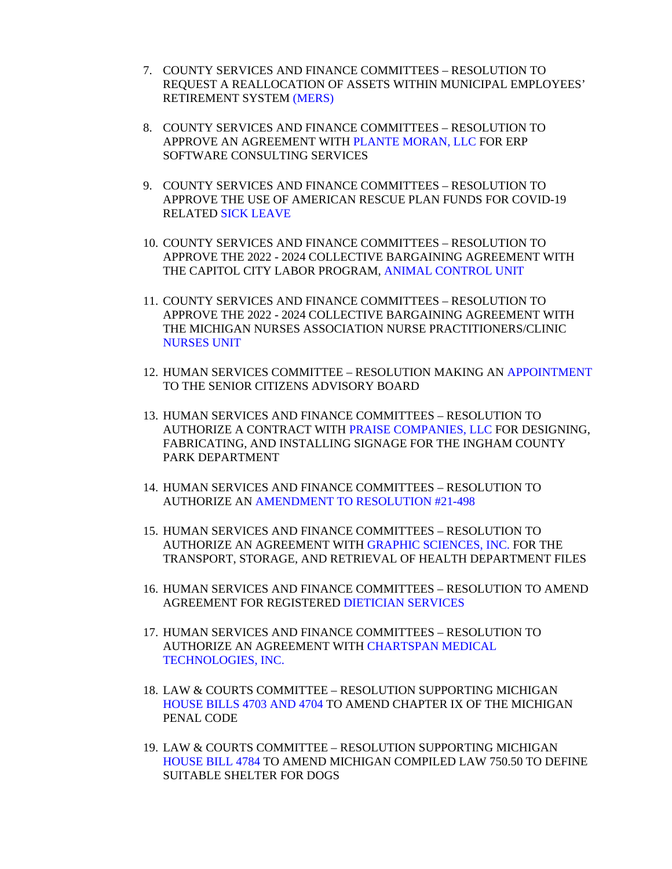- 7. COUNTY SERVICES AND FINANCE COMMITTEES RESOLUTION TO REQUEST A R[EALLOCATION OF](#page-102-0) ASSETS WITHIN MUNICIPAL EMPLOYEES' RETIREMENT SYSTEM (MERS)
- 8. COUNTY SERVICES AND FINANCE COMMITTEES RESOLUTION TO APPROVE AN AGREEMENT WI[TH PLANTE MORAN, LLC](#page-104-0) FOR ERP SOFTWARE CONSULTING SERVICES
- 9. COUNTY SERVICES AND FINANCE COMMITTEES RESOLUTION TO APPROVE THE USE OF AMERICAN RESCUE PLAN FUNDS FOR COVID-19 RELA[TED SICK LEAVE](#page-105-0)
- 10. COUNTY SERVICES AND FINANCE COMMITTEES RESOLUTION TO APPROVE THE 2022 - 2024 COLLECTIVE [BARGAINING AGREEMENT W](#page-106-0)ITH THE CAPITOL CITY LABOR PROGRAM, ANIMAL CONTROL UNIT
- 11. COUNTY SERVICES AND FINANCE COMMITTEES RESOLUTION TO APPROVE THE 2022 - 2024 COLLECTIVE BARGAINING AGREEMENT WITH [THE MICHIGAN NURSE](#page-107-0)S ASSOCIATION NURSE PRACTITIONERS/CLINIC NURSES UNIT
- 12. HUMAN SERVICES COMMITTEE RESOLUTION MAKING [AN APPOINTMENT](#page-108-0) TO THE SENIOR CITIZENS ADVISORY BOARD
- 13. HUMAN SERVICES AND FINANCE COMMITTEES RESOLUTION TO AUTHORIZE A CONTRACT WITH PRAISE COMPANIES, LLC FOR DESIGNING, FABRICATING, AND INSTAL[LING SIGNAGE FOR THE INGHAM C](#page-109-0)OUNTY PARK DEPARTMENT
- 14. HUMAN SERVI[CES AND FINANCE COMMITTEES RESOLUTION](#page-110-0) TO AUTHORIZE AN AMENDMENT TO RESOLUTION #21-498
- 15. HUMAN SERVICES AND FINANCE COMMITTEES RESOLUTION TO AUTHORIZE AN AGREEMENT WITH GRAPHIC SCIENCES, INC. FOR THE TRANSPORT, STORAGE, AND RETRIEVAL OF [HEALTH DEPARTMEN](#page-111-0)T FILES
- 16. HUMAN SERVICES AND FINANCE COMMITTEES RESOLUTION TO AMEND AGREEMENT FOR REGISTER[ED DIETICIAN SERVICES](#page-113-0)
- 17. HUMAN SERVICES AND FINANCE COMMITTEES RESOLUTION TO AUTHORIZE [AN AGREEMENT WITH CHARTSPAN MEDICAL](#page-114-0) TECHNOLOGIES, INC.
- 18. LAW & COURTS COMMITTEE RESOLUTION SUPPORTING MICHIGAN [HOUSE BILLS 4703 AND 4704 TO AMEND C](#page-115-0)HAPTER IX OF THE MICHIGAN PENAL CODE
- 19. LAW & COURTS COMMITTEE RESOLUTION SUPPORTING MICHIGAN [HOUSE BILL 4784 TO AM](#page-116-0)END MICHIGAN COMPILED LAW 750.50 TO DEFINE SUITABLE SHELTER FOR DOGS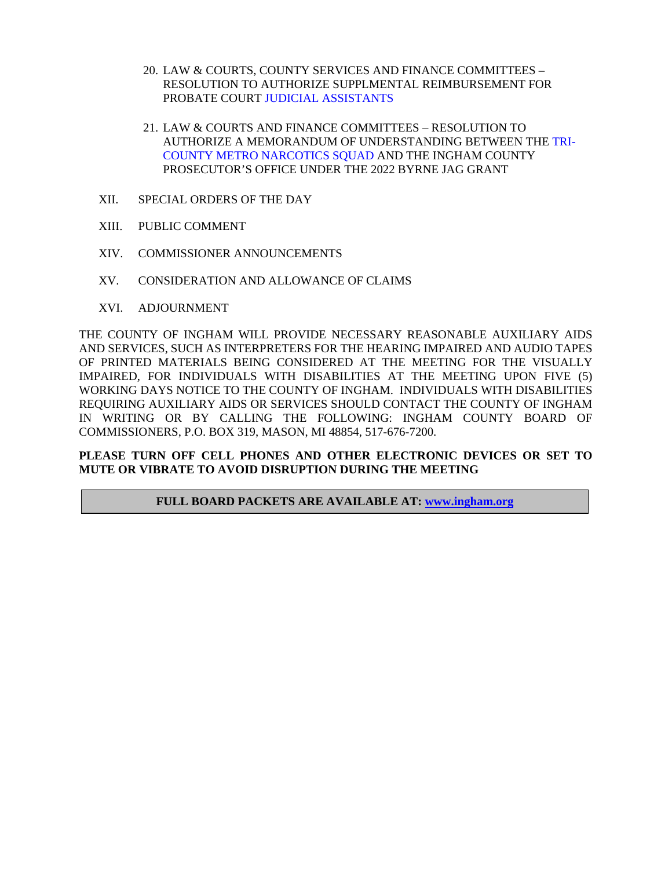- 20. LAW & COURTS, COUNTY SERVICES AND FINANCE COMMITTEES RESOLUTION [TO AUTHORIZE SUPPLMENTAL](#page-117-0) REIMBURSEMENT FOR PROBATE COURT JUDICIAL ASSISTANTS
- 21. LAW & COURTS AND FINANCE COMMITTEES RESOLUTION TO [AUTHORIZE A MEMORANDUM OF UNDERSTANDING BETWEEN THE TRI-](#page-118-0)COUNTY METRO NARCOTICS SQUAD AND THE INGHAM COUNTY PROSECUTOR'S OFFICE UNDER THE 2022 BYRNE JAG GRANT
- XII. SPECIAL ORDERS OF THE DAY
- XIII. PUBLIC COMMENT
- XIV. COMMISSIONER ANNOUNCEMENTS
- XV. CONSIDERATION AND ALLOWANCE OF CLAIMS
- XVI. ADJOURNMENT

THE COUNTY OF INGHAM WILL PROVIDE NECESSARY REASONABLE AUXILIARY AIDS AND SERVICES, SUCH AS INTERPRETERS FOR THE HEARING IMPAIRED AND AUDIO TAPES OF PRINTED MATERIALS BEING CONSIDERED AT THE MEETING FOR THE VISUALLY IMPAIRED, FOR INDIVIDUALS WITH DISABILITIES AT THE MEETING UPON FIVE (5) WORKING DAYS NOTICE TO THE COUNTY OF INGHAM. INDIVIDUALS WITH DISABILITIES REQUIRING AUXILIARY AIDS OR SERVICES SHOULD CONTACT THE COUNTY OF INGHAM IN WRITING OR BY CALLING THE FOLLOWING: INGHAM COUNTY BOARD OF COMMISSIONERS, P.O. BOX 319, MASON, MI 48854, 517-676-7200.

#### **PLEASE TURN OFF CELL PHONES AND OTHER ELECTRONIC DEVICES OR SET TO MUTE OR VIBRATE TO AVOID DISRUPTION DURING THE MEETING**

#### **FULL BOARD PACKETS ARE AVAILABLE AT: www.ingham.org**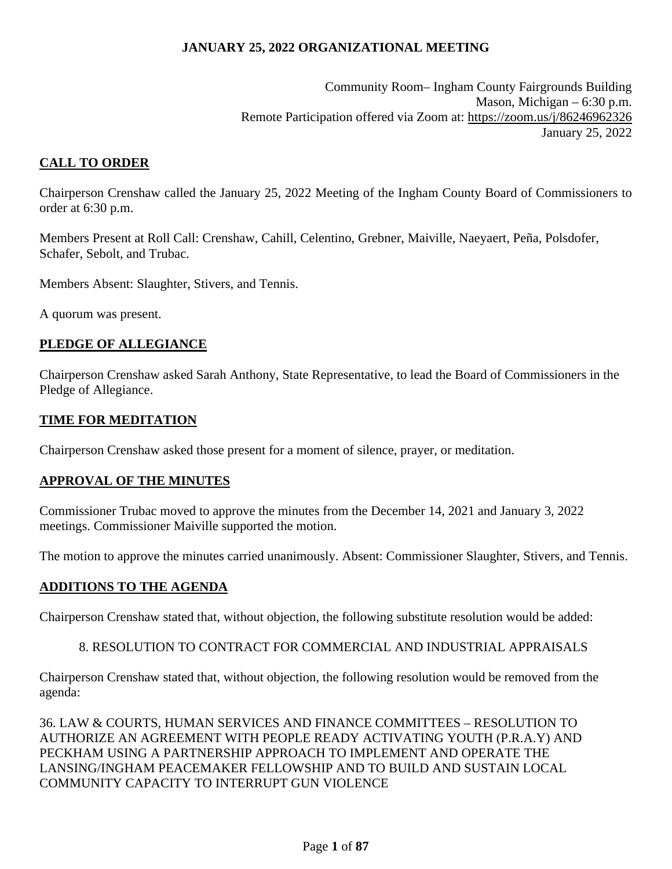Community Room– Ingham County Fairgrounds Building Mason, Michigan – 6:30 p.m. Remote Participation offered via Zoom at: https://zoom.us/j/86246962326 January 25, 2022

# <span id="page-3-0"></span>**CALL TO ORDER**

Chairperson Crenshaw called the January 25, 2022 Meeting of the Ingham County Board of Commissioners to order at 6:30 p.m.

Members Present at Roll Call: Crenshaw, Cahill, Celentino, Grebner, Maiville, Naeyaert, Peña, Polsdofer, Schafer, Sebolt, and Trubac.

Members Absent: Slaughter, Stivers, and Tennis.

A quorum was present.

### **PLEDGE OF ALLEGIANCE**

Chairperson Crenshaw asked Sarah Anthony, State Representative, to lead the Board of Commissioners in the Pledge of Allegiance.

### **TIME FOR MEDITATION**

Chairperson Crenshaw asked those present for a moment of silence, prayer, or meditation.

### **APPROVAL OF THE MINUTES**

Commissioner Trubac moved to approve the minutes from the December 14, 2021 and January 3, 2022 meetings. Commissioner Maiville supported the motion.

The motion to approve the minutes carried unanimously. Absent: Commissioner Slaughter, Stivers, and Tennis.

#### **ADDITIONS TO THE AGENDA**

Chairperson Crenshaw stated that, without objection, the following substitute resolution would be added:

#### 8. RESOLUTION TO CONTRACT FOR COMMERCIAL AND INDUSTRIAL APPRAISALS

Chairperson Crenshaw stated that, without objection, the following resolution would be removed from the agenda:

36. LAW & COURTS, HUMAN SERVICES AND FINANCE COMMITTEES – RESOLUTION TO AUTHORIZE AN AGREEMENT WITH PEOPLE READY ACTIVATING YOUTH (P.R.A.Y) AND PECKHAM USING A PARTNERSHIP APPROACH TO IMPLEMENT AND OPERATE THE LANSING/INGHAM PEACEMAKER FELLOWSHIP AND TO BUILD AND SUSTAIN LOCAL COMMUNITY CAPACITY TO INTERRUPT GUN VIOLENCE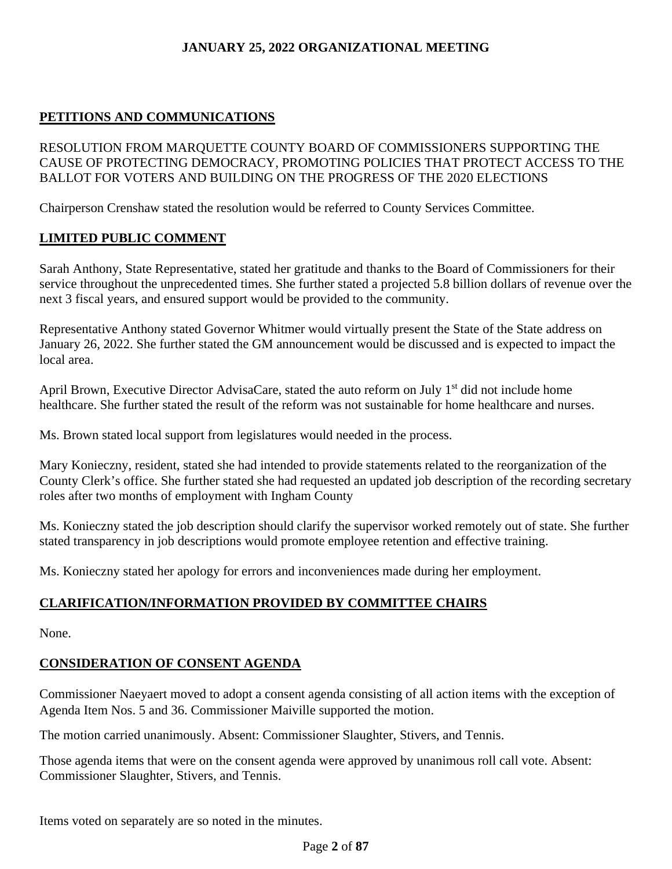# **PETITIONS AND COMMUNICATIONS**

RESOLUTION FROM MARQUETTE COUNTY BOARD OF COMMISSIONERS SUPPORTING THE CAUSE OF PROTECTING DEMOCRACY, PROMOTING POLICIES THAT PROTECT ACCESS TO THE BALLOT FOR VOTERS AND BUILDING ON THE PROGRESS OF THE 2020 ELECTIONS

Chairperson Crenshaw stated the resolution would be referred to County Services Committee.

# **LIMITED PUBLIC COMMENT**

Sarah Anthony, State Representative, stated her gratitude and thanks to the Board of Commissioners for their service throughout the unprecedented times. She further stated a projected 5.8 billion dollars of revenue over the next 3 fiscal years, and ensured support would be provided to the community.

Representative Anthony stated Governor Whitmer would virtually present the State of the State address on January 26, 2022. She further stated the GM announcement would be discussed and is expected to impact the local area.

April Brown, Executive Director AdvisaCare, stated the auto reform on July 1<sup>st</sup> did not include home healthcare. She further stated the result of the reform was not sustainable for home healthcare and nurses.

Ms. Brown stated local support from legislatures would needed in the process.

Mary Konieczny, resident, stated she had intended to provide statements related to the reorganization of the County Clerk's office. She further stated she had requested an updated job description of the recording secretary roles after two months of employment with Ingham County

Ms. Konieczny stated the job description should clarify the supervisor worked remotely out of state. She further stated transparency in job descriptions would promote employee retention and effective training.

Ms. Konieczny stated her apology for errors and inconveniences made during her employment.

# **CLARIFICATION/INFORMATION PROVIDED BY COMMITTEE CHAIRS**

None.

# **CONSIDERATION OF CONSENT AGENDA**

Commissioner Naeyaert moved to adopt a consent agenda consisting of all action items with the exception of Agenda Item Nos. 5 and 36. Commissioner Maiville supported the motion.

The motion carried unanimously. Absent: Commissioner Slaughter, Stivers, and Tennis.

Those agenda items that were on the consent agenda were approved by unanimous roll call vote. Absent: Commissioner Slaughter, Stivers, and Tennis.

Items voted on separately are so noted in the minutes.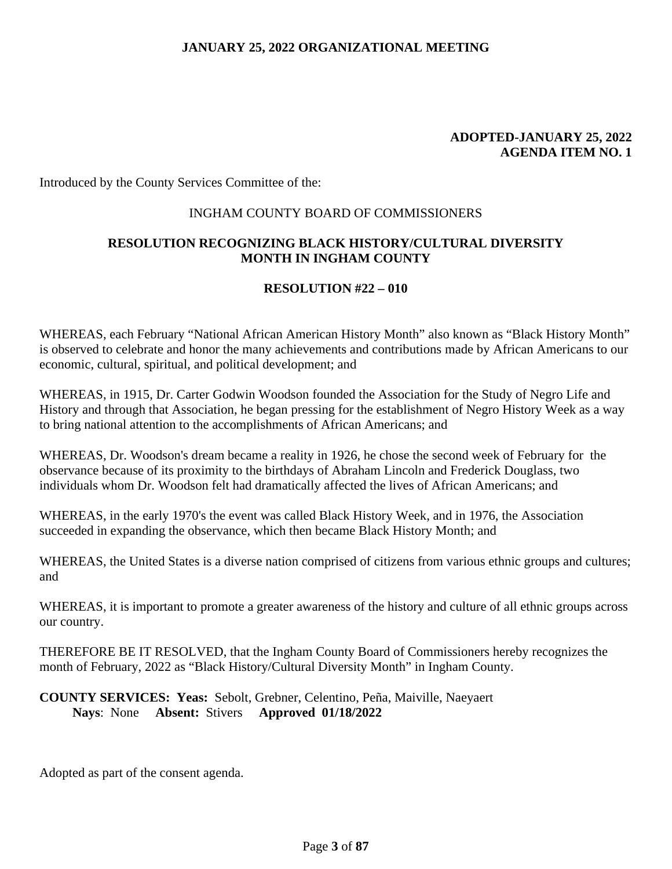#### **ADOPTED-JANUARY 25, 2022 AGENDA ITEM NO. 1**

Introduced by the County Services Committee of the:

#### INGHAM COUNTY BOARD OF COMMISSIONERS

### **RESOLUTION RECOGNIZING BLACK HISTORY/CULTURAL DIVERSITY MONTH IN INGHAM COUNTY**

#### **RESOLUTION #22 – 010**

WHEREAS, each February "National African American History Month" also known as "Black History Month" is observed to celebrate and honor the many achievements and contributions made by African Americans to our economic, cultural, spiritual, and political development; and

WHEREAS, in 1915, Dr. Carter Godwin Woodson founded the Association for the Study of Negro Life and History and through that Association, he began pressing for the establishment of Negro History Week as a way to bring national attention to the accomplishments of African Americans; and

WHEREAS, Dr. Woodson's dream became a reality in 1926, he chose the second week of February for the observance because of its proximity to the birthdays of Abraham Lincoln and Frederick Douglass, two individuals whom Dr. Woodson felt had dramatically affected the lives of African Americans; and

WHEREAS, in the early 1970's the event was called Black History Week, and in 1976, the Association succeeded in expanding the observance, which then became Black History Month; and

WHEREAS, the United States is a diverse nation comprised of citizens from various ethnic groups and cultures; and

WHEREAS, it is important to promote a greater awareness of the history and culture of all ethnic groups across our country.

THEREFORE BE IT RESOLVED, that the Ingham County Board of Commissioners hereby recognizes the month of February, 2022 as "Black History/Cultural Diversity Month" in Ingham County.

**COUNTY SERVICES: Yeas:** Sebolt, Grebner, Celentino, Peña, Maiville, Naeyaert **Nays**: None **Absent:** Stivers **Approved 01/18/2022**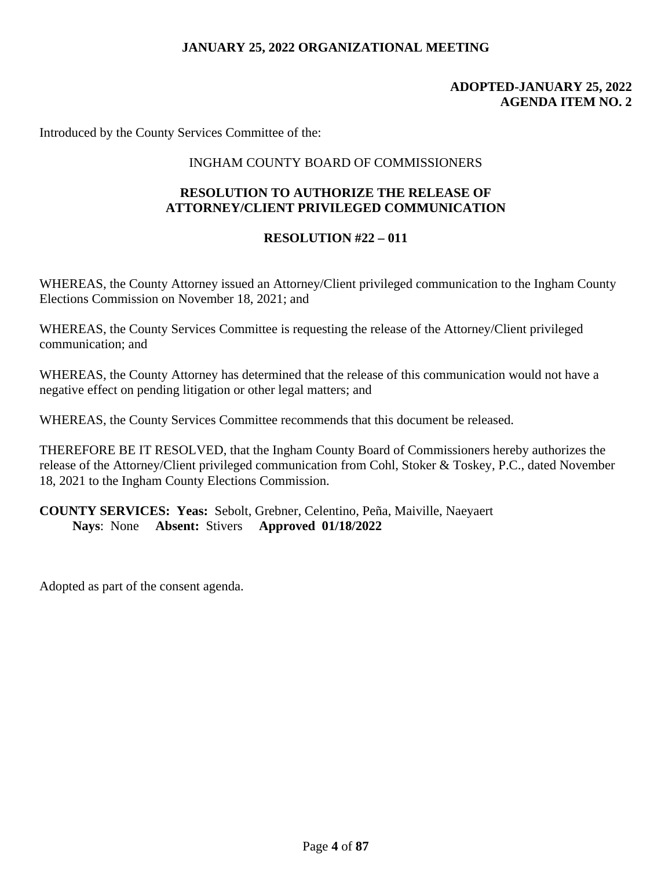### **ADOPTED-JANUARY 25, 2022 AGENDA ITEM NO. 2**

Introduced by the County Services Committee of the:

### INGHAM COUNTY BOARD OF COMMISSIONERS

### **RESOLUTION TO AUTHORIZE THE RELEASE OF ATTORNEY/CLIENT PRIVILEGED COMMUNICATION**

#### **RESOLUTION #22 – 011**

WHEREAS, the County Attorney issued an Attorney/Client privileged communication to the Ingham County Elections Commission on November 18, 2021; and

WHEREAS, the County Services Committee is requesting the release of the Attorney/Client privileged communication; and

WHEREAS, the County Attorney has determined that the release of this communication would not have a negative effect on pending litigation or other legal matters; and

WHEREAS, the County Services Committee recommends that this document be released.

THEREFORE BE IT RESOLVED, that the Ingham County Board of Commissioners hereby authorizes the release of the Attorney/Client privileged communication from Cohl, Stoker & Toskey, P.C., dated November 18, 2021 to the Ingham County Elections Commission.

**COUNTY SERVICES: Yeas:** Sebolt, Grebner, Celentino, Peña, Maiville, Naeyaert **Nays**: None **Absent:** Stivers **Approved 01/18/2022**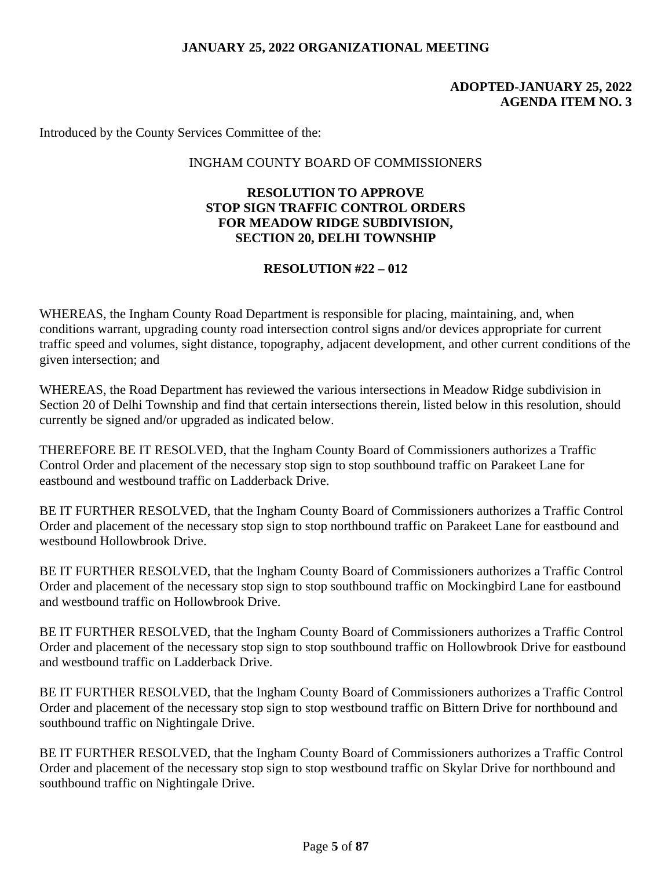### **ADOPTED-JANUARY 25, 2022 AGENDA ITEM NO. 3**

Introduced by the County Services Committee of the:

#### INGHAM COUNTY BOARD OF COMMISSIONERS

### **RESOLUTION TO APPROVE STOP SIGN TRAFFIC CONTROL ORDERS FOR MEADOW RIDGE SUBDIVISION, SECTION 20, DELHI TOWNSHIP**

### **RESOLUTION #22 – 012**

WHEREAS, the Ingham County Road Department is responsible for placing, maintaining, and, when conditions warrant, upgrading county road intersection control signs and/or devices appropriate for current traffic speed and volumes, sight distance, topography, adjacent development, and other current conditions of the given intersection; and

WHEREAS, the Road Department has reviewed the various intersections in Meadow Ridge subdivision in Section 20 of Delhi Township and find that certain intersections therein, listed below in this resolution, should currently be signed and/or upgraded as indicated below.

THEREFORE BE IT RESOLVED, that the Ingham County Board of Commissioners authorizes a Traffic Control Order and placement of the necessary stop sign to stop southbound traffic on Parakeet Lane for eastbound and westbound traffic on Ladderback Drive.

BE IT FURTHER RESOLVED, that the Ingham County Board of Commissioners authorizes a Traffic Control Order and placement of the necessary stop sign to stop northbound traffic on Parakeet Lane for eastbound and westbound Hollowbrook Drive.

BE IT FURTHER RESOLVED, that the Ingham County Board of Commissioners authorizes a Traffic Control Order and placement of the necessary stop sign to stop southbound traffic on Mockingbird Lane for eastbound and westbound traffic on Hollowbrook Drive.

BE IT FURTHER RESOLVED, that the Ingham County Board of Commissioners authorizes a Traffic Control Order and placement of the necessary stop sign to stop southbound traffic on Hollowbrook Drive for eastbound and westbound traffic on Ladderback Drive.

BE IT FURTHER RESOLVED, that the Ingham County Board of Commissioners authorizes a Traffic Control Order and placement of the necessary stop sign to stop westbound traffic on Bittern Drive for northbound and southbound traffic on Nightingale Drive.

BE IT FURTHER RESOLVED, that the Ingham County Board of Commissioners authorizes a Traffic Control Order and placement of the necessary stop sign to stop westbound traffic on Skylar Drive for northbound and southbound traffic on Nightingale Drive.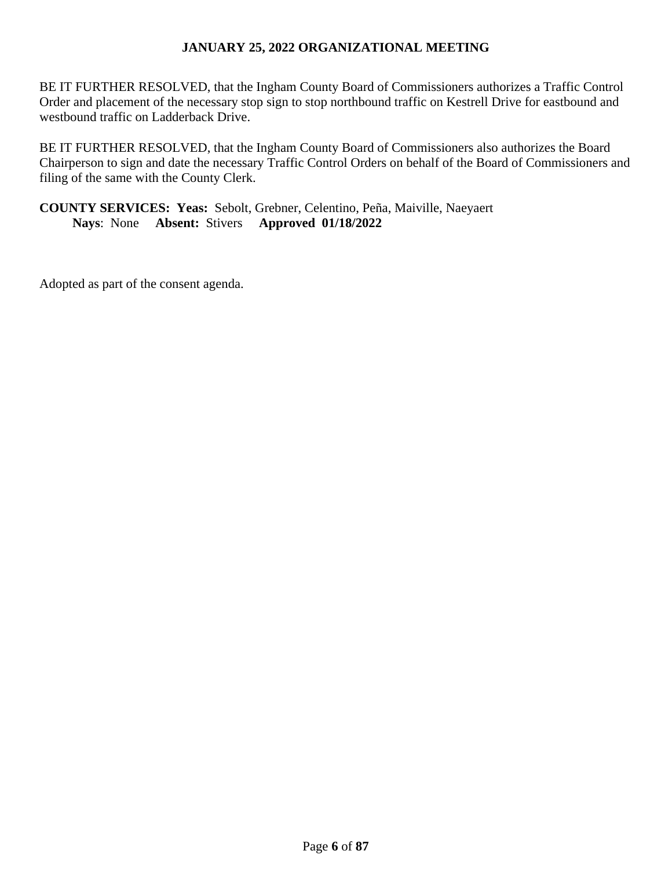BE IT FURTHER RESOLVED, that the Ingham County Board of Commissioners authorizes a Traffic Control Order and placement of the necessary stop sign to stop northbound traffic on Kestrell Drive for eastbound and westbound traffic on Ladderback Drive.

BE IT FURTHER RESOLVED, that the Ingham County Board of Commissioners also authorizes the Board Chairperson to sign and date the necessary Traffic Control Orders on behalf of the Board of Commissioners and filing of the same with the County Clerk.

### **COUNTY SERVICES: Yeas:** Sebolt, Grebner, Celentino, Peña, Maiville, Naeyaert **Nays**: None **Absent:** Stivers **Approved 01/18/2022**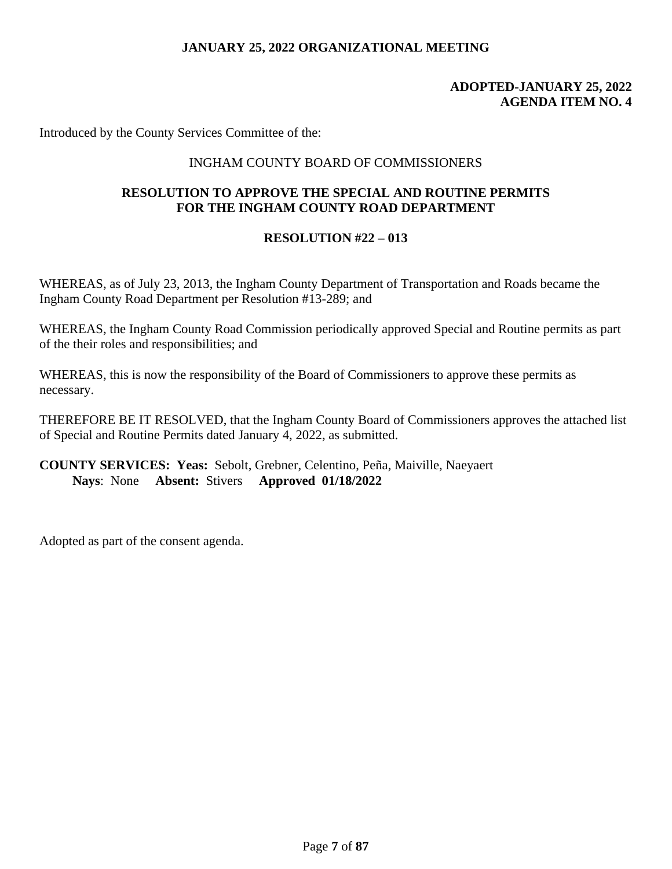### **ADOPTED-JANUARY 25, 2022 AGENDA ITEM NO. 4**

Introduced by the County Services Committee of the:

### INGHAM COUNTY BOARD OF COMMISSIONERS

### **RESOLUTION TO APPROVE THE SPECIAL AND ROUTINE PERMITS FOR THE INGHAM COUNTY ROAD DEPARTMENT**

#### **RESOLUTION #22 – 013**

WHEREAS, as of July 23, 2013, the Ingham County Department of Transportation and Roads became the Ingham County Road Department per Resolution #13-289; and

WHEREAS, the Ingham County Road Commission periodically approved Special and Routine permits as part of the their roles and responsibilities; and

WHEREAS, this is now the responsibility of the Board of Commissioners to approve these permits as necessary.

THEREFORE BE IT RESOLVED, that the Ingham County Board of Commissioners approves the attached list of Special and Routine Permits dated January 4, 2022, as submitted.

#### **COUNTY SERVICES: Yeas:** Sebolt, Grebner, Celentino, Peña, Maiville, Naeyaert **Nays**: None **Absent:** Stivers **Approved 01/18/2022**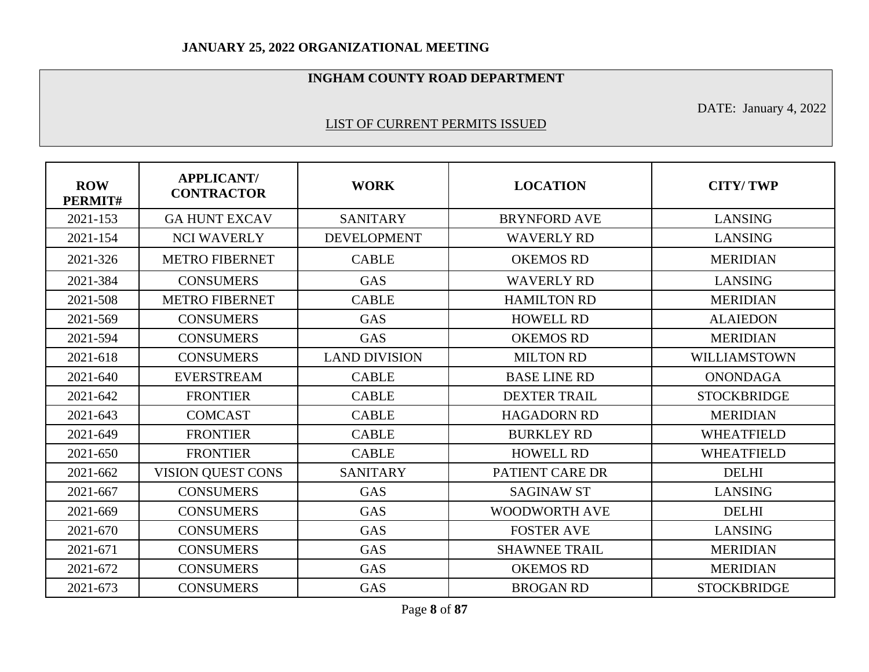### **INGHAM COUNTY ROAD DEPARTMENT**

DATE: January 4, 2022

### LIST OF CURRENT PERMITS ISSUED

| <b>ROW</b><br>PERMIT# | <b>APPLICANT/</b><br><b>CONTRACTOR</b> | <b>WORK</b>          | <b>LOCATION</b>      | <b>CITY/TWP</b>    |
|-----------------------|----------------------------------------|----------------------|----------------------|--------------------|
| 2021-153              | <b>GA HUNT EXCAV</b>                   | <b>SANITARY</b>      | <b>BRYNFORD AVE</b>  | <b>LANSING</b>     |
| 2021-154              | <b>NCI WAVERLY</b>                     | <b>DEVELOPMENT</b>   | <b>WAVERLY RD</b>    | <b>LANSING</b>     |
| 2021-326              | <b>METRO FIBERNET</b>                  | <b>CABLE</b>         | <b>OKEMOS RD</b>     | <b>MERIDIAN</b>    |
| 2021-384              | <b>CONSUMERS</b>                       | <b>GAS</b>           | <b>WAVERLY RD</b>    | <b>LANSING</b>     |
| 2021-508              | <b>METRO FIBERNET</b>                  | <b>CABLE</b>         | <b>HAMILTON RD</b>   | <b>MERIDIAN</b>    |
| 2021-569              | <b>CONSUMERS</b>                       | <b>GAS</b>           | <b>HOWELL RD</b>     | <b>ALAIEDON</b>    |
| 2021-594              | <b>CONSUMERS</b>                       | <b>GAS</b>           | <b>OKEMOS RD</b>     | <b>MERIDIAN</b>    |
| 2021-618              | <b>CONSUMERS</b>                       | <b>LAND DIVISION</b> | <b>MILTON RD</b>     | WILLIAMSTOWN       |
| 2021-640              | <b>EVERSTREAM</b>                      | <b>CABLE</b>         | <b>BASE LINE RD</b>  | <b>ONONDAGA</b>    |
| 2021-642              | <b>FRONTIER</b>                        | <b>CABLE</b>         | <b>DEXTER TRAIL</b>  | <b>STOCKBRIDGE</b> |
| 2021-643              | <b>COMCAST</b>                         | <b>CABLE</b>         | <b>HAGADORN RD</b>   | <b>MERIDIAN</b>    |
| 2021-649              | <b>FRONTIER</b>                        | <b>CABLE</b>         | <b>BURKLEY RD</b>    | <b>WHEATFIELD</b>  |
| 2021-650              | <b>FRONTIER</b>                        | <b>CABLE</b>         | <b>HOWELL RD</b>     | <b>WHEATFIELD</b>  |
| 2021-662              | VISION QUEST CONS                      | <b>SANITARY</b>      | PATIENT CARE DR      | <b>DELHI</b>       |
| 2021-667              | <b>CONSUMERS</b>                       | <b>GAS</b>           | <b>SAGINAW ST</b>    | <b>LANSING</b>     |
| 2021-669              | <b>CONSUMERS</b>                       | <b>GAS</b>           | <b>WOODWORTH AVE</b> | <b>DELHI</b>       |
| 2021-670              | <b>CONSUMERS</b>                       | <b>GAS</b>           | <b>FOSTER AVE</b>    | <b>LANSING</b>     |
| 2021-671              | <b>CONSUMERS</b>                       | <b>GAS</b>           | <b>SHAWNEE TRAIL</b> | <b>MERIDIAN</b>    |
| 2021-672              | <b>CONSUMERS</b>                       | <b>GAS</b>           | <b>OKEMOS RD</b>     | <b>MERIDIAN</b>    |
| 2021-673              | <b>CONSUMERS</b>                       | GAS                  | <b>BROGAN RD</b>     | <b>STOCKBRIDGE</b> |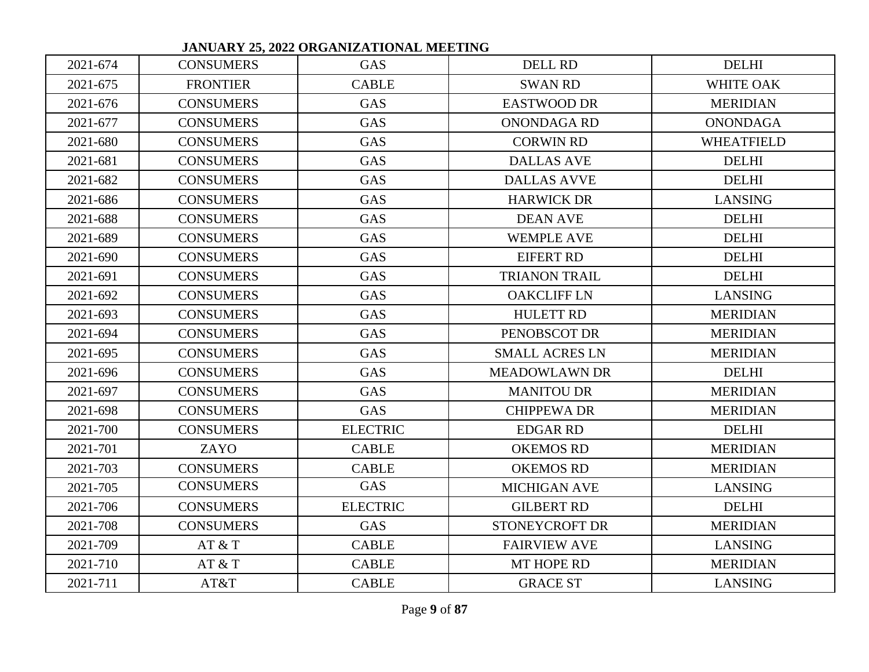|          |                  | JANUAK 1 25, 2022 UKGANIZA HUNAL MEETING |                       |                   |
|----------|------------------|------------------------------------------|-----------------------|-------------------|
| 2021-674 | <b>CONSUMERS</b> | <b>GAS</b>                               | <b>DELL RD</b>        | <b>DELHI</b>      |
| 2021-675 | <b>FRONTIER</b>  | <b>CABLE</b>                             | <b>SWAN RD</b>        | <b>WHITE OAK</b>  |
| 2021-676 | <b>CONSUMERS</b> | <b>GAS</b>                               | <b>EASTWOOD DR</b>    | <b>MERIDIAN</b>   |
| 2021-677 | <b>CONSUMERS</b> | <b>GAS</b>                               | <b>ONONDAGA RD</b>    | <b>ONONDAGA</b>   |
| 2021-680 | <b>CONSUMERS</b> | <b>GAS</b>                               | <b>CORWIN RD</b>      | <b>WHEATFIELD</b> |
| 2021-681 | <b>CONSUMERS</b> | <b>GAS</b>                               | <b>DALLAS AVE</b>     | <b>DELHI</b>      |
| 2021-682 | <b>CONSUMERS</b> | GAS                                      | <b>DALLAS AVVE</b>    | <b>DELHI</b>      |
| 2021-686 | <b>CONSUMERS</b> | <b>GAS</b>                               | <b>HARWICK DR</b>     | <b>LANSING</b>    |
| 2021-688 | <b>CONSUMERS</b> | <b>GAS</b>                               | <b>DEAN AVE</b>       | <b>DELHI</b>      |
| 2021-689 | <b>CONSUMERS</b> | GAS                                      | <b>WEMPLE AVE</b>     | <b>DELHI</b>      |
| 2021-690 | <b>CONSUMERS</b> | <b>GAS</b>                               | <b>EIFERT RD</b>      | <b>DELHI</b>      |
| 2021-691 | <b>CONSUMERS</b> | <b>GAS</b>                               | <b>TRIANON TRAIL</b>  | <b>DELHI</b>      |
| 2021-692 | <b>CONSUMERS</b> | GAS                                      | <b>OAKCLIFF LN</b>    | <b>LANSING</b>    |
| 2021-693 | <b>CONSUMERS</b> | <b>GAS</b>                               | <b>HULETT RD</b>      | <b>MERIDIAN</b>   |
| 2021-694 | <b>CONSUMERS</b> | <b>GAS</b>                               | PENOBSCOT DR          | <b>MERIDIAN</b>   |
| 2021-695 | <b>CONSUMERS</b> | <b>GAS</b>                               | <b>SMALL ACRES LN</b> | <b>MERIDIAN</b>   |
| 2021-696 | <b>CONSUMERS</b> | <b>GAS</b>                               | <b>MEADOWLAWN DR</b>  | <b>DELHI</b>      |
| 2021-697 | <b>CONSUMERS</b> | GAS                                      | <b>MANITOU DR</b>     | <b>MERIDIAN</b>   |
| 2021-698 | <b>CONSUMERS</b> | GAS                                      | <b>CHIPPEWA DR</b>    | <b>MERIDIAN</b>   |
| 2021-700 | <b>CONSUMERS</b> | <b>ELECTRIC</b>                          | <b>EDGAR RD</b>       | <b>DELHI</b>      |
| 2021-701 | ZAYO             | <b>CABLE</b>                             | <b>OKEMOS RD</b>      | <b>MERIDIAN</b>   |
| 2021-703 | <b>CONSUMERS</b> | <b>CABLE</b>                             | <b>OKEMOS RD</b>      | <b>MERIDIAN</b>   |
| 2021-705 | <b>CONSUMERS</b> | <b>GAS</b>                               | <b>MICHIGAN AVE</b>   | <b>LANSING</b>    |
| 2021-706 | <b>CONSUMERS</b> | <b>ELECTRIC</b>                          | <b>GILBERT RD</b>     | <b>DELHI</b>      |
| 2021-708 | <b>CONSUMERS</b> | <b>GAS</b>                               | STONEYCROFT DR        | <b>MERIDIAN</b>   |
| 2021-709 | AT & T           | <b>CABLE</b>                             | <b>FAIRVIEW AVE</b>   | <b>LANSING</b>    |
| 2021-710 | AT & T           | <b>CABLE</b>                             | MT HOPE RD            | <b>MERIDIAN</b>   |
| 2021-711 | AT&T             | <b>CABLE</b>                             | <b>GRACE ST</b>       | <b>LANSING</b>    |

 **JANUARY 25, 2022 ORGANIZATIONAL MEETING**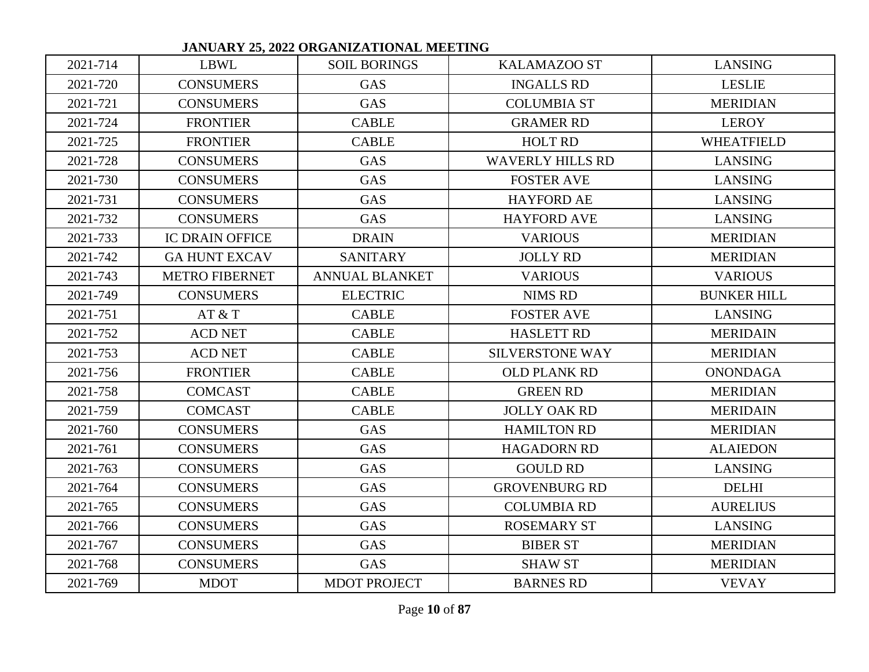|          |                        | JARUANI <i>25, 2022</i> UNUARIZA HURAL MEETIRG |                         |                    |
|----------|------------------------|------------------------------------------------|-------------------------|--------------------|
| 2021-714 | LBWL                   | <b>SOIL BORINGS</b>                            | <b>KALAMAZOO ST</b>     | <b>LANSING</b>     |
| 2021-720 | <b>CONSUMERS</b>       | <b>GAS</b>                                     | <b>INGALLS RD</b>       | <b>LESLIE</b>      |
| 2021-721 | <b>CONSUMERS</b>       | <b>GAS</b>                                     | <b>COLUMBIA ST</b>      | <b>MERIDIAN</b>    |
| 2021-724 | <b>FRONTIER</b>        | <b>CABLE</b>                                   | <b>GRAMER RD</b>        | <b>LEROY</b>       |
| 2021-725 | <b>FRONTIER</b>        | <b>CABLE</b>                                   | <b>HOLT RD</b>          | <b>WHEATFIELD</b>  |
| 2021-728 | <b>CONSUMERS</b>       | <b>GAS</b>                                     | <b>WAVERLY HILLS RD</b> | <b>LANSING</b>     |
| 2021-730 | <b>CONSUMERS</b>       | <b>GAS</b>                                     | <b>FOSTER AVE</b>       | <b>LANSING</b>     |
| 2021-731 | <b>CONSUMERS</b>       | <b>GAS</b>                                     | <b>HAYFORD AE</b>       | <b>LANSING</b>     |
| 2021-732 | <b>CONSUMERS</b>       | <b>GAS</b>                                     | <b>HAYFORD AVE</b>      | <b>LANSING</b>     |
| 2021-733 | <b>IC DRAIN OFFICE</b> | <b>DRAIN</b>                                   | <b>VARIOUS</b>          | <b>MERIDIAN</b>    |
| 2021-742 | <b>GA HUNT EXCAV</b>   | <b>SANITARY</b>                                | <b>JOLLY RD</b>         | <b>MERIDIAN</b>    |
| 2021-743 | <b>METRO FIBERNET</b>  | <b>ANNUAL BLANKET</b>                          | <b>VARIOUS</b>          | <b>VARIOUS</b>     |
| 2021-749 | <b>CONSUMERS</b>       | <b>ELECTRIC</b>                                | <b>NIMS RD</b>          | <b>BUNKER HILL</b> |
| 2021-751 | AT & T                 | <b>CABLE</b>                                   | <b>FOSTER AVE</b>       | <b>LANSING</b>     |
| 2021-752 | <b>ACD NET</b>         | <b>CABLE</b>                                   | <b>HASLETT RD</b>       | <b>MERIDAIN</b>    |
| 2021-753 | <b>ACD NET</b>         | <b>CABLE</b>                                   | <b>SILVERSTONE WAY</b>  | <b>MERIDIAN</b>    |
| 2021-756 | <b>FRONTIER</b>        | <b>CABLE</b>                                   | <b>OLD PLANK RD</b>     | <b>ONONDAGA</b>    |
| 2021-758 | <b>COMCAST</b>         | <b>CABLE</b>                                   | <b>GREEN RD</b>         | <b>MERIDIAN</b>    |
| 2021-759 | <b>COMCAST</b>         | <b>CABLE</b>                                   | <b>JOLLY OAK RD</b>     | <b>MERIDAIN</b>    |
| 2021-760 | <b>CONSUMERS</b>       | <b>GAS</b>                                     | <b>HAMILTON RD</b>      | <b>MERIDIAN</b>    |
| 2021-761 | <b>CONSUMERS</b>       | <b>GAS</b>                                     | <b>HAGADORN RD</b>      | <b>ALAIEDON</b>    |
| 2021-763 | <b>CONSUMERS</b>       | <b>GAS</b>                                     | <b>GOULD RD</b>         | <b>LANSING</b>     |
| 2021-764 | <b>CONSUMERS</b>       | <b>GAS</b>                                     | <b>GROVENBURG RD</b>    | <b>DELHI</b>       |
| 2021-765 | <b>CONSUMERS</b>       | <b>GAS</b>                                     | <b>COLUMBIA RD</b>      | <b>AURELIUS</b>    |
| 2021-766 | <b>CONSUMERS</b>       | <b>GAS</b>                                     | <b>ROSEMARY ST</b>      | <b>LANSING</b>     |
| 2021-767 | <b>CONSUMERS</b>       | <b>GAS</b>                                     | <b>BIBER ST</b>         | <b>MERIDIAN</b>    |
| 2021-768 | <b>CONSUMERS</b>       | <b>GAS</b>                                     | <b>SHAW ST</b>          | <b>MERIDIAN</b>    |
| 2021-769 | <b>MDOT</b>            | <b>MDOT PROJECT</b>                            | <b>BARNES RD</b>        | <b>VEVAY</b>       |

 **JANUARY 25, 2022 ORGANIZATIONAL MEETING**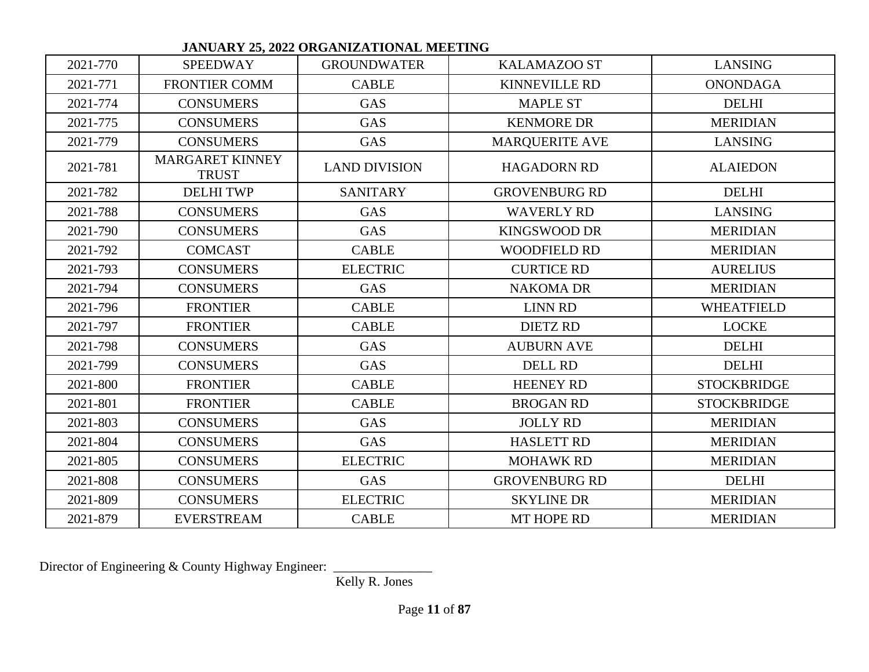|          |                                        | wini setsua onomumitto wie metal |                       |                    |
|----------|----------------------------------------|----------------------------------|-----------------------|--------------------|
| 2021-770 | <b>SPEEDWAY</b>                        | <b>GROUNDWATER</b>               | <b>KALAMAZOO ST</b>   | <b>LANSING</b>     |
| 2021-771 | <b>FRONTIER COMM</b>                   | <b>CABLE</b>                     | <b>KINNEVILLE RD</b>  | <b>ONONDAGA</b>    |
| 2021-774 | <b>CONSUMERS</b>                       | <b>GAS</b>                       | <b>MAPLE ST</b>       | <b>DELHI</b>       |
| 2021-775 | <b>CONSUMERS</b>                       | <b>GAS</b>                       | <b>KENMORE DR</b>     | <b>MERIDIAN</b>    |
| 2021-779 | <b>CONSUMERS</b>                       | <b>GAS</b>                       | <b>MARQUERITE AVE</b> | <b>LANSING</b>     |
| 2021-781 | <b>MARGARET KINNEY</b><br><b>TRUST</b> | <b>LAND DIVISION</b>             | <b>HAGADORN RD</b>    | <b>ALAIEDON</b>    |
| 2021-782 | <b>DELHI TWP</b>                       | <b>SANITARY</b>                  | <b>GROVENBURG RD</b>  | <b>DELHI</b>       |
| 2021-788 | <b>CONSUMERS</b>                       | <b>GAS</b>                       | <b>WAVERLY RD</b>     | <b>LANSING</b>     |
| 2021-790 | <b>CONSUMERS</b>                       | <b>GAS</b>                       | <b>KINGSWOOD DR</b>   | <b>MERIDIAN</b>    |
| 2021-792 | <b>COMCAST</b>                         | <b>CABLE</b>                     | <b>WOODFIELD RD</b>   | <b>MERIDIAN</b>    |
| 2021-793 | <b>CONSUMERS</b>                       | <b>ELECTRIC</b>                  | <b>CURTICE RD</b>     | <b>AURELIUS</b>    |
| 2021-794 | <b>CONSUMERS</b>                       | <b>GAS</b>                       | <b>NAKOMA DR</b>      | <b>MERIDIAN</b>    |
| 2021-796 | <b>FRONTIER</b>                        | <b>CABLE</b>                     | <b>LINN RD</b>        | <b>WHEATFIELD</b>  |
| 2021-797 | <b>FRONTIER</b>                        | <b>CABLE</b>                     | <b>DIETZ RD</b>       | <b>LOCKE</b>       |
| 2021-798 | <b>CONSUMERS</b>                       | <b>GAS</b>                       | <b>AUBURN AVE</b>     | <b>DELHI</b>       |
| 2021-799 | <b>CONSUMERS</b>                       | <b>GAS</b>                       | <b>DELL RD</b>        | <b>DELHI</b>       |
| 2021-800 | <b>FRONTIER</b>                        | <b>CABLE</b>                     | <b>HEENEY RD</b>      | <b>STOCKBRIDGE</b> |
| 2021-801 | <b>FRONTIER</b>                        | <b>CABLE</b>                     | <b>BROGAN RD</b>      | <b>STOCKBRIDGE</b> |
| 2021-803 | <b>CONSUMERS</b>                       | <b>GAS</b>                       | <b>JOLLY RD</b>       | <b>MERIDIAN</b>    |
| 2021-804 | <b>CONSUMERS</b>                       | <b>GAS</b>                       | <b>HASLETT RD</b>     | <b>MERIDIAN</b>    |
| 2021-805 | <b>CONSUMERS</b>                       | <b>ELECTRIC</b>                  | <b>MOHAWK RD</b>      | <b>MERIDIAN</b>    |
| 2021-808 | <b>CONSUMERS</b>                       | <b>GAS</b>                       | <b>GROVENBURG RD</b>  | <b>DELHI</b>       |
| 2021-809 | <b>CONSUMERS</b>                       | <b>ELECTRIC</b>                  | <b>SKYLINE DR</b>     | <b>MERIDIAN</b>    |
| 2021-879 | <b>EVERSTREAM</b>                      | <b>CABLE</b>                     | MT HOPE RD            | <b>MERIDIAN</b>    |

 **JANUARY 25, 2022 ORGANIZATIONAL MEETING** 

Director of Engineering & County Highway Engineer: \_

Kelly R. Jones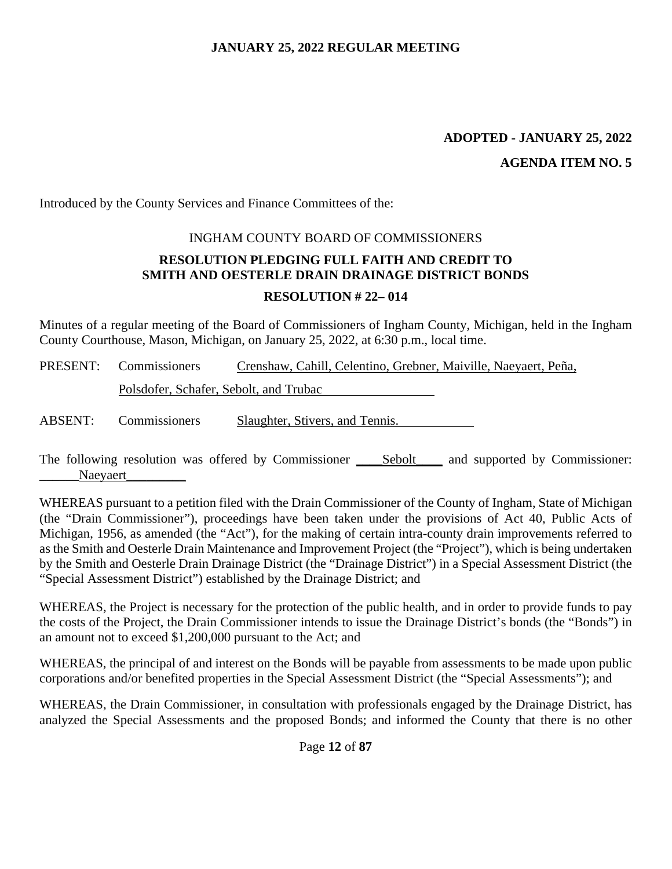#### **ADOPTED - JANUARY 25, 2022**

#### **AGENDA ITEM NO. 5**

Introduced by the County Services and Finance Committees of the:

# INGHAM COUNTY BOARD OF COMMISSIONERS **RESOLUTION PLEDGING FULL FAITH AND CREDIT TO SMITH AND OESTERLE DRAIN DRAINAGE DISTRICT BONDS RESOLUTION # 22– 014**

Minutes of a regular meeting of the Board of Commissioners of Ingham County, Michigan, held in the Ingham County Courthouse, Mason, Michigan, on January 25, 2022, at 6:30 p.m., local time.

|         | <b>PRESENT:</b> Commissioners          | Crenshaw, Cahill, Celentino, Grebner, Maiville, Naeyaert, Peña, |  |  |
|---------|----------------------------------------|-----------------------------------------------------------------|--|--|
|         | Polsdofer, Schafer, Sebolt, and Trubac |                                                                 |  |  |
| ABSENT: | Commissioners                          | Slaughter, Stivers, and Tennis.                                 |  |  |

The following resolution was offered by Commissioner Sebolt and supported by Commissioner: Naevaert

WHEREAS pursuant to a petition filed with the Drain Commissioner of the County of Ingham, State of Michigan (the "Drain Commissioner"), proceedings have been taken under the provisions of Act 40, Public Acts of Michigan, 1956, as amended (the "Act"), for the making of certain intra-county drain improvements referred to as the Smith and Oesterle Drain Maintenance and Improvement Project (the "Project"), which is being undertaken by the Smith and Oesterle Drain Drainage District (the "Drainage District") in a Special Assessment District (the "Special Assessment District") established by the Drainage District; and

WHEREAS, the Project is necessary for the protection of the public health, and in order to provide funds to pay the costs of the Project, the Drain Commissioner intends to issue the Drainage District's bonds (the "Bonds") in an amount not to exceed \$1,200,000 pursuant to the Act; and

WHEREAS, the principal of and interest on the Bonds will be payable from assessments to be made upon public corporations and/or benefited properties in the Special Assessment District (the "Special Assessments"); and

WHEREAS, the Drain Commissioner, in consultation with professionals engaged by the Drainage District, has analyzed the Special Assessments and the proposed Bonds; and informed the County that there is no other

Page **12** of **87**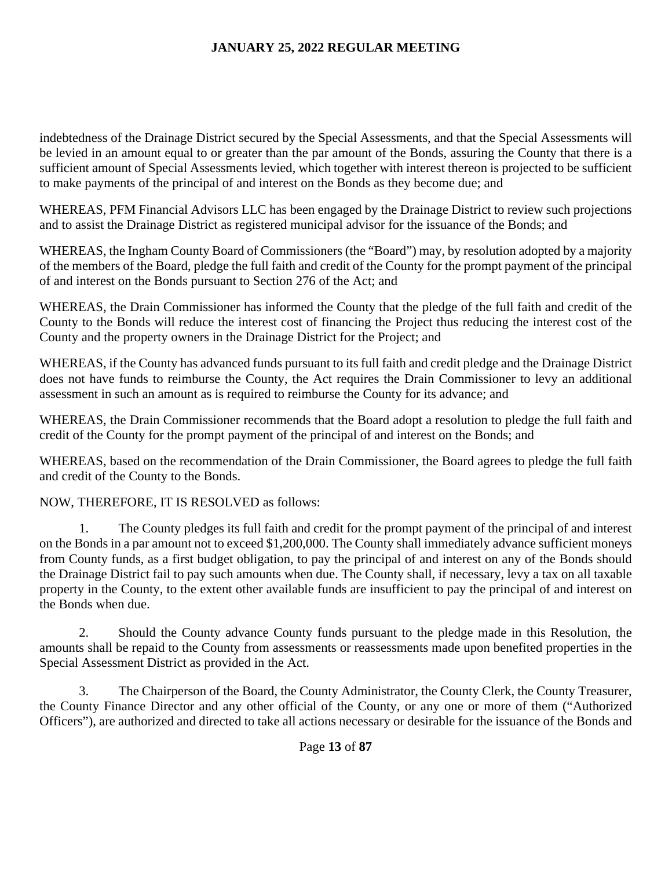indebtedness of the Drainage District secured by the Special Assessments, and that the Special Assessments will be levied in an amount equal to or greater than the par amount of the Bonds, assuring the County that there is a sufficient amount of Special Assessments levied, which together with interest thereon is projected to be sufficient to make payments of the principal of and interest on the Bonds as they become due; and

WHEREAS, PFM Financial Advisors LLC has been engaged by the Drainage District to review such projections and to assist the Drainage District as registered municipal advisor for the issuance of the Bonds; and

WHEREAS, the Ingham County Board of Commissioners (the "Board") may, by resolution adopted by a majority of the members of the Board, pledge the full faith and credit of the County for the prompt payment of the principal of and interest on the Bonds pursuant to Section 276 of the Act; and

WHEREAS, the Drain Commissioner has informed the County that the pledge of the full faith and credit of the County to the Bonds will reduce the interest cost of financing the Project thus reducing the interest cost of the County and the property owners in the Drainage District for the Project; and

WHEREAS, if the County has advanced funds pursuant to its full faith and credit pledge and the Drainage District does not have funds to reimburse the County, the Act requires the Drain Commissioner to levy an additional assessment in such an amount as is required to reimburse the County for its advance; and

WHEREAS, the Drain Commissioner recommends that the Board adopt a resolution to pledge the full faith and credit of the County for the prompt payment of the principal of and interest on the Bonds; and

WHEREAS, based on the recommendation of the Drain Commissioner, the Board agrees to pledge the full faith and credit of the County to the Bonds.

NOW, THEREFORE, IT IS RESOLVED as follows:

1. The County pledges its full faith and credit for the prompt payment of the principal of and interest on the Bonds in a par amount not to exceed \$1,200,000. The County shall immediately advance sufficient moneys from County funds, as a first budget obligation, to pay the principal of and interest on any of the Bonds should the Drainage District fail to pay such amounts when due. The County shall, if necessary, levy a tax on all taxable property in the County, to the extent other available funds are insufficient to pay the principal of and interest on the Bonds when due.

2. Should the County advance County funds pursuant to the pledge made in this Resolution, the amounts shall be repaid to the County from assessments or reassessments made upon benefited properties in the Special Assessment District as provided in the Act.

3. The Chairperson of the Board, the County Administrator, the County Clerk, the County Treasurer, the County Finance Director and any other official of the County, or any one or more of them ("Authorized Officers"), are authorized and directed to take all actions necessary or desirable for the issuance of the Bonds and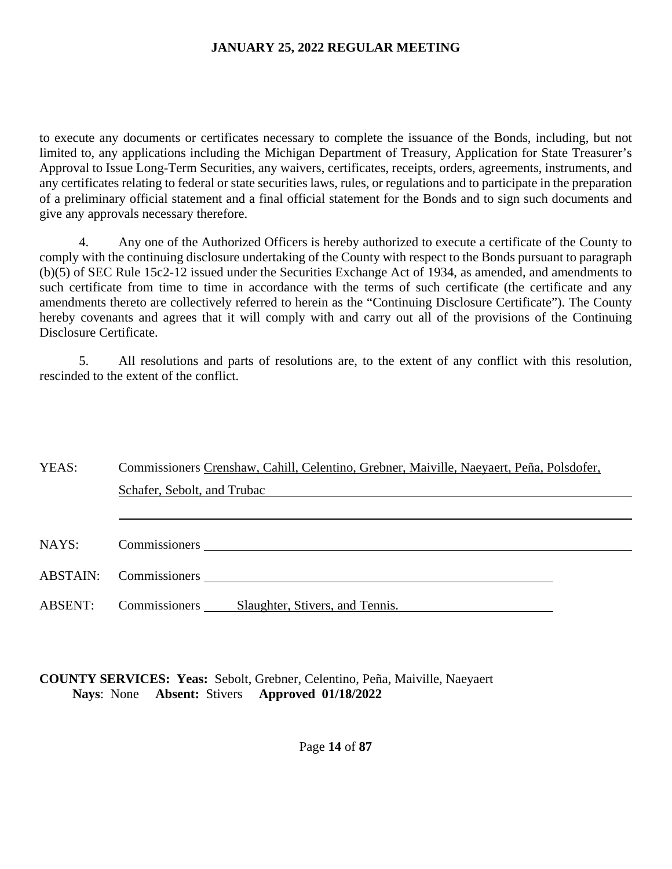to execute any documents or certificates necessary to complete the issuance of the Bonds, including, but not limited to, any applications including the Michigan Department of Treasury, Application for State Treasurer's Approval to Issue Long-Term Securities, any waivers, certificates, receipts, orders, agreements, instruments, and any certificates relating to federal or state securities laws, rules, or regulations and to participate in the preparation of a preliminary official statement and a final official statement for the Bonds and to sign such documents and give any approvals necessary therefore.

4. Any one of the Authorized Officers is hereby authorized to execute a certificate of the County to comply with the continuing disclosure undertaking of the County with respect to the Bonds pursuant to paragraph (b)(5) of SEC Rule 15c2-12 issued under the Securities Exchange Act of 1934, as amended, and amendments to such certificate from time to time in accordance with the terms of such certificate (the certificate and any amendments thereto are collectively referred to herein as the "Continuing Disclosure Certificate"). The County hereby covenants and agrees that it will comply with and carry out all of the provisions of the Continuing Disclosure Certificate.

5. All resolutions and parts of resolutions are, to the extent of any conflict with this resolution, rescinded to the extent of the conflict.

| YEAS:          | Commissioners Crenshaw, Cahill, Celentino, Grebner, Maiville, Naeyaert, Peña, Polsdofer, |
|----------------|------------------------------------------------------------------------------------------|
|                | Schafer, Sebolt, and Trubac                                                              |
|                |                                                                                          |
|                |                                                                                          |
| NAYS:          | <b>Commissioners</b>                                                                     |
|                | ABSTAIN: Commissioners                                                                   |
| <b>ABSENT:</b> | Commissioners<br>Slaughter, Stivers, and Tennis.                                         |

# **COUNTY SERVICES: Yeas:** Sebolt, Grebner, Celentino, Peña, Maiville, Naeyaert **Nays**: None **Absent:** Stivers **Approved 01/18/2022**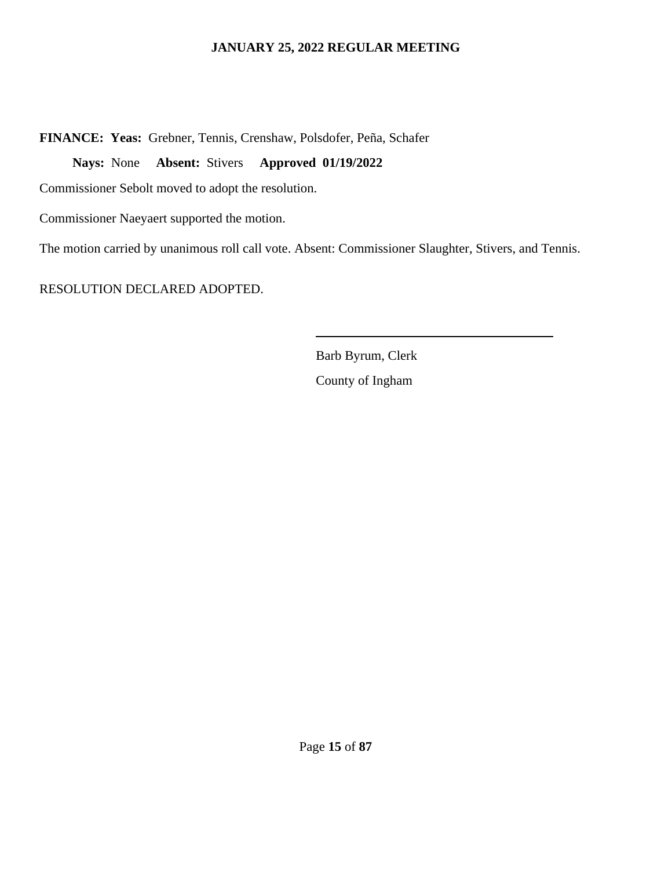**FINANCE: Yeas:** Grebner, Tennis, Crenshaw, Polsdofer, Peña, Schafer

**Nays:** None **Absent:** Stivers **Approved 01/19/2022** 

Commissioner Sebolt moved to adopt the resolution.

Commissioner Naeyaert supported the motion.

The motion carried by unanimous roll call vote. Absent: Commissioner Slaughter, Stivers, and Tennis.

 $\overline{a}$ 

RESOLUTION DECLARED ADOPTED.

Barb Byrum, Clerk County of Ingham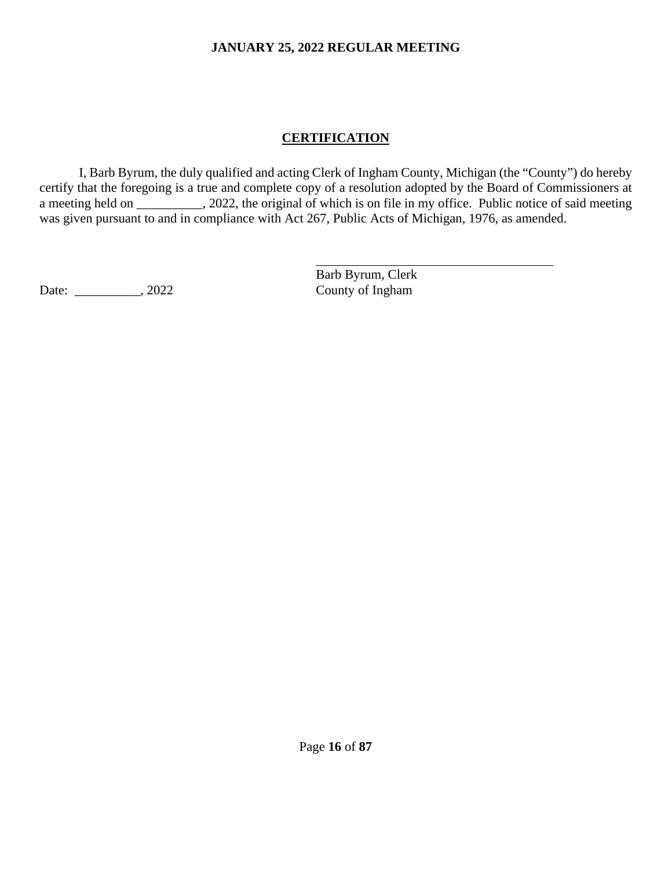# **CERTIFICATION**

I, Barb Byrum, the duly qualified and acting Clerk of Ingham County, Michigan (the "County") do hereby certify that the foregoing is a true and complete copy of a resolution adopted by the Board of Commissioners at a meeting held on \_\_\_\_\_\_\_\_, 2022, the original of which is on file in my office. Public notice of said meeting was given pursuant to and in compliance with Act 267, Public Acts of Michigan, 1976, as amended.

 $\overline{a}$ 

Date: \_\_\_\_\_\_\_\_\_\_, 2022 County of Ingham

Barb Byrum, Clerk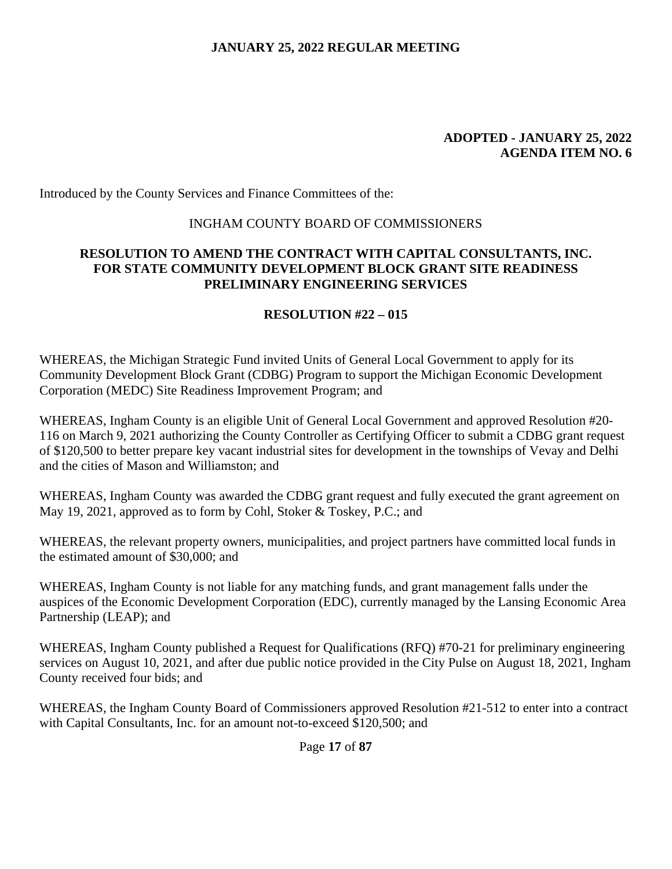#### **ADOPTED - JANUARY 25, 2022 AGENDA ITEM NO. 6**

Introduced by the County Services and Finance Committees of the:

### INGHAM COUNTY BOARD OF COMMISSIONERS

## **RESOLUTION TO AMEND THE CONTRACT WITH CAPITAL CONSULTANTS, INC. FOR STATE COMMUNITY DEVELOPMENT BLOCK GRANT SITE READINESS PRELIMINARY ENGINEERING SERVICES**

### **RESOLUTION #22 – 015**

WHEREAS, the Michigan Strategic Fund invited Units of General Local Government to apply for its Community Development Block Grant (CDBG) Program to support the Michigan Economic Development Corporation (MEDC) Site Readiness Improvement Program; and

WHEREAS, Ingham County is an eligible Unit of General Local Government and approved Resolution #20- 116 on March 9, 2021 authorizing the County Controller as Certifying Officer to submit a CDBG grant request of \$120,500 to better prepare key vacant industrial sites for development in the townships of Vevay and Delhi and the cities of Mason and Williamston; and

WHEREAS, Ingham County was awarded the CDBG grant request and fully executed the grant agreement on May 19, 2021, approved as to form by Cohl, Stoker & Toskey, P.C.; and

WHEREAS, the relevant property owners, municipalities, and project partners have committed local funds in the estimated amount of \$30,000; and

WHEREAS, Ingham County is not liable for any matching funds, and grant management falls under the auspices of the Economic Development Corporation (EDC), currently managed by the Lansing Economic Area Partnership (LEAP); and

WHEREAS, Ingham County published a Request for Qualifications (RFQ) #70-21 for preliminary engineering services on August 10, 2021, and after due public notice provided in the City Pulse on August 18, 2021, Ingham County received four bids; and

WHEREAS, the Ingham County Board of Commissioners approved Resolution #21-512 to enter into a contract with Capital Consultants, Inc. for an amount not-to-exceed \$120,500; and

Page **17** of **87**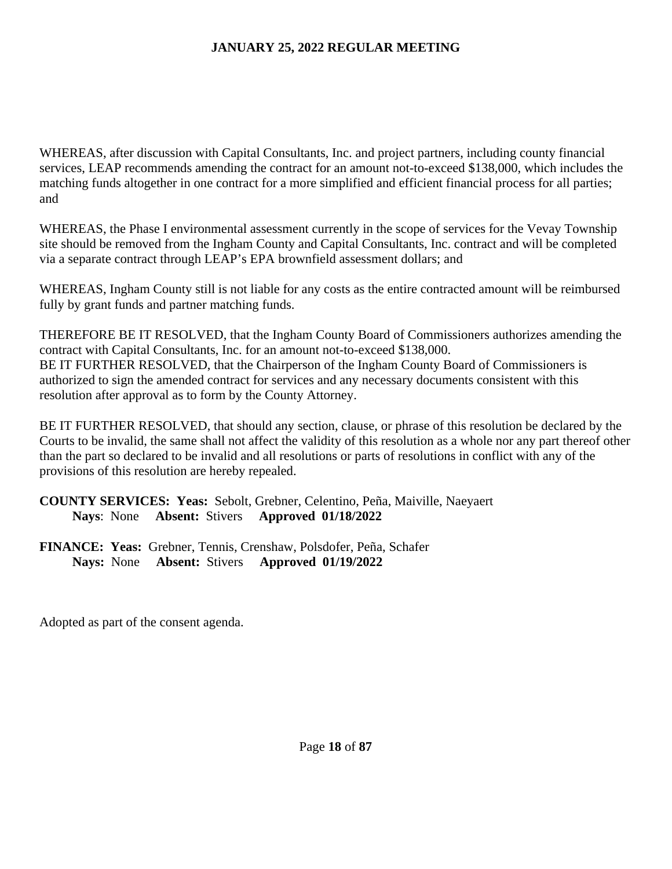WHEREAS, after discussion with Capital Consultants, Inc. and project partners, including county financial services, LEAP recommends amending the contract for an amount not-to-exceed \$138,000, which includes the matching funds altogether in one contract for a more simplified and efficient financial process for all parties; and

WHEREAS, the Phase I environmental assessment currently in the scope of services for the Vevay Township site should be removed from the Ingham County and Capital Consultants, Inc. contract and will be completed via a separate contract through LEAP's EPA brownfield assessment dollars; and

WHEREAS, Ingham County still is not liable for any costs as the entire contracted amount will be reimbursed fully by grant funds and partner matching funds.

THEREFORE BE IT RESOLVED, that the Ingham County Board of Commissioners authorizes amending the contract with Capital Consultants, Inc. for an amount not-to-exceed \$138,000. BE IT FURTHER RESOLVED, that the Chairperson of the Ingham County Board of Commissioners is authorized to sign the amended contract for services and any necessary documents consistent with this resolution after approval as to form by the County Attorney.

BE IT FURTHER RESOLVED, that should any section, clause, or phrase of this resolution be declared by the Courts to be invalid, the same shall not affect the validity of this resolution as a whole nor any part thereof other than the part so declared to be invalid and all resolutions or parts of resolutions in conflict with any of the provisions of this resolution are hereby repealed.

# **COUNTY SERVICES: Yeas:** Sebolt, Grebner, Celentino, Peña, Maiville, Naeyaert **Nays**: None **Absent:** Stivers **Approved 01/18/2022**

**FINANCE: Yeas:** Grebner, Tennis, Crenshaw, Polsdofer, Peña, Schafer **Nays:** None **Absent:** Stivers **Approved 01/19/2022**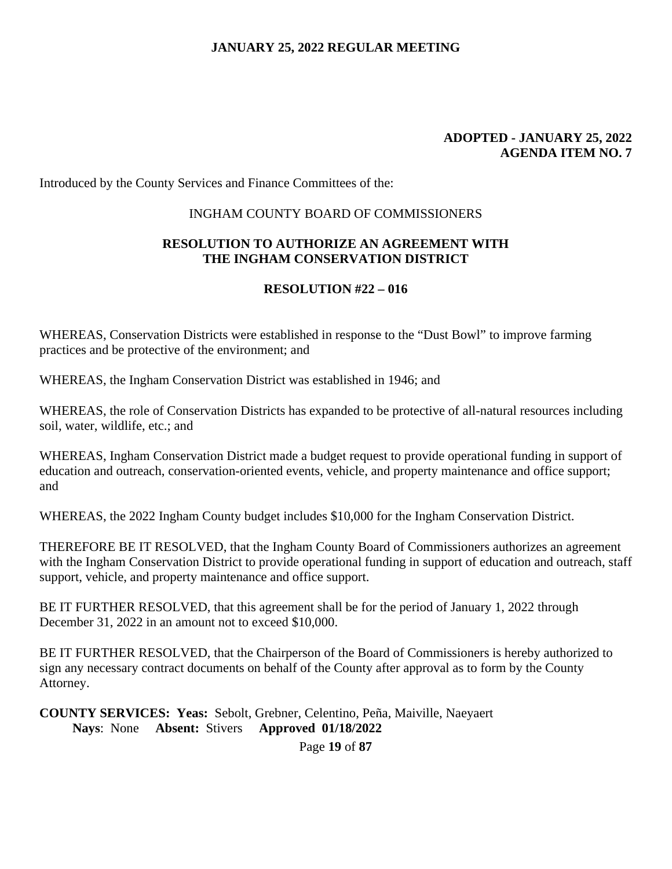#### **ADOPTED - JANUARY 25, 2022 AGENDA ITEM NO. 7**

Introduced by the County Services and Finance Committees of the:

### INGHAM COUNTY BOARD OF COMMISSIONERS

### **RESOLUTION TO AUTHORIZE AN AGREEMENT WITH THE INGHAM CONSERVATION DISTRICT**

### **RESOLUTION #22 – 016**

WHEREAS, Conservation Districts were established in response to the "Dust Bowl" to improve farming practices and be protective of the environment; and

WHEREAS, the Ingham Conservation District was established in 1946; and

WHEREAS, the role of Conservation Districts has expanded to be protective of all-natural resources including soil, water, wildlife, etc.; and

WHEREAS, Ingham Conservation District made a budget request to provide operational funding in support of education and outreach, conservation-oriented events, vehicle, and property maintenance and office support; and

WHEREAS, the 2022 Ingham County budget includes \$10,000 for the Ingham Conservation District.

THEREFORE BE IT RESOLVED, that the Ingham County Board of Commissioners authorizes an agreement with the Ingham Conservation District to provide operational funding in support of education and outreach, staff support, vehicle, and property maintenance and office support.

BE IT FURTHER RESOLVED, that this agreement shall be for the period of January 1, 2022 through December 31, 2022 in an amount not to exceed \$10,000.

BE IT FURTHER RESOLVED, that the Chairperson of the Board of Commissioners is hereby authorized to sign any necessary contract documents on behalf of the County after approval as to form by the County Attorney.

**COUNTY SERVICES: Yeas:** Sebolt, Grebner, Celentino, Peña, Maiville, Naeyaert **Nays**: None **Absent:** Stivers **Approved 01/18/2022** 

Page **19** of **87**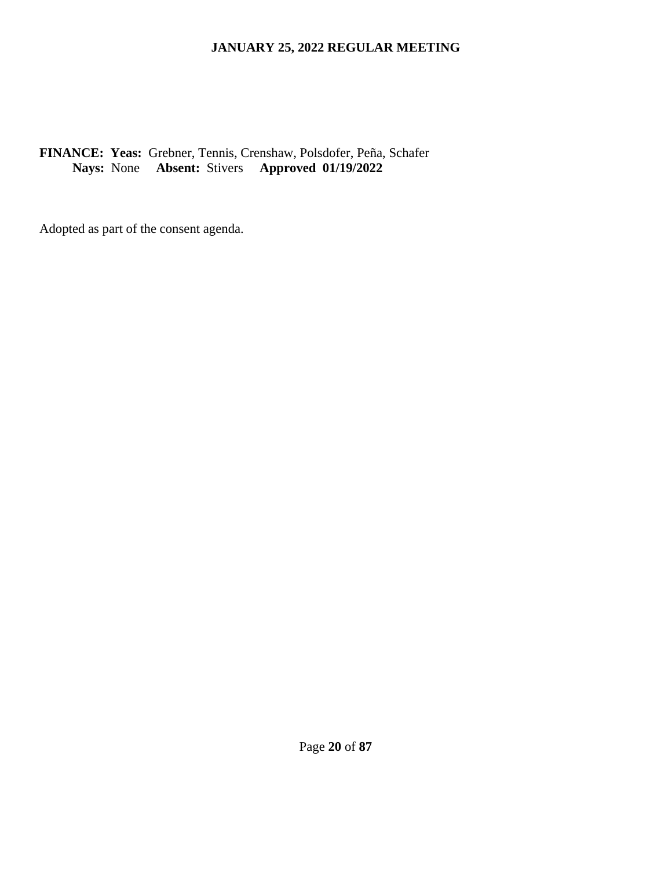# **FINANCE: Yeas:** Grebner, Tennis, Crenshaw, Polsdofer, Peña, Schafer **Nays:** None **Absent:** Stivers **Approved 01/19/2022**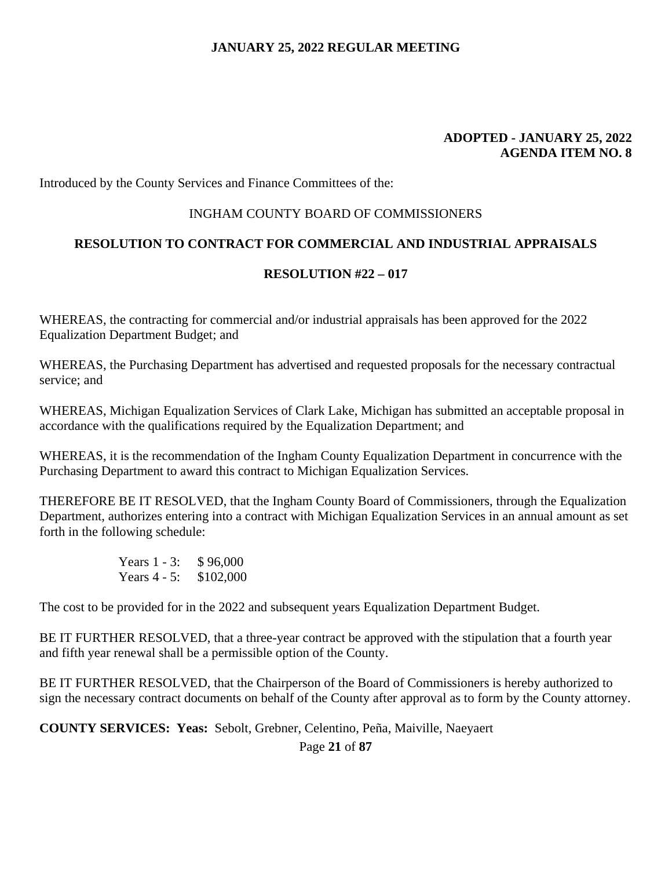#### **ADOPTED - JANUARY 25, 2022 AGENDA ITEM NO. 8**

Introduced by the County Services and Finance Committees of the:

#### INGHAM COUNTY BOARD OF COMMISSIONERS

### **RESOLUTION TO CONTRACT FOR COMMERCIAL AND INDUSTRIAL APPRAISALS**

#### **RESOLUTION #22 – 017**

WHEREAS, the contracting for commercial and/or industrial appraisals has been approved for the 2022 Equalization Department Budget; and

WHEREAS, the Purchasing Department has advertised and requested proposals for the necessary contractual service; and

WHEREAS, Michigan Equalization Services of Clark Lake, Michigan has submitted an acceptable proposal in accordance with the qualifications required by the Equalization Department; and

WHEREAS, it is the recommendation of the Ingham County Equalization Department in concurrence with the Purchasing Department to award this contract to Michigan Equalization Services.

THEREFORE BE IT RESOLVED, that the Ingham County Board of Commissioners, through the Equalization Department, authorizes entering into a contract with Michigan Equalization Services in an annual amount as set forth in the following schedule:

> Years 1 - 3: \$96,000 Years 4 - 5: \$102,000

The cost to be provided for in the 2022 and subsequent years Equalization Department Budget.

BE IT FURTHER RESOLVED, that a three-year contract be approved with the stipulation that a fourth year and fifth year renewal shall be a permissible option of the County.

BE IT FURTHER RESOLVED, that the Chairperson of the Board of Commissioners is hereby authorized to sign the necessary contract documents on behalf of the County after approval as to form by the County attorney.

**COUNTY SERVICES: Yeas:** Sebolt, Grebner, Celentino, Peña, Maiville, Naeyaert

Page **21** of **87**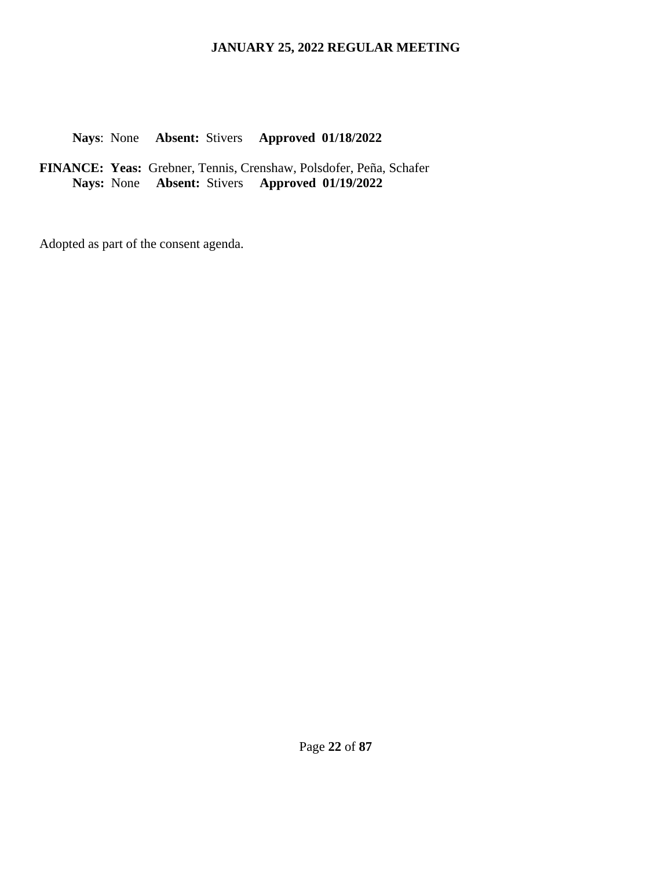### **Nays**: None **Absent:** Stivers **Approved 01/18/2022**

**FINANCE: Yeas:** Grebner, Tennis, Crenshaw, Polsdofer, Peña, Schafer **Nays:** None **Absent:** Stivers **Approved 01/19/2022**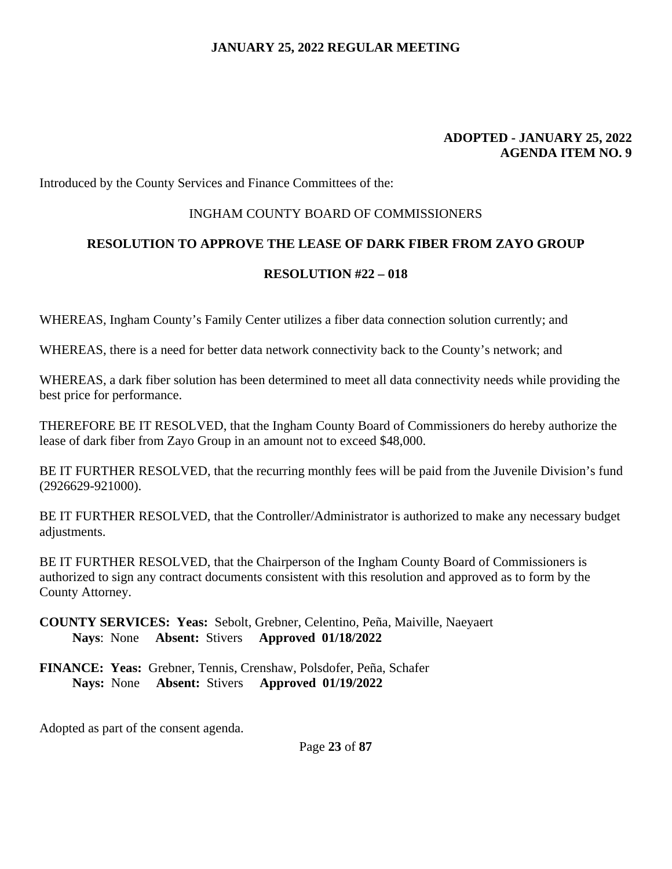#### **ADOPTED - JANUARY 25, 2022 AGENDA ITEM NO. 9**

Introduced by the County Services and Finance Committees of the:

#### INGHAM COUNTY BOARD OF COMMISSIONERS

### **RESOLUTION TO APPROVE THE LEASE OF DARK FIBER FROM ZAYO GROUP**

### **RESOLUTION #22 – 018**

WHEREAS, Ingham County's Family Center utilizes a fiber data connection solution currently; and

WHEREAS, there is a need for better data network connectivity back to the County's network; and

WHEREAS, a dark fiber solution has been determined to meet all data connectivity needs while providing the best price for performance.

THEREFORE BE IT RESOLVED, that the Ingham County Board of Commissioners do hereby authorize the lease of dark fiber from Zayo Group in an amount not to exceed \$48,000.

BE IT FURTHER RESOLVED, that the recurring monthly fees will be paid from the Juvenile Division's fund (2926629-921000).

BE IT FURTHER RESOLVED, that the Controller/Administrator is authorized to make any necessary budget adjustments.

BE IT FURTHER RESOLVED, that the Chairperson of the Ingham County Board of Commissioners is authorized to sign any contract documents consistent with this resolution and approved as to form by the County Attorney.

**COUNTY SERVICES: Yeas:** Sebolt, Grebner, Celentino, Peña, Maiville, Naeyaert **Nays**: None **Absent:** Stivers **Approved 01/18/2022** 

**FINANCE: Yeas:** Grebner, Tennis, Crenshaw, Polsdofer, Peña, Schafer **Nays:** None **Absent:** Stivers **Approved 01/19/2022** 

Adopted as part of the consent agenda.

Page **23** of **87**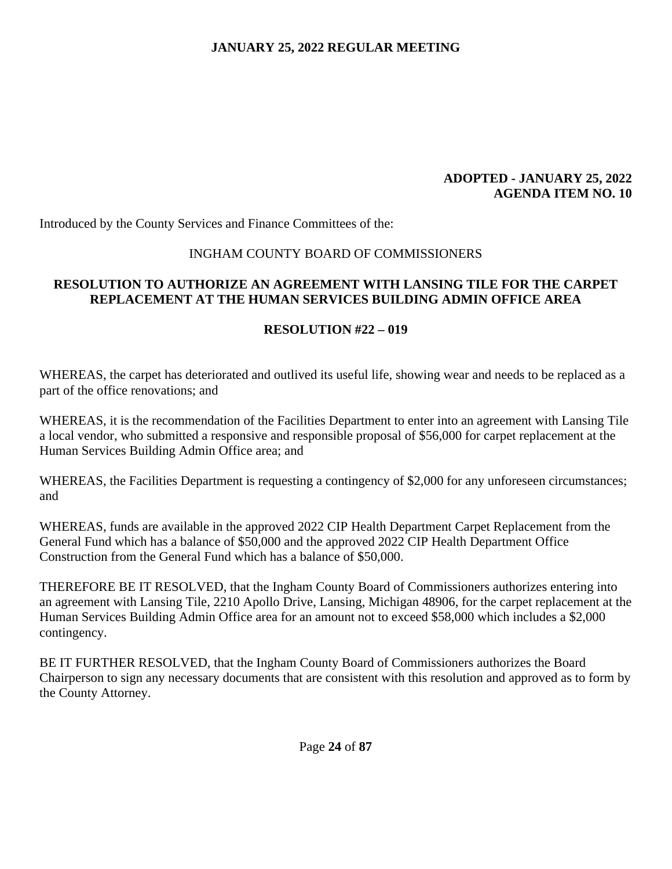#### **ADOPTED - JANUARY 25, 2022 AGENDA ITEM NO. 10**

Introduced by the County Services and Finance Committees of the:

### INGHAM COUNTY BOARD OF COMMISSIONERS

## **RESOLUTION TO AUTHORIZE AN AGREEMENT WITH LANSING TILE FOR THE CARPET REPLACEMENT AT THE HUMAN SERVICES BUILDING ADMIN OFFICE AREA**

### **RESOLUTION #22 – 019**

WHEREAS, the carpet has deteriorated and outlived its useful life, showing wear and needs to be replaced as a part of the office renovations; and

WHEREAS, it is the recommendation of the Facilities Department to enter into an agreement with Lansing Tile a local vendor, who submitted a responsive and responsible proposal of \$56,000 for carpet replacement at the Human Services Building Admin Office area; and

WHEREAS, the Facilities Department is requesting a contingency of \$2,000 for any unforeseen circumstances; and

WHEREAS, funds are available in the approved 2022 CIP Health Department Carpet Replacement from the General Fund which has a balance of \$50,000 and the approved 2022 CIP Health Department Office Construction from the General Fund which has a balance of \$50,000.

THEREFORE BE IT RESOLVED, that the Ingham County Board of Commissioners authorizes entering into an agreement with Lansing Tile, 2210 Apollo Drive, Lansing, Michigan 48906, for the carpet replacement at the Human Services Building Admin Office area for an amount not to exceed \$58,000 which includes a \$2,000 contingency.

BE IT FURTHER RESOLVED, that the Ingham County Board of Commissioners authorizes the Board Chairperson to sign any necessary documents that are consistent with this resolution and approved as to form by the County Attorney.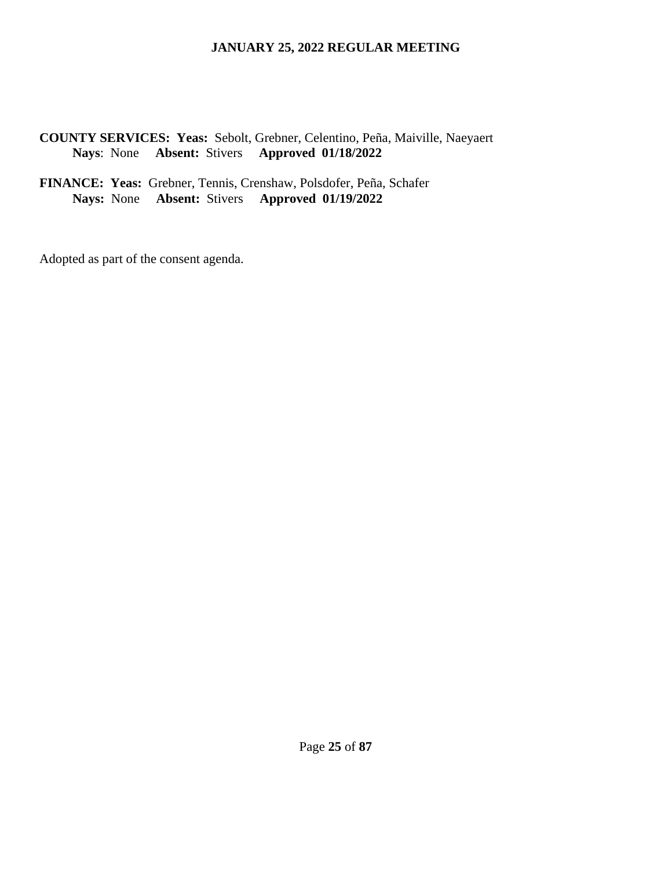### **COUNTY SERVICES: Yeas:** Sebolt, Grebner, Celentino, Peña, Maiville, Naeyaert **Nays**: None **Absent:** Stivers **Approved 01/18/2022**

#### **FINANCE: Yeas:** Grebner, Tennis, Crenshaw, Polsdofer, Peña, Schafer **Nays:** None **Absent:** Stivers **Approved 01/19/2022**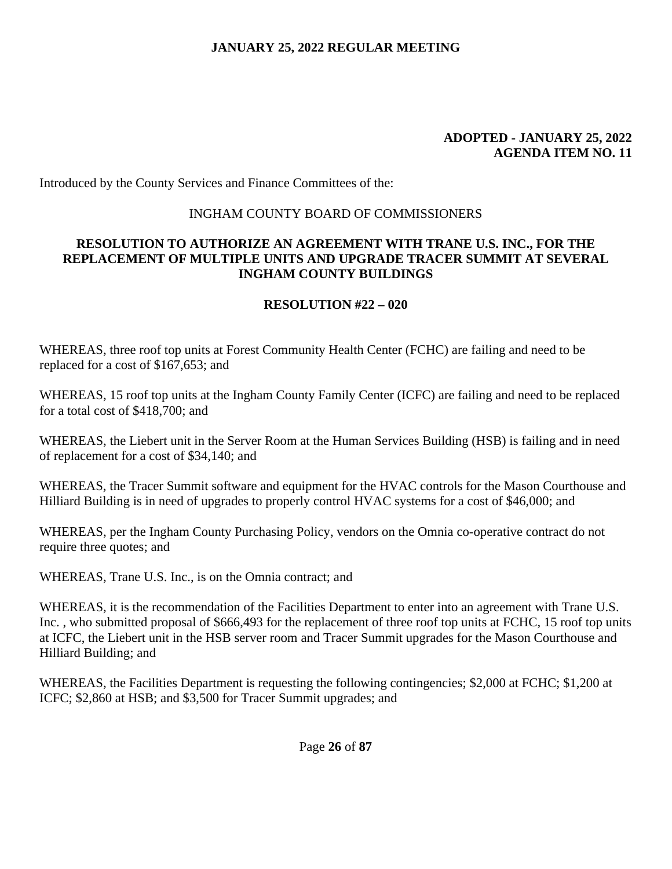#### **ADOPTED - JANUARY 25, 2022 AGENDA ITEM NO. 11**

Introduced by the County Services and Finance Committees of the:

### INGHAM COUNTY BOARD OF COMMISSIONERS

### **RESOLUTION TO AUTHORIZE AN AGREEMENT WITH TRANE U.S. INC., FOR THE REPLACEMENT OF MULTIPLE UNITS AND UPGRADE TRACER SUMMIT AT SEVERAL INGHAM COUNTY BUILDINGS**

### **RESOLUTION #22 – 020**

WHEREAS, three roof top units at Forest Community Health Center (FCHC) are failing and need to be replaced for a cost of \$167,653; and

WHEREAS, 15 roof top units at the Ingham County Family Center (ICFC) are failing and need to be replaced for a total cost of \$418,700; and

WHEREAS, the Liebert unit in the Server Room at the Human Services Building (HSB) is failing and in need of replacement for a cost of \$34,140; and

WHEREAS, the Tracer Summit software and equipment for the HVAC controls for the Mason Courthouse and Hilliard Building is in need of upgrades to properly control HVAC systems for a cost of \$46,000; and

WHEREAS, per the Ingham County Purchasing Policy, vendors on the Omnia co-operative contract do not require three quotes; and

WHEREAS, Trane U.S. Inc., is on the Omnia contract; and

WHEREAS, it is the recommendation of the Facilities Department to enter into an agreement with Trane U.S. Inc. , who submitted proposal of \$666,493 for the replacement of three roof top units at FCHC, 15 roof top units at ICFC, the Liebert unit in the HSB server room and Tracer Summit upgrades for the Mason Courthouse and Hilliard Building; and

WHEREAS, the Facilities Department is requesting the following contingencies; \$2,000 at FCHC; \$1,200 at ICFC; \$2,860 at HSB; and \$3,500 for Tracer Summit upgrades; and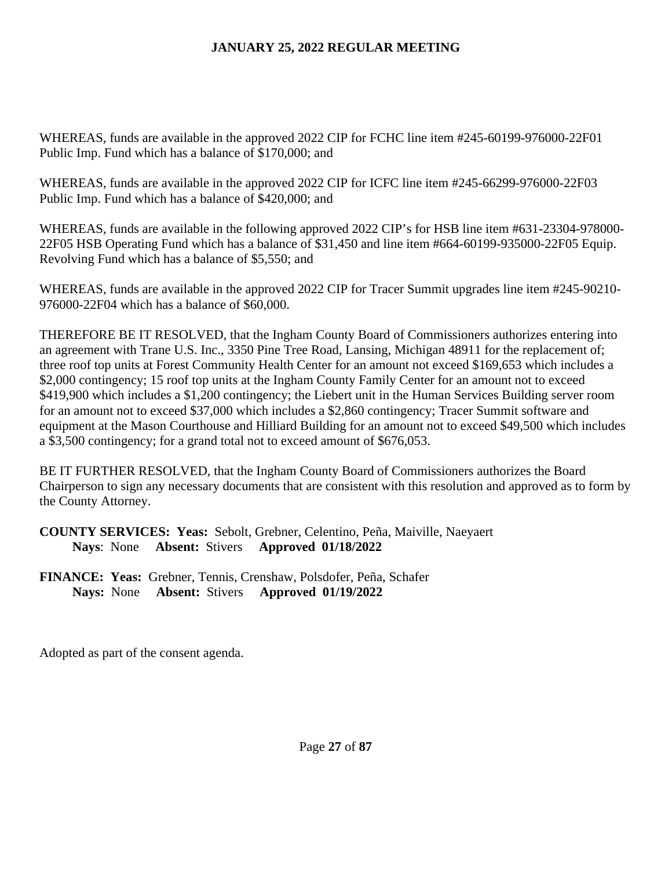WHEREAS, funds are available in the approved 2022 CIP for FCHC line item #245-60199-976000-22F01 Public Imp. Fund which has a balance of \$170,000; and

WHEREAS, funds are available in the approved 2022 CIP for ICFC line item #245-66299-976000-22F03 Public Imp. Fund which has a balance of \$420,000; and

WHEREAS, funds are available in the following approved 2022 CIP's for HSB line item #631-23304-978000- 22F05 HSB Operating Fund which has a balance of \$31,450 and line item #664-60199-935000-22F05 Equip. Revolving Fund which has a balance of \$5,550; and

WHEREAS, funds are available in the approved 2022 CIP for Tracer Summit upgrades line item #245-90210- 976000-22F04 which has a balance of \$60,000.

THEREFORE BE IT RESOLVED, that the Ingham County Board of Commissioners authorizes entering into an agreement with Trane U.S. Inc., 3350 Pine Tree Road, Lansing, Michigan 48911 for the replacement of; three roof top units at Forest Community Health Center for an amount not exceed \$169,653 which includes a \$2,000 contingency; 15 roof top units at the Ingham County Family Center for an amount not to exceed \$419,900 which includes a \$1,200 contingency; the Liebert unit in the Human Services Building server room for an amount not to exceed \$37,000 which includes a \$2,860 contingency; Tracer Summit software and equipment at the Mason Courthouse and Hilliard Building for an amount not to exceed \$49,500 which includes a \$3,500 contingency; for a grand total not to exceed amount of \$676,053.

BE IT FURTHER RESOLVED, that the Ingham County Board of Commissioners authorizes the Board Chairperson to sign any necessary documents that are consistent with this resolution and approved as to form by the County Attorney.

**COUNTY SERVICES: Yeas:** Sebolt, Grebner, Celentino, Peña, Maiville, Naeyaert **Nays**: None **Absent:** Stivers **Approved 01/18/2022** 

**FINANCE: Yeas:** Grebner, Tennis, Crenshaw, Polsdofer, Peña, Schafer **Nays:** None **Absent:** Stivers **Approved 01/19/2022**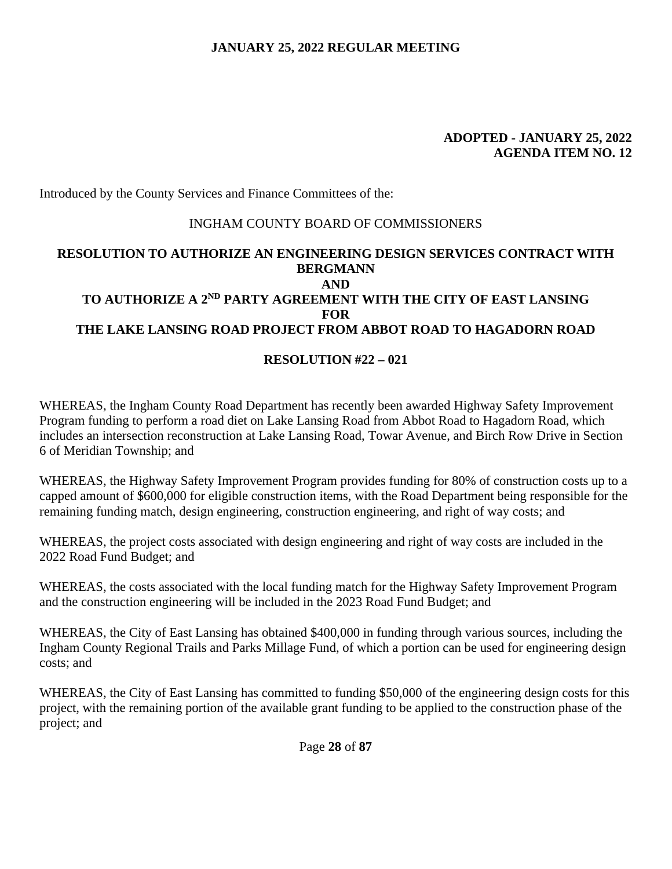#### **ADOPTED - JANUARY 25, 2022 AGENDA ITEM NO. 12**

Introduced by the County Services and Finance Committees of the:

### INGHAM COUNTY BOARD OF COMMISSIONERS

# **RESOLUTION TO AUTHORIZE AN ENGINEERING DESIGN SERVICES CONTRACT WITH BERGMANN AND TO AUTHORIZE A 2ND PARTY AGREEMENT WITH THE CITY OF EAST LANSING FOR THE LAKE LANSING ROAD PROJECT FROM ABBOT ROAD TO HAGADORN ROAD**

### **RESOLUTION #22 – 021**

WHEREAS, the Ingham County Road Department has recently been awarded Highway Safety Improvement Program funding to perform a road diet on Lake Lansing Road from Abbot Road to Hagadorn Road, which includes an intersection reconstruction at Lake Lansing Road, Towar Avenue, and Birch Row Drive in Section 6 of Meridian Township; and

WHEREAS, the Highway Safety Improvement Program provides funding for 80% of construction costs up to a capped amount of \$600,000 for eligible construction items, with the Road Department being responsible for the remaining funding match, design engineering, construction engineering, and right of way costs; and

WHEREAS, the project costs associated with design engineering and right of way costs are included in the 2022 Road Fund Budget; and

WHEREAS, the costs associated with the local funding match for the Highway Safety Improvement Program and the construction engineering will be included in the 2023 Road Fund Budget; and

WHEREAS, the City of East Lansing has obtained \$400,000 in funding through various sources, including the Ingham County Regional Trails and Parks Millage Fund, of which a portion can be used for engineering design costs; and

WHEREAS, the City of East Lansing has committed to funding \$50,000 of the engineering design costs for this project, with the remaining portion of the available grant funding to be applied to the construction phase of the project; and

Page **28** of **87**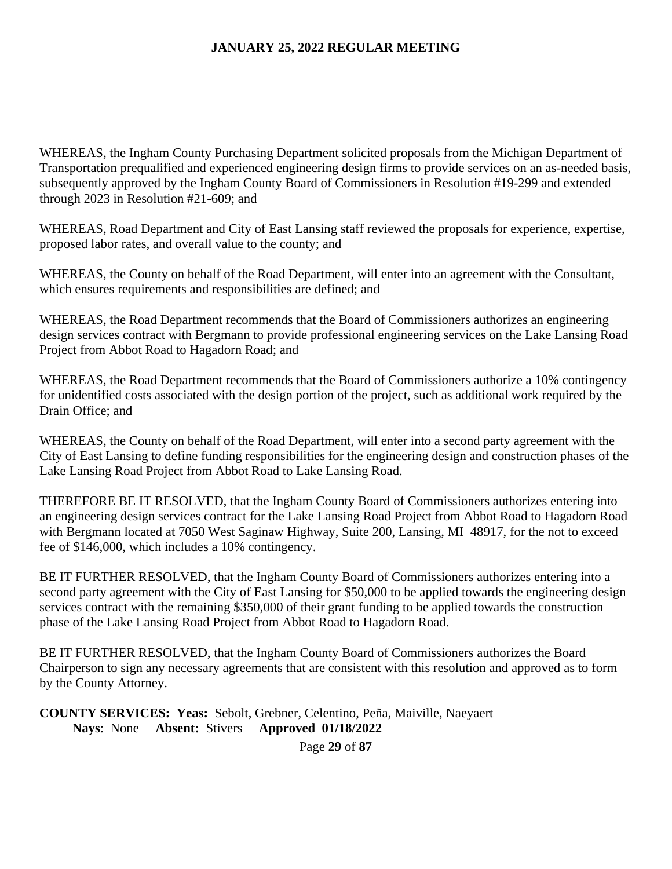WHEREAS, the Ingham County Purchasing Department solicited proposals from the Michigan Department of Transportation prequalified and experienced engineering design firms to provide services on an as-needed basis, subsequently approved by the Ingham County Board of Commissioners in Resolution #19-299 and extended through 2023 in Resolution #21-609; and

WHEREAS, Road Department and City of East Lansing staff reviewed the proposals for experience, expertise, proposed labor rates, and overall value to the county; and

WHEREAS, the County on behalf of the Road Department, will enter into an agreement with the Consultant, which ensures requirements and responsibilities are defined; and

WHEREAS, the Road Department recommends that the Board of Commissioners authorizes an engineering design services contract with Bergmann to provide professional engineering services on the Lake Lansing Road Project from Abbot Road to Hagadorn Road; and

WHEREAS, the Road Department recommends that the Board of Commissioners authorize a 10% contingency for unidentified costs associated with the design portion of the project, such as additional work required by the Drain Office; and

WHEREAS, the County on behalf of the Road Department, will enter into a second party agreement with the City of East Lansing to define funding responsibilities for the engineering design and construction phases of the Lake Lansing Road Project from Abbot Road to Lake Lansing Road.

THEREFORE BE IT RESOLVED, that the Ingham County Board of Commissioners authorizes entering into an engineering design services contract for the Lake Lansing Road Project from Abbot Road to Hagadorn Road with Bergmann located at 7050 West Saginaw Highway, Suite 200, Lansing, MI 48917, for the not to exceed fee of \$146,000, which includes a 10% contingency.

BE IT FURTHER RESOLVED, that the Ingham County Board of Commissioners authorizes entering into a second party agreement with the City of East Lansing for \$50,000 to be applied towards the engineering design services contract with the remaining \$350,000 of their grant funding to be applied towards the construction phase of the Lake Lansing Road Project from Abbot Road to Hagadorn Road.

BE IT FURTHER RESOLVED, that the Ingham County Board of Commissioners authorizes the Board Chairperson to sign any necessary agreements that are consistent with this resolution and approved as to form by the County Attorney.

**COUNTY SERVICES: Yeas:** Sebolt, Grebner, Celentino, Peña, Maiville, Naeyaert **Nays**: None **Absent:** Stivers **Approved 01/18/2022** 

Page **29** of **87**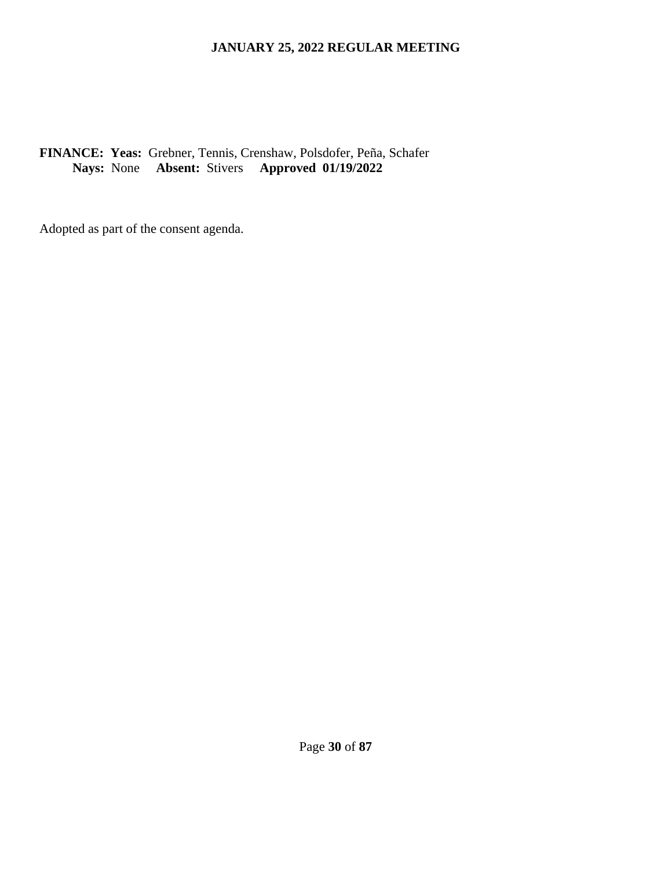# **FINANCE: Yeas:** Grebner, Tennis, Crenshaw, Polsdofer, Peña, Schafer **Nays:** None **Absent:** Stivers **Approved 01/19/2022**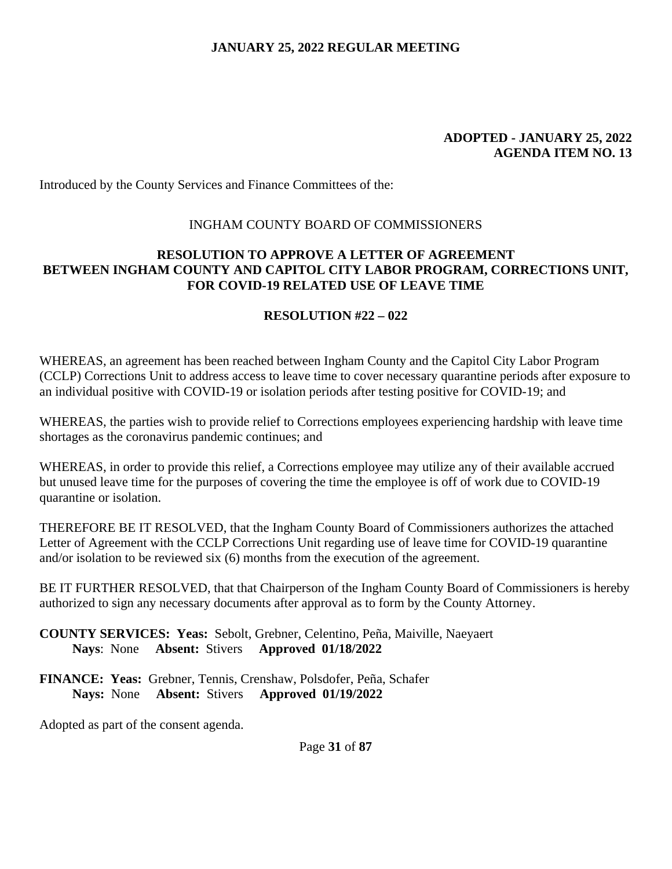#### **ADOPTED - JANUARY 25, 2022 AGENDA ITEM NO. 13**

Introduced by the County Services and Finance Committees of the:

#### INGHAM COUNTY BOARD OF COMMISSIONERS

### **RESOLUTION TO APPROVE A LETTER OF AGREEMENT BETWEEN INGHAM COUNTY AND CAPITOL CITY LABOR PROGRAM, CORRECTIONS UNIT, FOR COVID-19 RELATED USE OF LEAVE TIME**

#### **RESOLUTION #22 – 022**

WHEREAS, an agreement has been reached between Ingham County and the Capitol City Labor Program (CCLP) Corrections Unit to address access to leave time to cover necessary quarantine periods after exposure to an individual positive with COVID-19 or isolation periods after testing positive for COVID-19; and

WHEREAS, the parties wish to provide relief to Corrections employees experiencing hardship with leave time shortages as the coronavirus pandemic continues; and

WHEREAS, in order to provide this relief, a Corrections employee may utilize any of their available accrued but unused leave time for the purposes of covering the time the employee is off of work due to COVID-19 quarantine or isolation.

THEREFORE BE IT RESOLVED, that the Ingham County Board of Commissioners authorizes the attached Letter of Agreement with the CCLP Corrections Unit regarding use of leave time for COVID-19 quarantine and/or isolation to be reviewed six (6) months from the execution of the agreement.

BE IT FURTHER RESOLVED, that that Chairperson of the Ingham County Board of Commissioners is hereby authorized to sign any necessary documents after approval as to form by the County Attorney.

**COUNTY SERVICES: Yeas:** Sebolt, Grebner, Celentino, Peña, Maiville, Naeyaert **Nays**: None **Absent:** Stivers **Approved 01/18/2022** 

**FINANCE: Yeas:** Grebner, Tennis, Crenshaw, Polsdofer, Peña, Schafer **Nays:** None **Absent:** Stivers **Approved 01/19/2022**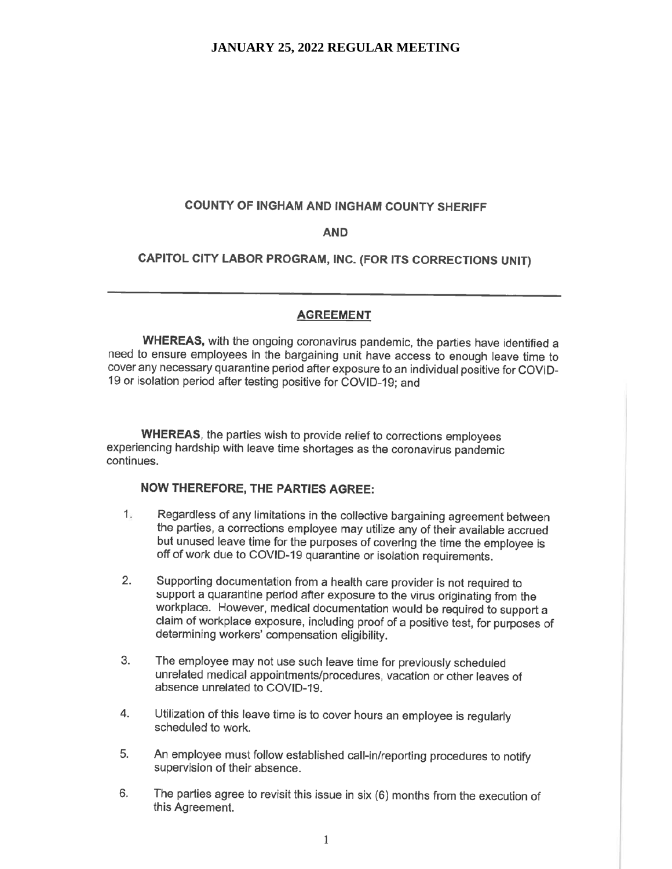#### COUNTY OF INGHAM AND INGHAM COUNTY SHERIFF

#### **AND**

CAPITOL CITY LABOR PROGRAM, INC. (FOR ITS CORRECTIONS UNIT)

#### **AGREEMENT**

WHEREAS, with the ongoing coronavirus pandemic, the parties have identified a need to ensure employees in the bargaining unit have access to enough leave time to cover any necessary quarantine period after exposure to an individual positive for COVID-19 or isolation period after testing positive for COVID-19; and

WHEREAS, the parties wish to provide relief to corrections employees experiencing hardship with leave time shortages as the coronavirus pandemic continues.

#### **NOW THEREFORE, THE PARTIES AGREE:**

- $1.$ Regardless of any limitations in the collective bargaining agreement between the parties, a corrections employee may utilize any of their available accrued but unused leave time for the purposes of covering the time the employee is off of work due to COVID-19 quarantine or isolation requirements.
- $2.$ Supporting documentation from a health care provider is not required to support a quarantine period after exposure to the virus originating from the workplace. However, medical documentation would be required to support a claim of workplace exposure, including proof of a positive test, for purposes of determining workers' compensation eligibility.
- 3. The employee may not use such leave time for previously scheduled unrelated medical appointments/procedures, vacation or other leaves of absence unrelated to COVID-19
- 4. Utilization of this leave time is to cover hours an employee is regularly scheduled to work.
- 5. An employee must follow established call-in/reporting procedures to notify supervision of their absence.
- 6. The parties agree to revisit this issue in six (6) months from the execution of this Agreement.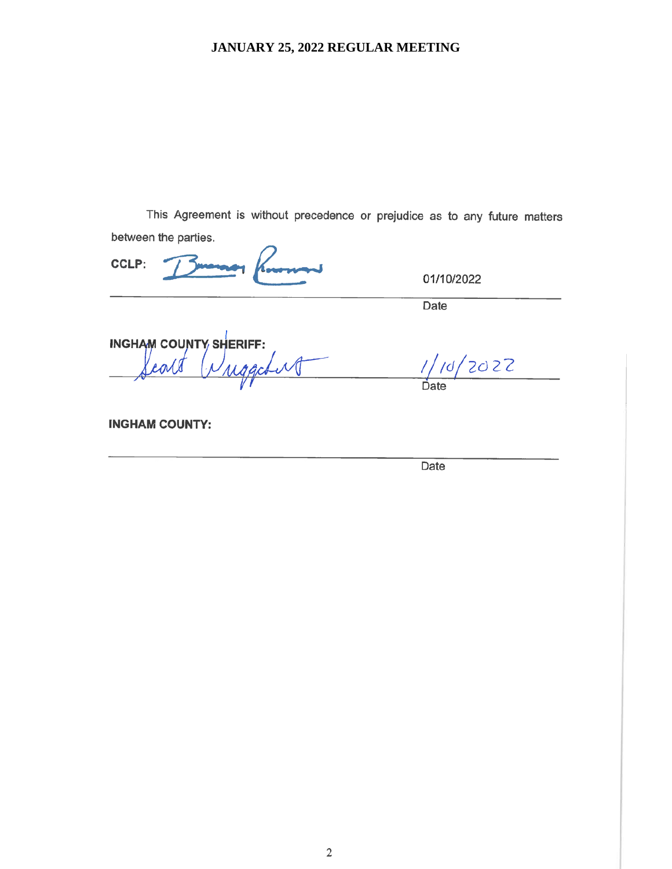This Agreement is without precedence or prejudice as to any future matters between the parties.

**CCLP:** 

01/10/2022

Date

**INGHAM COUNTY SHERIFF:** uggeburg Lov

 $1/10/2022$ 

**INGHAM COUNTY:** 

Date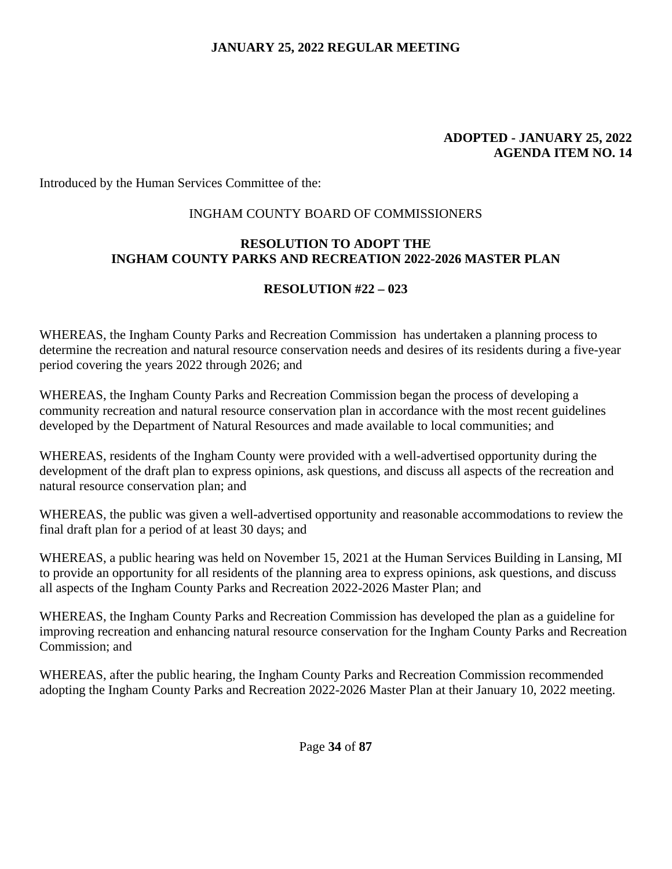#### **ADOPTED - JANUARY 25, 2022 AGENDA ITEM NO. 14**

Introduced by the Human Services Committee of the:

#### INGHAM COUNTY BOARD OF COMMISSIONERS

### **RESOLUTION TO ADOPT THE INGHAM COUNTY PARKS AND RECREATION 2022-2026 MASTER PLAN**

## **RESOLUTION #22 – 023**

WHEREAS, the Ingham County Parks and Recreation Commission has undertaken a planning process to determine the recreation and natural resource conservation needs and desires of its residents during a five-year period covering the years 2022 through 2026; and

WHEREAS, the Ingham County Parks and Recreation Commission began the process of developing a community recreation and natural resource conservation plan in accordance with the most recent guidelines developed by the Department of Natural Resources and made available to local communities; and

WHEREAS, residents of the Ingham County were provided with a well-advertised opportunity during the development of the draft plan to express opinions, ask questions, and discuss all aspects of the recreation and natural resource conservation plan; and

WHEREAS, the public was given a well-advertised opportunity and reasonable accommodations to review the final draft plan for a period of at least 30 days; and

WHEREAS, a public hearing was held on November 15, 2021 at the Human Services Building in Lansing, MI to provide an opportunity for all residents of the planning area to express opinions, ask questions, and discuss all aspects of the Ingham County Parks and Recreation 2022-2026 Master Plan; and

WHEREAS, the Ingham County Parks and Recreation Commission has developed the plan as a guideline for improving recreation and enhancing natural resource conservation for the Ingham County Parks and Recreation Commission; and

WHEREAS, after the public hearing, the Ingham County Parks and Recreation Commission recommended adopting the Ingham County Parks and Recreation 2022-2026 Master Plan at their January 10, 2022 meeting.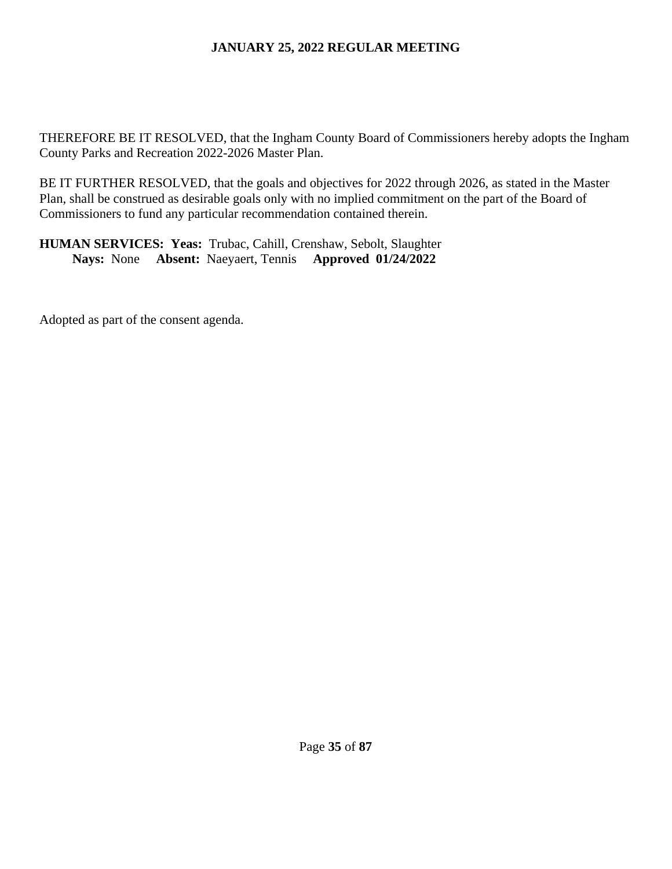THEREFORE BE IT RESOLVED, that the Ingham County Board of Commissioners hereby adopts the Ingham County Parks and Recreation 2022-2026 Master Plan.

BE IT FURTHER RESOLVED, that the goals and objectives for 2022 through 2026, as stated in the Master Plan, shall be construed as desirable goals only with no implied commitment on the part of the Board of Commissioners to fund any particular recommendation contained therein.

**HUMAN SERVICES: Yeas:** Trubac, Cahill, Crenshaw, Sebolt, Slaughter **Nays:** None **Absent:** Naeyaert, Tennis **Approved 01/24/2022**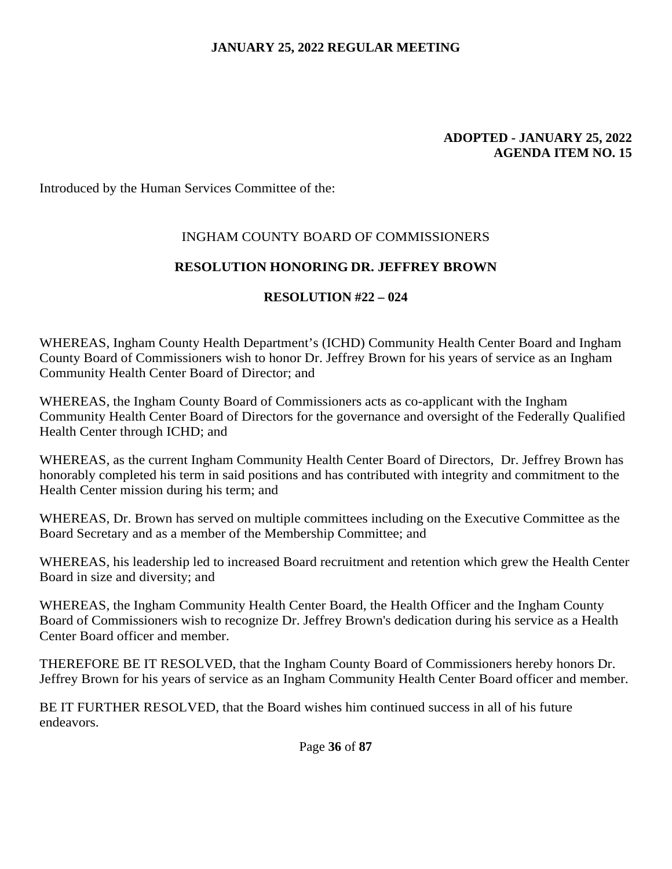#### **ADOPTED - JANUARY 25, 2022 AGENDA ITEM NO. 15**

Introduced by the Human Services Committee of the:

## INGHAM COUNTY BOARD OF COMMISSIONERS

### **RESOLUTION HONORING DR. JEFFREY BROWN**

### **RESOLUTION #22 – 024**

WHEREAS, Ingham County Health Department's (ICHD) Community Health Center Board and Ingham County Board of Commissioners wish to honor Dr. Jeffrey Brown for his years of service as an Ingham Community Health Center Board of Director; and

WHEREAS, the Ingham County Board of Commissioners acts as co-applicant with the Ingham Community Health Center Board of Directors for the governance and oversight of the Federally Qualified Health Center through ICHD; and

WHEREAS, as the current Ingham Community Health Center Board of Directors, Dr. Jeffrey Brown has honorably completed his term in said positions and has contributed with integrity and commitment to the Health Center mission during his term; and

WHEREAS, Dr. Brown has served on multiple committees including on the Executive Committee as the Board Secretary and as a member of the Membership Committee; and

WHEREAS, his leadership led to increased Board recruitment and retention which grew the Health Center Board in size and diversity; and

WHEREAS, the Ingham Community Health Center Board, the Health Officer and the Ingham County Board of Commissioners wish to recognize Dr. Jeffrey Brown's dedication during his service as a Health Center Board officer and member.

THEREFORE BE IT RESOLVED, that the Ingham County Board of Commissioners hereby honors Dr. Jeffrey Brown for his years of service as an Ingham Community Health Center Board officer and member.

BE IT FURTHER RESOLVED, that the Board wishes him continued success in all of his future endeavors.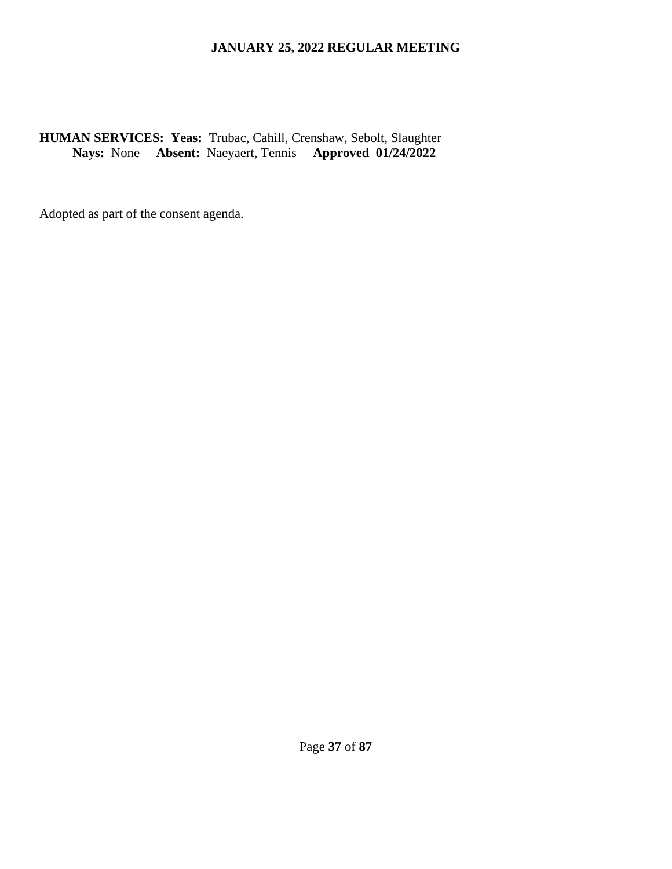**HUMAN SERVICES: Yeas:** Trubac, Cahill, Crenshaw, Sebolt, Slaughter **Nays:** None **Absent:** Naeyaert, Tennis **Approved 01/24/2022**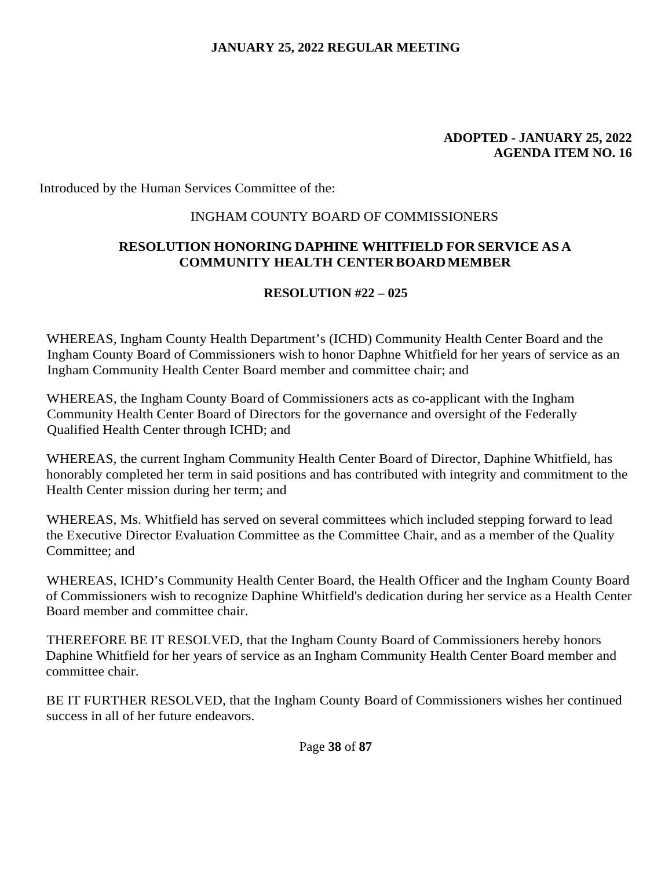#### **ADOPTED - JANUARY 25, 2022 AGENDA ITEM NO. 16**

Introduced by the Human Services Committee of the:

### INGHAM COUNTY BOARD OF COMMISSIONERS

## **RESOLUTION HONORING DAPHINE WHITFIELD FOR SERVICE AS A COMMUNITY HEALTH CENTER BOARD MEMBER**

### **RESOLUTION #22 – 025**

WHEREAS, Ingham County Health Department's (ICHD) Community Health Center Board and the Ingham County Board of Commissioners wish to honor Daphne Whitfield for her years of service as an Ingham Community Health Center Board member and committee chair; and

WHEREAS, the Ingham County Board of Commissioners acts as co-applicant with the Ingham Community Health Center Board of Directors for the governance and oversight of the Federally Qualified Health Center through ICHD; and

WHEREAS, the current Ingham Community Health Center Board of Director, Daphine Whitfield, has honorably completed her term in said positions and has contributed with integrity and commitment to the Health Center mission during her term; and

WHEREAS, Ms. Whitfield has served on several committees which included stepping forward to lead the Executive Director Evaluation Committee as the Committee Chair, and as a member of the Quality Committee; and

WHEREAS, ICHD's Community Health Center Board, the Health Officer and the Ingham County Board of Commissioners wish to recognize Daphine Whitfield's dedication during her service as a Health Center Board member and committee chair.

THEREFORE BE IT RESOLVED, that the Ingham County Board of Commissioners hereby honors Daphine Whitfield for her years of service as an Ingham Community Health Center Board member and committee chair.

BE IT FURTHER RESOLVED, that the Ingham County Board of Commissioners wishes her continued success in all of her future endeavors.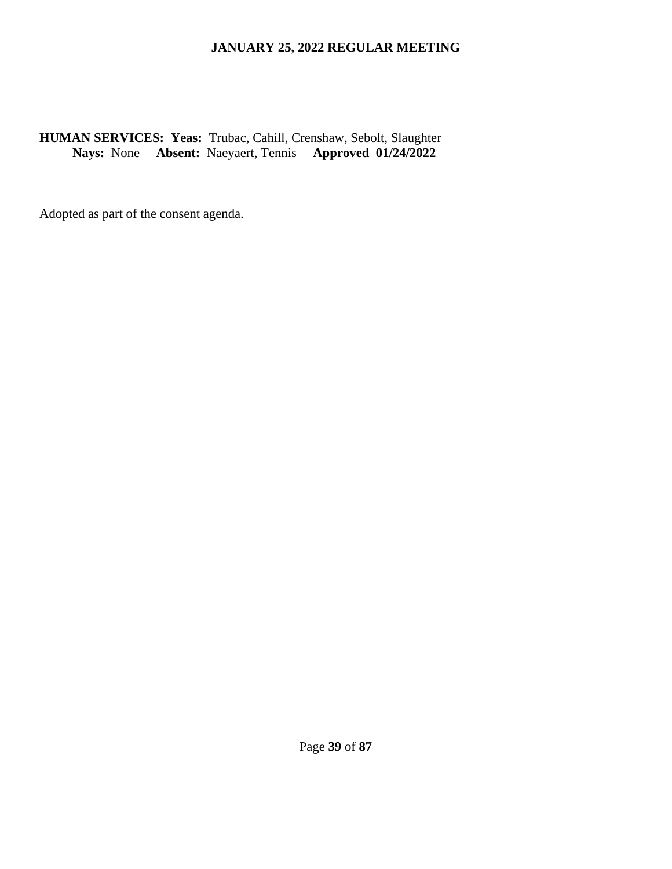**HUMAN SERVICES: Yeas:** Trubac, Cahill, Crenshaw, Sebolt, Slaughter **Nays:** None **Absent:** Naeyaert, Tennis **Approved 01/24/2022**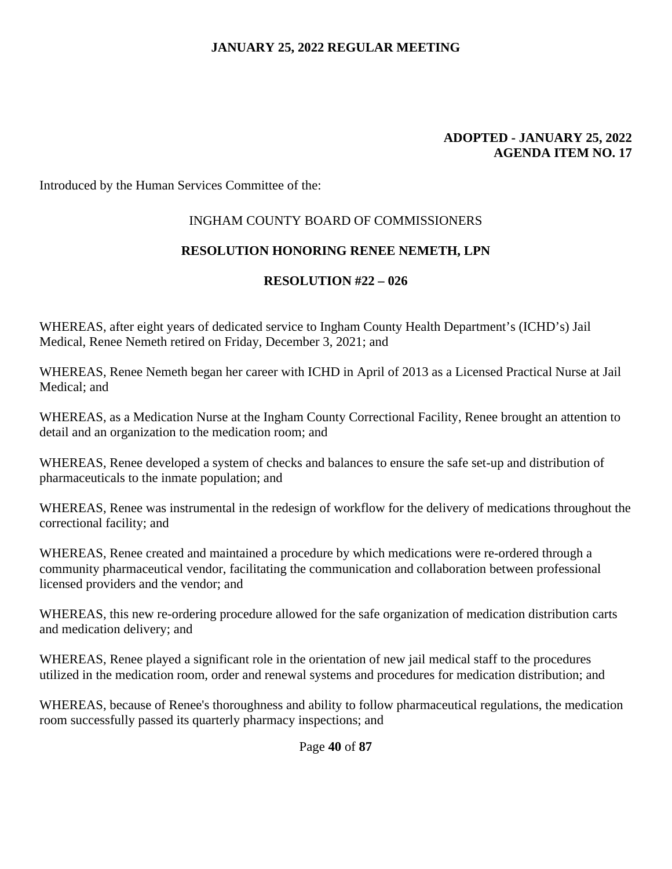#### **ADOPTED - JANUARY 25, 2022 AGENDA ITEM NO. 17**

Introduced by the Human Services Committee of the:

#### INGHAM COUNTY BOARD OF COMMISSIONERS

#### **RESOLUTION HONORING RENEE NEMETH, LPN**

#### **RESOLUTION #22 – 026**

WHEREAS, after eight years of dedicated service to Ingham County Health Department's (ICHD's) Jail Medical, Renee Nemeth retired on Friday, December 3, 2021; and

WHEREAS, Renee Nemeth began her career with ICHD in April of 2013 as a Licensed Practical Nurse at Jail Medical; and

WHEREAS, as a Medication Nurse at the Ingham County Correctional Facility, Renee brought an attention to detail and an organization to the medication room; and

WHEREAS, Renee developed a system of checks and balances to ensure the safe set-up and distribution of pharmaceuticals to the inmate population; and

WHEREAS, Renee was instrumental in the redesign of workflow for the delivery of medications throughout the correctional facility; and

WHEREAS, Renee created and maintained a procedure by which medications were re-ordered through a community pharmaceutical vendor, facilitating the communication and collaboration between professional licensed providers and the vendor; and

WHEREAS, this new re-ordering procedure allowed for the safe organization of medication distribution carts and medication delivery; and

WHEREAS, Renee played a significant role in the orientation of new jail medical staff to the procedures utilized in the medication room, order and renewal systems and procedures for medication distribution; and

WHEREAS, because of Renee's thoroughness and ability to follow pharmaceutical regulations, the medication room successfully passed its quarterly pharmacy inspections; and

Page **40** of **87**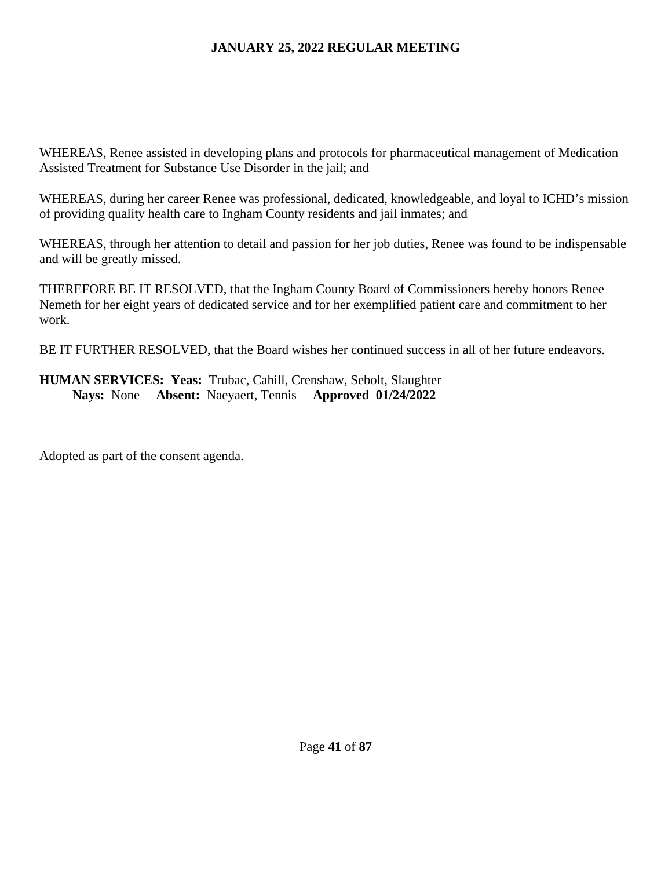WHEREAS, Renee assisted in developing plans and protocols for pharmaceutical management of Medication Assisted Treatment for Substance Use Disorder in the jail; and

WHEREAS, during her career Renee was professional, dedicated, knowledgeable, and loyal to ICHD's mission of providing quality health care to Ingham County residents and jail inmates; and

WHEREAS, through her attention to detail and passion for her job duties, Renee was found to be indispensable and will be greatly missed.

THEREFORE BE IT RESOLVED, that the Ingham County Board of Commissioners hereby honors Renee Nemeth for her eight years of dedicated service and for her exemplified patient care and commitment to her work.

BE IT FURTHER RESOLVED, that the Board wishes her continued success in all of her future endeavors.

# **HUMAN SERVICES: Yeas:** Trubac, Cahill, Crenshaw, Sebolt, Slaughter **Nays:** None **Absent:** Naeyaert, Tennis **Approved 01/24/2022**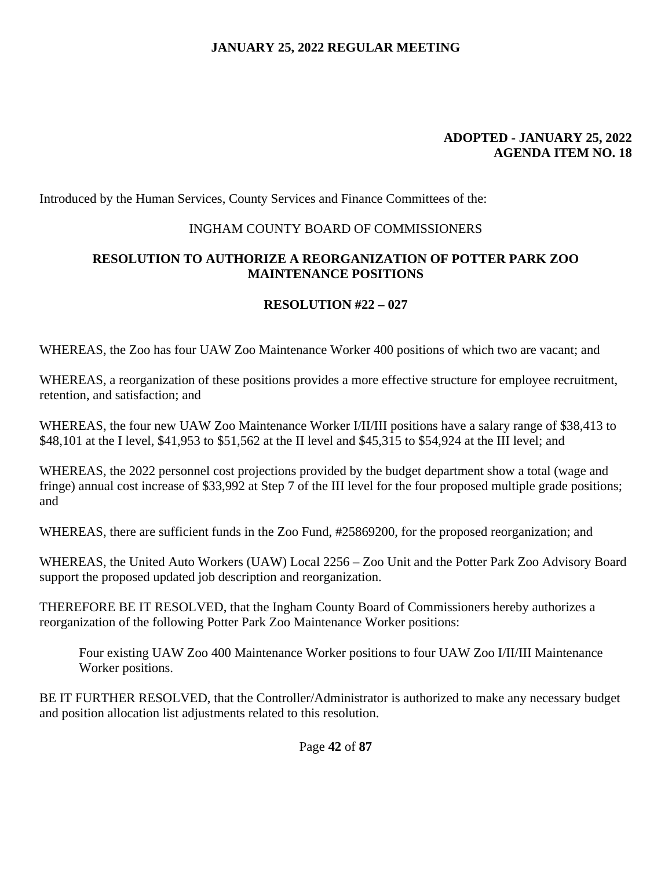#### **ADOPTED - JANUARY 25, 2022 AGENDA ITEM NO. 18**

Introduced by the Human Services, County Services and Finance Committees of the:

### INGHAM COUNTY BOARD OF COMMISSIONERS

### **RESOLUTION TO AUTHORIZE A REORGANIZATION OF POTTER PARK ZOO MAINTENANCE POSITIONS**

### **RESOLUTION #22 – 027**

WHEREAS, the Zoo has four UAW Zoo Maintenance Worker 400 positions of which two are vacant; and

WHEREAS, a reorganization of these positions provides a more effective structure for employee recruitment, retention, and satisfaction; and

WHEREAS, the four new UAW Zoo Maintenance Worker I/II/III positions have a salary range of \$38,413 to \$48,101 at the I level, \$41,953 to \$51,562 at the II level and \$45,315 to \$54,924 at the III level; and

WHEREAS, the 2022 personnel cost projections provided by the budget department show a total (wage and fringe) annual cost increase of \$33,992 at Step 7 of the III level for the four proposed multiple grade positions; and

WHEREAS, there are sufficient funds in the Zoo Fund, #25869200, for the proposed reorganization; and

WHEREAS, the United Auto Workers (UAW) Local 2256 – Zoo Unit and the Potter Park Zoo Advisory Board support the proposed updated job description and reorganization.

THEREFORE BE IT RESOLVED, that the Ingham County Board of Commissioners hereby authorizes a reorganization of the following Potter Park Zoo Maintenance Worker positions:

Four existing UAW Zoo 400 Maintenance Worker positions to four UAW Zoo I/II/III Maintenance Worker positions.

BE IT FURTHER RESOLVED, that the Controller/Administrator is authorized to make any necessary budget and position allocation list adjustments related to this resolution.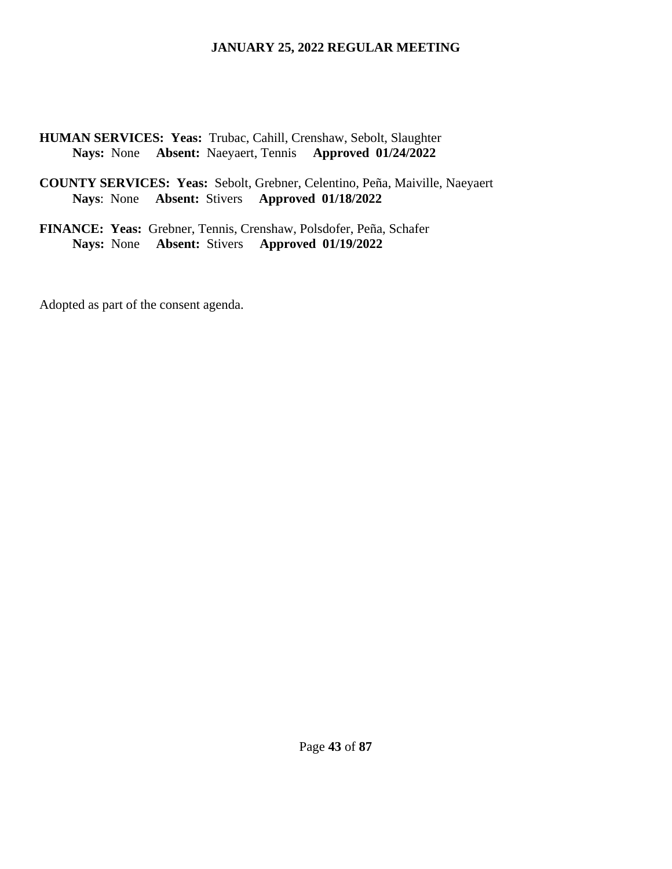**HUMAN SERVICES: Yeas:** Trubac, Cahill, Crenshaw, Sebolt, Slaughter **Nays:** None **Absent:** Naeyaert, Tennis **Approved 01/24/2022** 

**COUNTY SERVICES: Yeas:** Sebolt, Grebner, Celentino, Peña, Maiville, Naeyaert **Nays**: None **Absent:** Stivers **Approved 01/18/2022** 

**FINANCE: Yeas:** Grebner, Tennis, Crenshaw, Polsdofer, Peña, Schafer **Nays:** None **Absent:** Stivers **Approved 01/19/2022**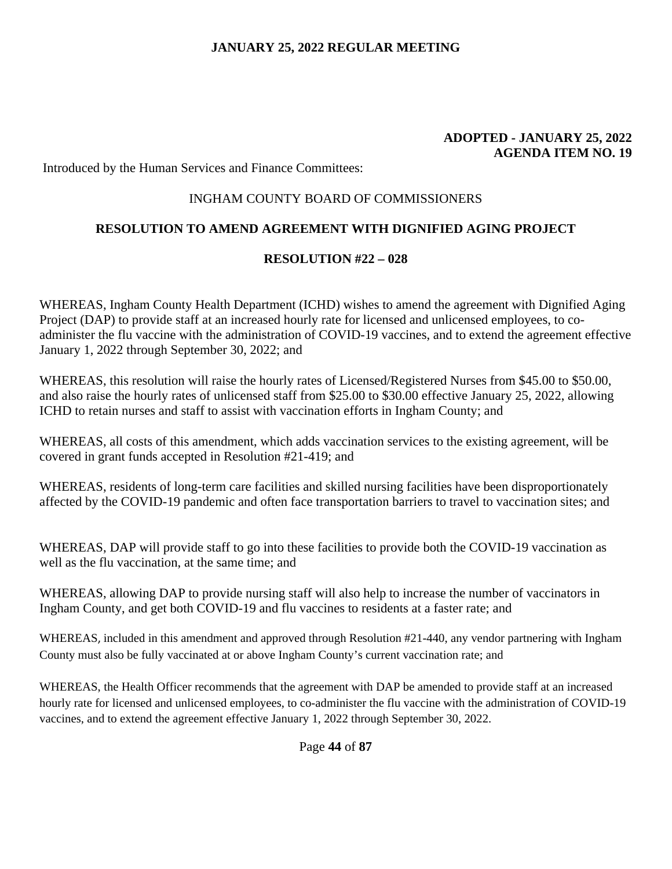#### **ADOPTED - JANUARY 25, 2022 AGENDA ITEM NO. 19**

Introduced by the Human Services and Finance Committees:

#### INGHAM COUNTY BOARD OF COMMISSIONERS

### **RESOLUTION TO AMEND AGREEMENT WITH DIGNIFIED AGING PROJECT**

#### **RESOLUTION #22 – 028**

WHEREAS, Ingham County Health Department (ICHD) wishes to amend the agreement with Dignified Aging Project (DAP) to provide staff at an increased hourly rate for licensed and unlicensed employees, to coadminister the flu vaccine with the administration of COVID-19 vaccines, and to extend the agreement effective January 1, 2022 through September 30, 2022; and

WHEREAS, this resolution will raise the hourly rates of Licensed/Registered Nurses from \$45.00 to \$50.00, and also raise the hourly rates of unlicensed staff from \$25.00 to \$30.00 effective January 25, 2022, allowing ICHD to retain nurses and staff to assist with vaccination efforts in Ingham County; and

WHEREAS, all costs of this amendment, which adds vaccination services to the existing agreement, will be covered in grant funds accepted in Resolution #21-419; and

WHEREAS, residents of long-term care facilities and skilled nursing facilities have been disproportionately affected by the COVID-19 pandemic and often face transportation barriers to travel to vaccination sites; and

WHEREAS, DAP will provide staff to go into these facilities to provide both the COVID-19 vaccination as well as the flu vaccination, at the same time; and

WHEREAS, allowing DAP to provide nursing staff will also help to increase the number of vaccinators in Ingham County, and get both COVID-19 and flu vaccines to residents at a faster rate; and

WHEREAS, included in this amendment and approved through Resolution #21-440, any vendor partnering with Ingham County must also be fully vaccinated at or above Ingham County's current vaccination rate; and

WHEREAS, the Health Officer recommends that the agreement with DAP be amended to provide staff at an increased hourly rate for licensed and unlicensed employees, to co-administer the flu vaccine with the administration of COVID-19 vaccines, and to extend the agreement effective January 1, 2022 through September 30, 2022.

Page **44** of **87**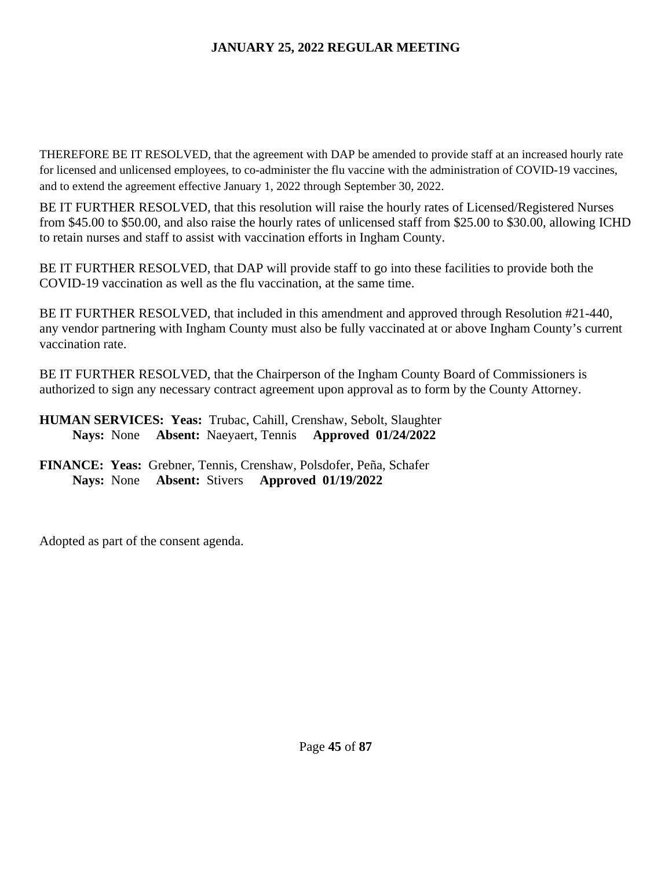THEREFORE BE IT RESOLVED, that the agreement with DAP be amended to provide staff at an increased hourly rate for licensed and unlicensed employees, to co-administer the flu vaccine with the administration of COVID-19 vaccines, and to extend the agreement effective January 1, 2022 through September 30, 2022.

BE IT FURTHER RESOLVED, that this resolution will raise the hourly rates of Licensed/Registered Nurses from \$45.00 to \$50.00, and also raise the hourly rates of unlicensed staff from \$25.00 to \$30.00, allowing ICHD to retain nurses and staff to assist with vaccination efforts in Ingham County.

BE IT FURTHER RESOLVED, that DAP will provide staff to go into these facilities to provide both the COVID-19 vaccination as well as the flu vaccination, at the same time.

BE IT FURTHER RESOLVED, that included in this amendment and approved through Resolution #21-440, any vendor partnering with Ingham County must also be fully vaccinated at or above Ingham County's current vaccination rate.

BE IT FURTHER RESOLVED, that the Chairperson of the Ingham County Board of Commissioners is authorized to sign any necessary contract agreement upon approval as to form by the County Attorney.

## **HUMAN SERVICES: Yeas:** Trubac, Cahill, Crenshaw, Sebolt, Slaughter **Nays:** None **Absent:** Naeyaert, Tennis **Approved 01/24/2022**

## **FINANCE: Yeas:** Grebner, Tennis, Crenshaw, Polsdofer, Peña, Schafer **Nays:** None **Absent:** Stivers **Approved 01/19/2022**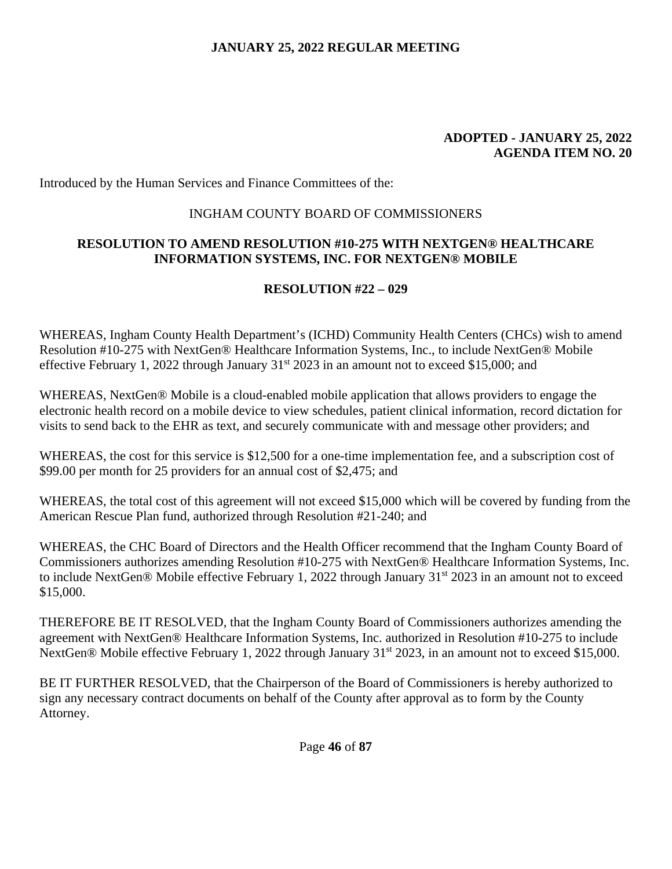#### **ADOPTED - JANUARY 25, 2022 AGENDA ITEM NO. 20**

Introduced by the Human Services and Finance Committees of the:

### INGHAM COUNTY BOARD OF COMMISSIONERS

### **RESOLUTION TO AMEND RESOLUTION #10-275 WITH NEXTGEN® HEALTHCARE INFORMATION SYSTEMS, INC. FOR NEXTGEN® MOBILE**

# **RESOLUTION #22 – 029**

WHEREAS, Ingham County Health Department's (ICHD) Community Health Centers (CHCs) wish to amend Resolution #10-275 with NextGen® Healthcare Information Systems, Inc., to include NextGen® Mobile effective February 1, 2022 through January  $31<sup>st</sup> 2023$  in an amount not to exceed \$15,000; and

WHEREAS, NextGen® Mobile is a cloud-enabled mobile application that allows providers to engage the electronic health record on a mobile device to view schedules, patient clinical information, record dictation for visits to send back to the EHR as text, and securely communicate with and message other providers; and

WHEREAS, the cost for this service is \$12,500 for a one-time implementation fee, and a subscription cost of \$99.00 per month for 25 providers for an annual cost of \$2,475; and

WHEREAS, the total cost of this agreement will not exceed \$15,000 which will be covered by funding from the American Rescue Plan fund, authorized through Resolution #21-240; and

WHEREAS, the CHC Board of Directors and the Health Officer recommend that the Ingham County Board of Commissioners authorizes amending Resolution #10-275 with NextGen® Healthcare Information Systems, Inc. to include NextGen® Mobile effective February 1, 2022 through January 31<sup>st</sup> 2023 in an amount not to exceed \$15,000.

THEREFORE BE IT RESOLVED, that the Ingham County Board of Commissioners authorizes amending the agreement with NextGen® Healthcare Information Systems, Inc. authorized in Resolution #10-275 to include NextGen® Mobile effective February 1, 2022 through January 31<sup>st</sup> 2023, in an amount not to exceed \$15,000.

BE IT FURTHER RESOLVED, that the Chairperson of the Board of Commissioners is hereby authorized to sign any necessary contract documents on behalf of the County after approval as to form by the County Attorney.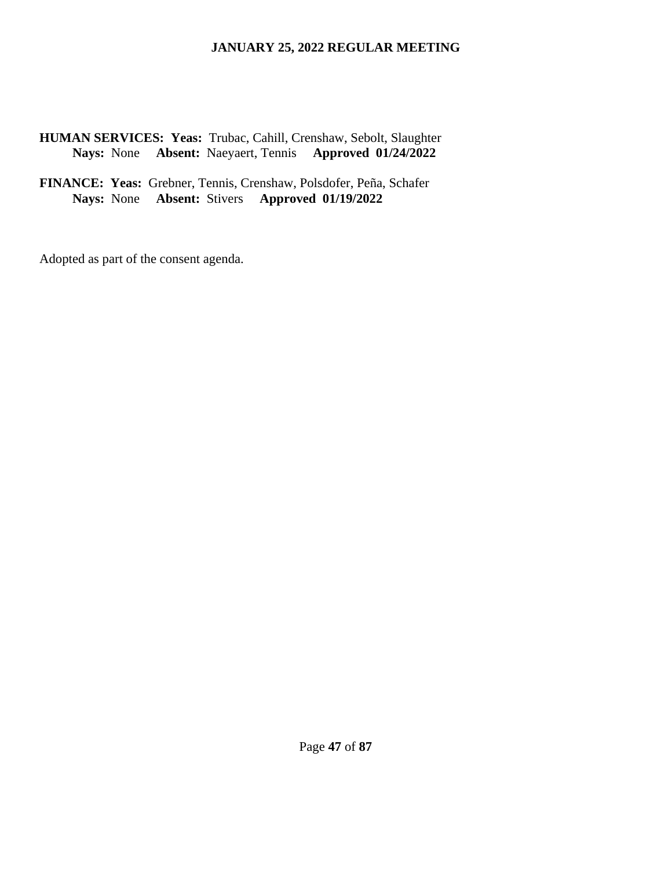**HUMAN SERVICES: Yeas:** Trubac, Cahill, Crenshaw, Sebolt, Slaughter **Nays:** None **Absent:** Naeyaert, Tennis **Approved 01/24/2022** 

**FINANCE: Yeas:** Grebner, Tennis, Crenshaw, Polsdofer, Peña, Schafer **Nays:** None **Absent:** Stivers **Approved 01/19/2022**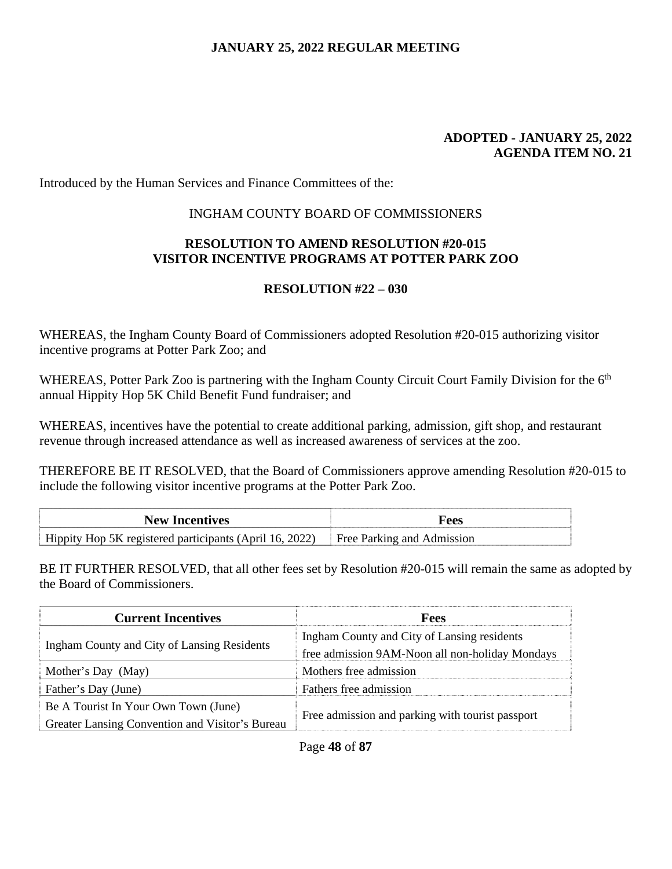#### **ADOPTED - JANUARY 25, 2022 AGENDA ITEM NO. 21**

Introduced by the Human Services and Finance Committees of the:

### INGHAM COUNTY BOARD OF COMMISSIONERS

### **RESOLUTION TO AMEND RESOLUTION #20-015 VISITOR INCENTIVE PROGRAMS AT POTTER PARK ZOO**

## **RESOLUTION #22 – 030**

WHEREAS, the Ingham County Board of Commissioners adopted Resolution #20-015 authorizing visitor incentive programs at Potter Park Zoo; and

WHEREAS, Potter Park Zoo is partnering with the Ingham County Circuit Court Family Division for the 6<sup>th</sup> annual Hippity Hop 5K Child Benefit Fund fundraiser; and

WHEREAS, incentives have the potential to create additional parking, admission, gift shop, and restaurant revenue through increased attendance as well as increased awareness of services at the zoo.

THEREFORE BE IT RESOLVED, that the Board of Commissioners approve amending Resolution #20-015 to include the following visitor incentive programs at the Potter Park Zoo.

| <b>New Incentives</b>                                   | Fees                       |
|---------------------------------------------------------|----------------------------|
| Hippity Hop 5K registered participants (April 16, 2022) | Free Parking and Admission |

BE IT FURTHER RESOLVED, that all other fees set by Resolution #20-015 will remain the same as adopted by the Board of Commissioners.

| <b>Current Incentives</b>                       | Fees                                             |
|-------------------------------------------------|--------------------------------------------------|
| Ingham County and City of Lansing Residents     | Ingham County and City of Lansing residents      |
|                                                 | free admission 9AM-Noon all non-holiday Mondays  |
| Mother's Day (May)                              | Mothers free admission                           |
| Father's Day (June)                             | Fathers free admission                           |
| Be A Tourist In Your Own Town (June)            | Free admission and parking with tourist passport |
| Greater Lansing Convention and Visitor's Bureau |                                                  |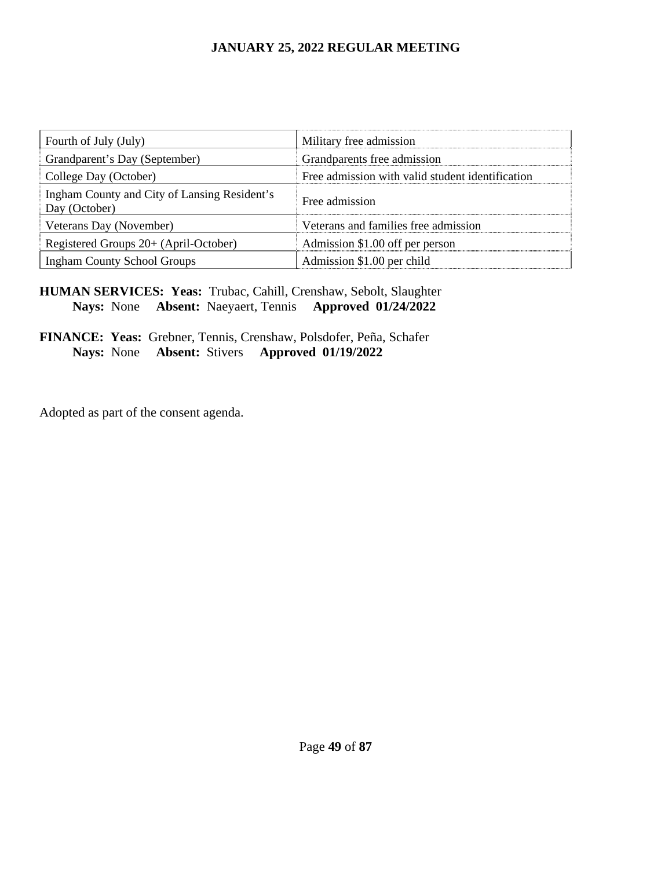| Fourth of July (July)                                         | Military free admission                          |
|---------------------------------------------------------------|--------------------------------------------------|
| Grandparent's Day (September)                                 | Grandparents free admission                      |
| College Day (October)                                         | Free admission with valid student identification |
| Ingham County and City of Lansing Resident's<br>Day (October) | Free admission                                   |
| Veterans Day (November)                                       | Veterans and families free admission             |
| Registered Groups 20+ (April-October)                         | Admission \$1.00 off per person                  |
| <b>Ingham County School Groups</b>                            | Admission \$1.00 per child                       |

# **HUMAN SERVICES: Yeas:** Trubac, Cahill, Crenshaw, Sebolt, Slaughter **Nays:** None **Absent:** Naeyaert, Tennis **Approved 01/24/2022**

### **FINANCE: Yeas:** Grebner, Tennis, Crenshaw, Polsdofer, Peña, Schafer **Nays:** None **Absent:** Stivers **Approved 01/19/2022**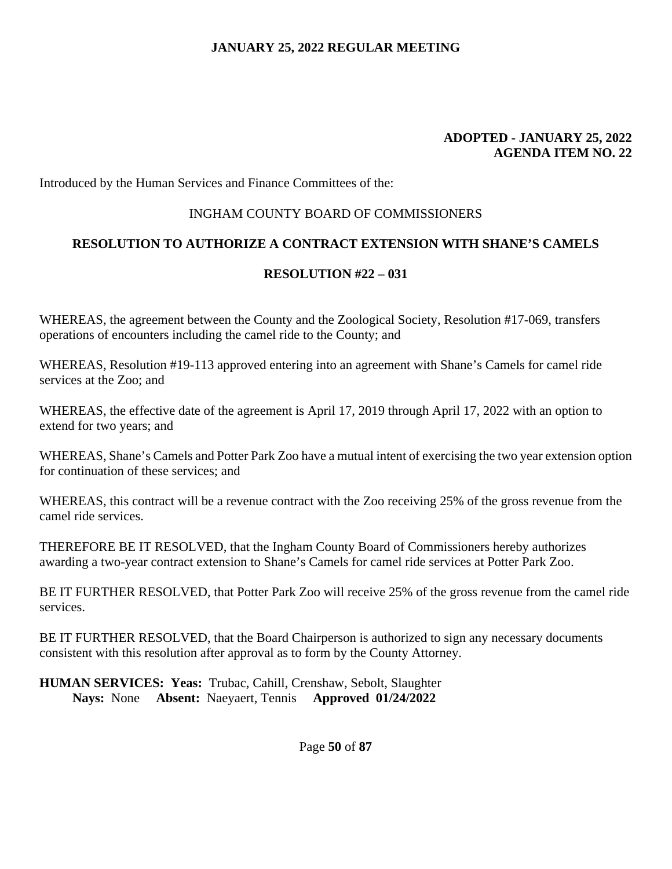#### **ADOPTED - JANUARY 25, 2022 AGENDA ITEM NO. 22**

Introduced by the Human Services and Finance Committees of the:

### INGHAM COUNTY BOARD OF COMMISSIONERS

## **RESOLUTION TO AUTHORIZE A CONTRACT EXTENSION WITH SHANE'S CAMELS**

### **RESOLUTION #22 – 031**

WHEREAS, the agreement between the County and the Zoological Society, Resolution #17-069, transfers operations of encounters including the camel ride to the County; and

WHEREAS, Resolution #19-113 approved entering into an agreement with Shane's Camels for camel ride services at the Zoo; and

WHEREAS, the effective date of the agreement is April 17, 2019 through April 17, 2022 with an option to extend for two years; and

WHEREAS, Shane's Camels and Potter Park Zoo have a mutual intent of exercising the two year extension option for continuation of these services; and

WHEREAS, this contract will be a revenue contract with the Zoo receiving 25% of the gross revenue from the camel ride services.

THEREFORE BE IT RESOLVED, that the Ingham County Board of Commissioners hereby authorizes awarding a two-year contract extension to Shane's Camels for camel ride services at Potter Park Zoo.

BE IT FURTHER RESOLVED, that Potter Park Zoo will receive 25% of the gross revenue from the camel ride services.

BE IT FURTHER RESOLVED, that the Board Chairperson is authorized to sign any necessary documents consistent with this resolution after approval as to form by the County Attorney.

**HUMAN SERVICES: Yeas:** Trubac, Cahill, Crenshaw, Sebolt, Slaughter **Nays:** None **Absent:** Naeyaert, Tennis **Approved 01/24/2022** 

Page **50** of **87**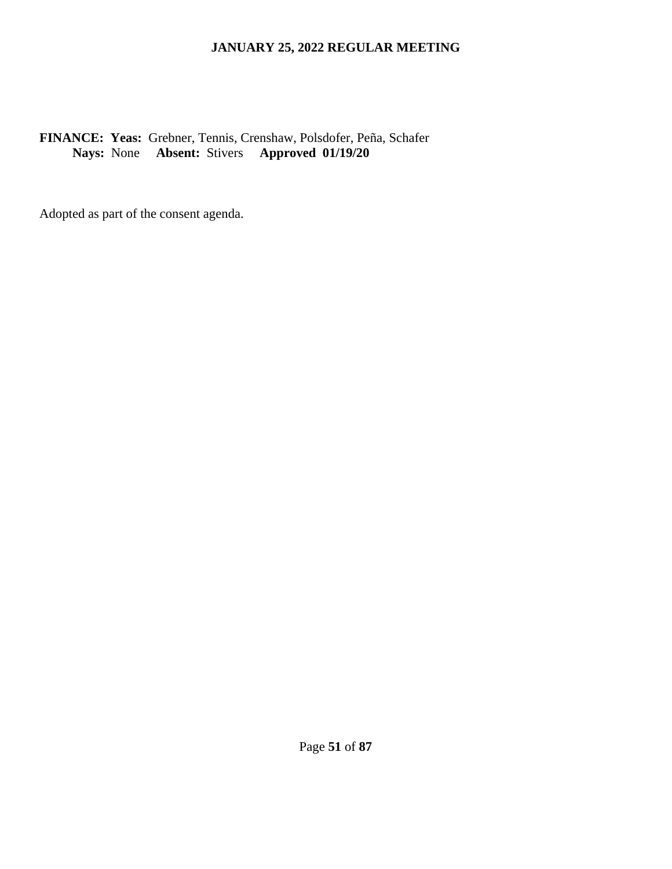## **FINANCE: Yeas:** Grebner, Tennis, Crenshaw, Polsdofer, Peña, Schafer **Nays:** None **Absent:** Stivers **Approved 01/19/20**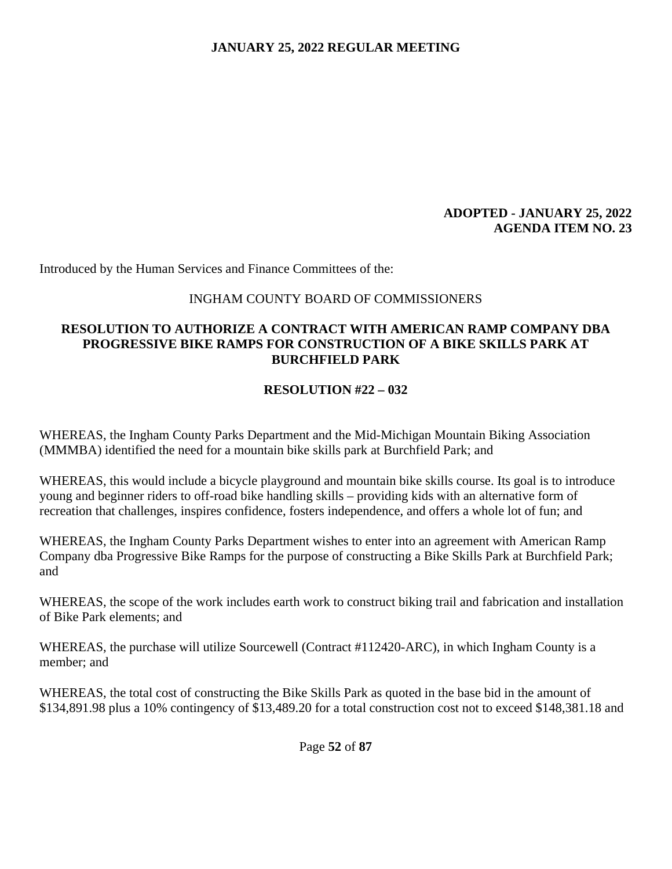### **ADOPTED - JANUARY 25, 2022 AGENDA ITEM NO. 23**

Introduced by the Human Services and Finance Committees of the:

#### INGHAM COUNTY BOARD OF COMMISSIONERS

### **RESOLUTION TO AUTHORIZE A CONTRACT WITH AMERICAN RAMP COMPANY DBA PROGRESSIVE BIKE RAMPS FOR CONSTRUCTION OF A BIKE SKILLS PARK AT BURCHFIELD PARK**

### **RESOLUTION #22 – 032**

WHEREAS, the Ingham County Parks Department and the Mid-Michigan Mountain Biking Association (MMMBA) identified the need for a mountain bike skills park at Burchfield Park; and

WHEREAS, this would include a bicycle playground and mountain bike skills course. Its goal is to introduce young and beginner riders to off-road bike handling skills – providing kids with an alternative form of recreation that challenges, inspires confidence, fosters independence, and offers a whole lot of fun; and

WHEREAS, the Ingham County Parks Department wishes to enter into an agreement with American Ramp Company dba Progressive Bike Ramps for the purpose of constructing a Bike Skills Park at Burchfield Park; and

WHEREAS, the scope of the work includes earth work to construct biking trail and fabrication and installation of Bike Park elements; and

WHEREAS, the purchase will utilize Sourcewell (Contract #112420-ARC), in which Ingham County is a member; and

WHEREAS, the total cost of constructing the Bike Skills Park as quoted in the base bid in the amount of \$134,891.98 plus a 10% contingency of \$13,489.20 for a total construction cost not to exceed \$148,381.18 and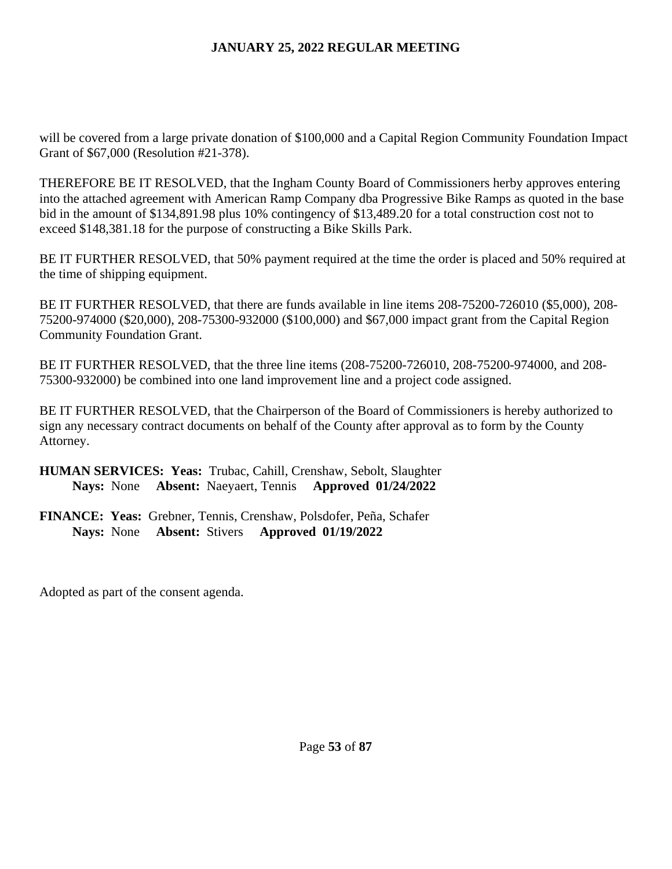will be covered from a large private donation of \$100,000 and a Capital Region Community Foundation Impact Grant of \$67,000 (Resolution #21-378).

THEREFORE BE IT RESOLVED, that the Ingham County Board of Commissioners herby approves entering into the attached agreement with American Ramp Company dba Progressive Bike Ramps as quoted in the base bid in the amount of \$134,891.98 plus 10% contingency of \$13,489.20 for a total construction cost not to exceed \$148,381.18 for the purpose of constructing a Bike Skills Park.

BE IT FURTHER RESOLVED, that 50% payment required at the time the order is placed and 50% required at the time of shipping equipment.

BE IT FURTHER RESOLVED, that there are funds available in line items 208-75200-726010 (\$5,000), 208- 75200-974000 (\$20,000), 208-75300-932000 (\$100,000) and \$67,000 impact grant from the Capital Region Community Foundation Grant.

BE IT FURTHER RESOLVED, that the three line items (208-75200-726010, 208-75200-974000, and 208- 75300-932000) be combined into one land improvement line and a project code assigned.

BE IT FURTHER RESOLVED, that the Chairperson of the Board of Commissioners is hereby authorized to sign any necessary contract documents on behalf of the County after approval as to form by the County Attorney.

## **HUMAN SERVICES: Yeas:** Trubac, Cahill, Crenshaw, Sebolt, Slaughter **Nays:** None **Absent:** Naeyaert, Tennis **Approved 01/24/2022**

**FINANCE: Yeas:** Grebner, Tennis, Crenshaw, Polsdofer, Peña, Schafer **Nays:** None **Absent:** Stivers **Approved 01/19/2022**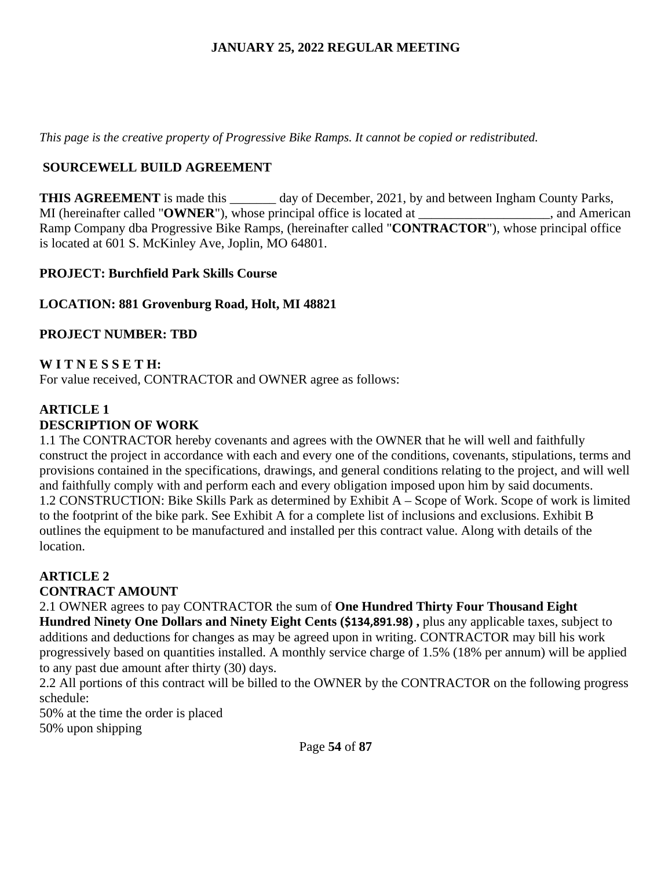*This page is the creative property of Progressive Bike Ramps. It cannot be copied or redistributed.* 

## **SOURCEWELL BUILD AGREEMENT**

**THIS AGREEMENT** is made this \_\_\_\_\_\_\_ day of December, 2021, by and between Ingham County Parks, MI (hereinafter called "**OWNER**"), whose principal office is located at  $\ldots$ , and American Ramp Company dba Progressive Bike Ramps, (hereinafter called "**CONTRACTOR**"), whose principal office is located at 601 S. McKinley Ave, Joplin, MO 64801.

## **PROJECT: Burchfield Park Skills Course**

## **LOCATION: 881 Grovenburg Road, Holt, MI 48821**

### **PROJECT NUMBER: TBD**

## **W I T N E S S E T H:**

For value received, CONTRACTOR and OWNER agree as follows:

# **ARTICLE 1 DESCRIPTION OF WORK**

1.1 The CONTRACTOR hereby covenants and agrees with the OWNER that he will well and faithfully construct the project in accordance with each and every one of the conditions, covenants, stipulations, terms and provisions contained in the specifications, drawings, and general conditions relating to the project, and will well and faithfully comply with and perform each and every obligation imposed upon him by said documents. 1.2 CONSTRUCTION: Bike Skills Park as determined by Exhibit A – Scope of Work. Scope of work is limited to the footprint of the bike park. See Exhibit A for a complete list of inclusions and exclusions. Exhibit B outlines the equipment to be manufactured and installed per this contract value. Along with details of the location.

#### **ARTICLE 2 CONTRACT AMOUNT**

2.1 OWNER agrees to pay CONTRACTOR the sum of **One Hundred Thirty Four Thousand Eight Hundred Ninety One Dollars and Ninety Eight Cents (\$134,891.98) ,** plus any applicable taxes, subject to additions and deductions for changes as may be agreed upon in writing. CONTRACTOR may bill his work progressively based on quantities installed. A monthly service charge of 1.5% (18% per annum) will be applied to any past due amount after thirty (30) days.

2.2 All portions of this contract will be billed to the OWNER by the CONTRACTOR on the following progress schedule:

50% at the time the order is placed 50% upon shipping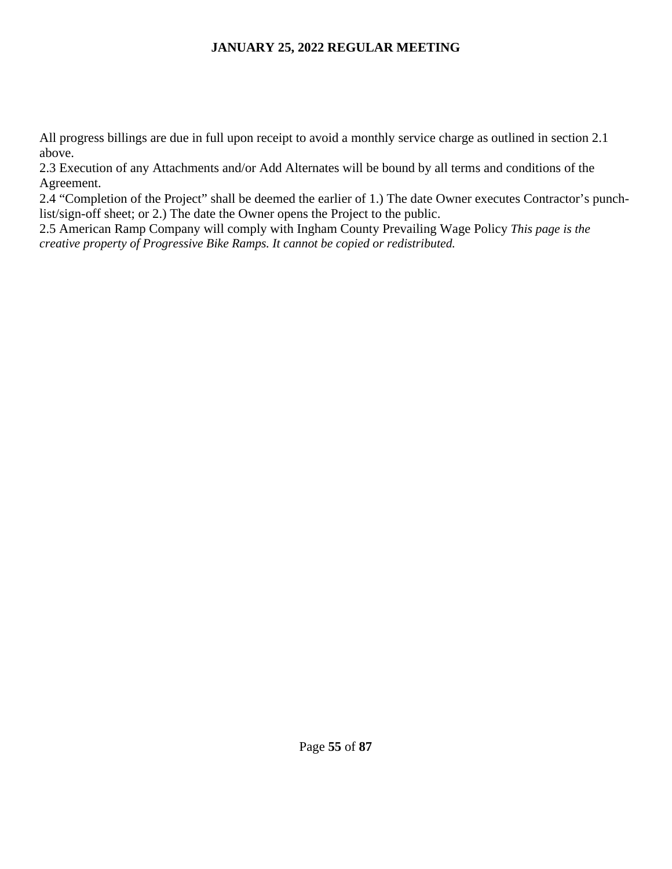All progress billings are due in full upon receipt to avoid a monthly service charge as outlined in section 2.1 above.

2.3 Execution of any Attachments and/or Add Alternates will be bound by all terms and conditions of the Agreement.

2.4 "Completion of the Project" shall be deemed the earlier of 1.) The date Owner executes Contractor's punchlist/sign-off sheet; or 2.) The date the Owner opens the Project to the public.

2.5 American Ramp Company will comply with Ingham County Prevailing Wage Policy *This page is the creative property of Progressive Bike Ramps. It cannot be copied or redistributed.*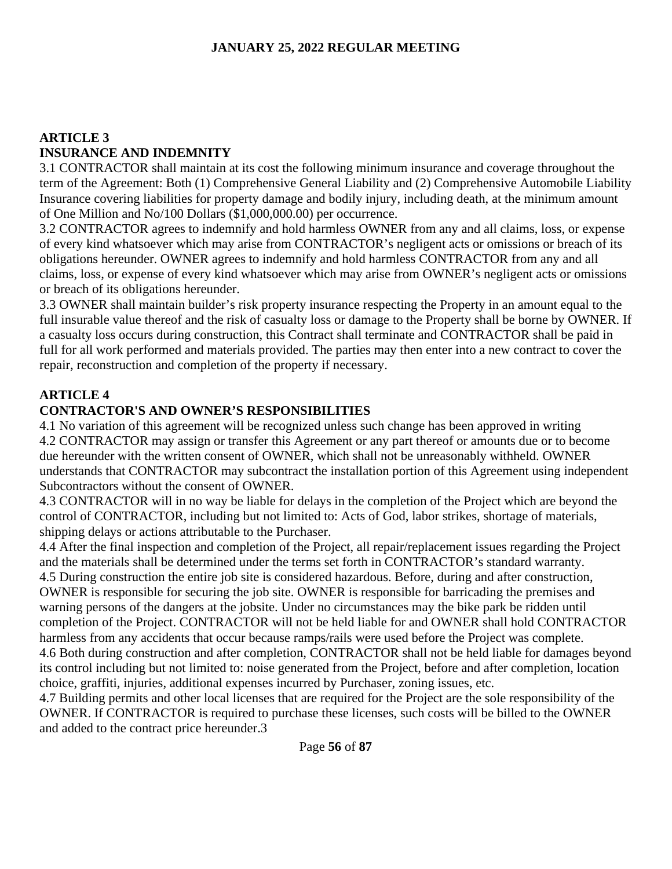# **ARTICLE 3 INSURANCE AND INDEMNITY**

3.1 CONTRACTOR shall maintain at its cost the following minimum insurance and coverage throughout the term of the Agreement: Both (1) Comprehensive General Liability and (2) Comprehensive Automobile Liability Insurance covering liabilities for property damage and bodily injury, including death, at the minimum amount of One Million and No/100 Dollars (\$1,000,000.00) per occurrence.

3.2 CONTRACTOR agrees to indemnify and hold harmless OWNER from any and all claims, loss, or expense of every kind whatsoever which may arise from CONTRACTOR's negligent acts or omissions or breach of its obligations hereunder. OWNER agrees to indemnify and hold harmless CONTRACTOR from any and all claims, loss, or expense of every kind whatsoever which may arise from OWNER's negligent acts or omissions or breach of its obligations hereunder.

3.3 OWNER shall maintain builder's risk property insurance respecting the Property in an amount equal to the full insurable value thereof and the risk of casualty loss or damage to the Property shall be borne by OWNER. If a casualty loss occurs during construction, this Contract shall terminate and CONTRACTOR shall be paid in full for all work performed and materials provided. The parties may then enter into a new contract to cover the repair, reconstruction and completion of the property if necessary.

# **ARTICLE 4**

# **CONTRACTOR'S AND OWNER'S RESPONSIBILITIES**

4.1 No variation of this agreement will be recognized unless such change has been approved in writing 4.2 CONTRACTOR may assign or transfer this Agreement or any part thereof or amounts due or to become due hereunder with the written consent of OWNER, which shall not be unreasonably withheld. OWNER understands that CONTRACTOR may subcontract the installation portion of this Agreement using independent Subcontractors without the consent of OWNER.

4.3 CONTRACTOR will in no way be liable for delays in the completion of the Project which are beyond the control of CONTRACTOR, including but not limited to: Acts of God, labor strikes, shortage of materials, shipping delays or actions attributable to the Purchaser.

4.4 After the final inspection and completion of the Project, all repair/replacement issues regarding the Project and the materials shall be determined under the terms set forth in CONTRACTOR's standard warranty. 4.5 During construction the entire job site is considered hazardous. Before, during and after construction, OWNER is responsible for securing the job site. OWNER is responsible for barricading the premises and warning persons of the dangers at the jobsite. Under no circumstances may the bike park be ridden until completion of the Project. CONTRACTOR will not be held liable for and OWNER shall hold CONTRACTOR harmless from any accidents that occur because ramps/rails were used before the Project was complete. 4.6 Both during construction and after completion, CONTRACTOR shall not be held liable for damages beyond its control including but not limited to: noise generated from the Project, before and after completion, location choice, graffiti, injuries, additional expenses incurred by Purchaser, zoning issues, etc.

4.7 Building permits and other local licenses that are required for the Project are the sole responsibility of the OWNER. If CONTRACTOR is required to purchase these licenses, such costs will be billed to the OWNER and added to the contract price hereunder.3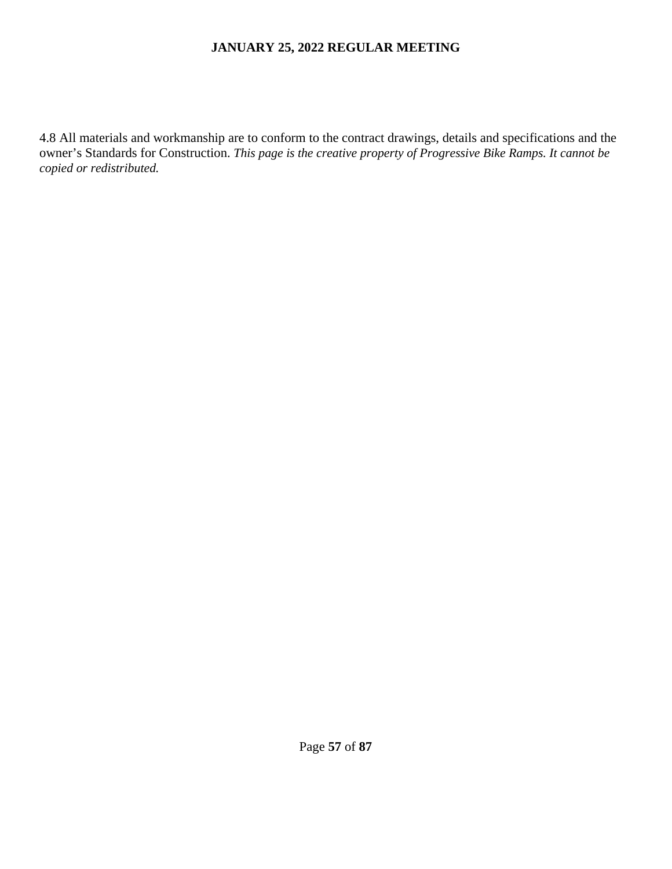4.8 All materials and workmanship are to conform to the contract drawings, details and specifications and the owner's Standards for Construction. *This page is the creative property of Progressive Bike Ramps. It cannot be copied or redistributed.*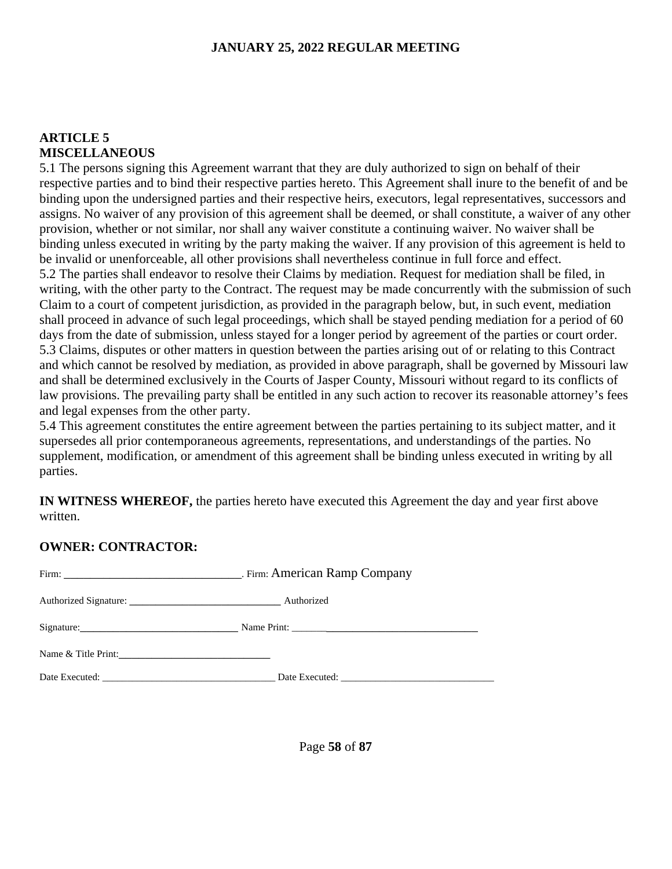#### **ARTICLE 5 MISCELLANEOUS**

5.1 The persons signing this Agreement warrant that they are duly authorized to sign on behalf of their respective parties and to bind their respective parties hereto. This Agreement shall inure to the benefit of and be binding upon the undersigned parties and their respective heirs, executors, legal representatives, successors and assigns. No waiver of any provision of this agreement shall be deemed, or shall constitute, a waiver of any other provision, whether or not similar, nor shall any waiver constitute a continuing waiver. No waiver shall be binding unless executed in writing by the party making the waiver. If any provision of this agreement is held to be invalid or unenforceable, all other provisions shall nevertheless continue in full force and effect. 5.2 The parties shall endeavor to resolve their Claims by mediation. Request for mediation shall be filed, in writing, with the other party to the Contract. The request may be made concurrently with the submission of such Claim to a court of competent jurisdiction, as provided in the paragraph below, but, in such event, mediation shall proceed in advance of such legal proceedings, which shall be stayed pending mediation for a period of 60 days from the date of submission, unless stayed for a longer period by agreement of the parties or court order. 5.3 Claims, disputes or other matters in question between the parties arising out of or relating to this Contract and which cannot be resolved by mediation, as provided in above paragraph, shall be governed by Missouri law and shall be determined exclusively in the Courts of Jasper County, Missouri without regard to its conflicts of law provisions. The prevailing party shall be entitled in any such action to recover its reasonable attorney's fees and legal expenses from the other party.

5.4 This agreement constitutes the entire agreement between the parties pertaining to its subject matter, and it supersedes all prior contemporaneous agreements, representations, and understandings of the parties. No supplement, modification, or amendment of this agreement shall be binding unless executed in writing by all parties.

**IN WITNESS WHEREOF,** the parties hereto have executed this Agreement the day and year first above written.

### **OWNER: CONTRACTOR:**

| Name & Title Print: |                                              |
|---------------------|----------------------------------------------|
|                     | Date Executed: Date Executed: Date Executed: |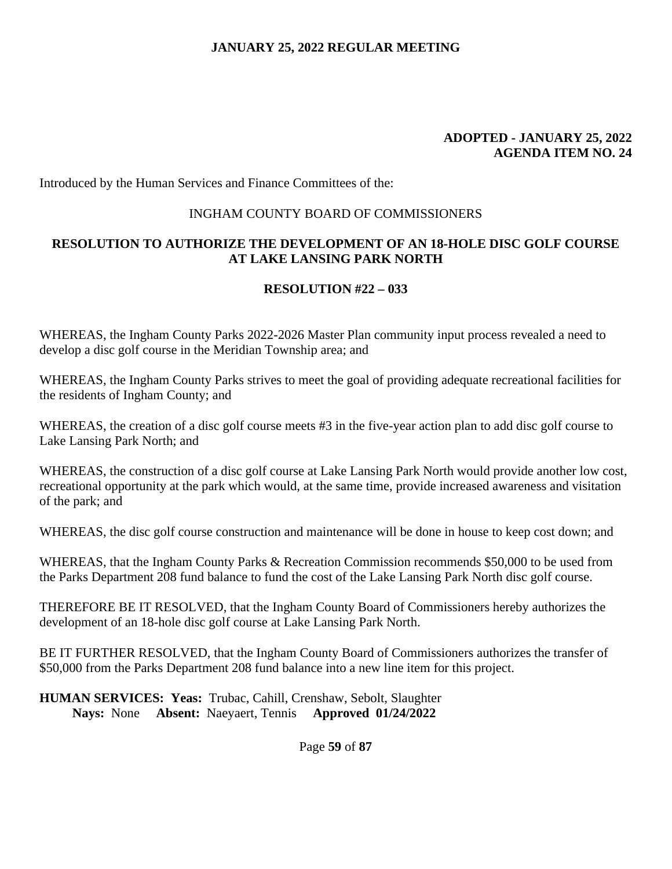#### **ADOPTED - JANUARY 25, 2022 AGENDA ITEM NO. 24**

Introduced by the Human Services and Finance Committees of the:

#### INGHAM COUNTY BOARD OF COMMISSIONERS

## **RESOLUTION TO AUTHORIZE THE DEVELOPMENT OF AN 18-HOLE DISC GOLF COURSE AT LAKE LANSING PARK NORTH**

## **RESOLUTION #22 – 033**

WHEREAS, the Ingham County Parks 2022-2026 Master Plan community input process revealed a need to develop a disc golf course in the Meridian Township area; and

WHEREAS, the Ingham County Parks strives to meet the goal of providing adequate recreational facilities for the residents of Ingham County; and

WHEREAS, the creation of a disc golf course meets #3 in the five-year action plan to add disc golf course to Lake Lansing Park North; and

WHEREAS, the construction of a disc golf course at Lake Lansing Park North would provide another low cost, recreational opportunity at the park which would, at the same time, provide increased awareness and visitation of the park; and

WHEREAS, the disc golf course construction and maintenance will be done in house to keep cost down; and

WHEREAS, that the Ingham County Parks & Recreation Commission recommends \$50,000 to be used from the Parks Department 208 fund balance to fund the cost of the Lake Lansing Park North disc golf course.

THEREFORE BE IT RESOLVED, that the Ingham County Board of Commissioners hereby authorizes the development of an 18-hole disc golf course at Lake Lansing Park North.

BE IT FURTHER RESOLVED, that the Ingham County Board of Commissioners authorizes the transfer of \$50,000 from the Parks Department 208 fund balance into a new line item for this project.

**HUMAN SERVICES: Yeas:** Trubac, Cahill, Crenshaw, Sebolt, Slaughter **Nays:** None **Absent:** Naeyaert, Tennis **Approved 01/24/2022** 

Page **59** of **87**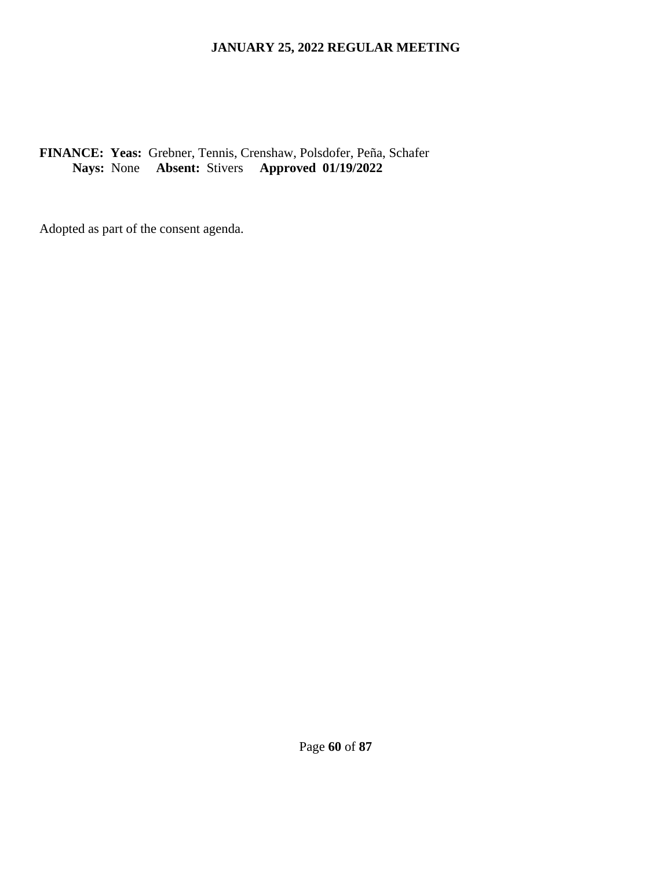## **FINANCE: Yeas:** Grebner, Tennis, Crenshaw, Polsdofer, Peña, Schafer **Nays:** None **Absent:** Stivers **Approved 01/19/2022**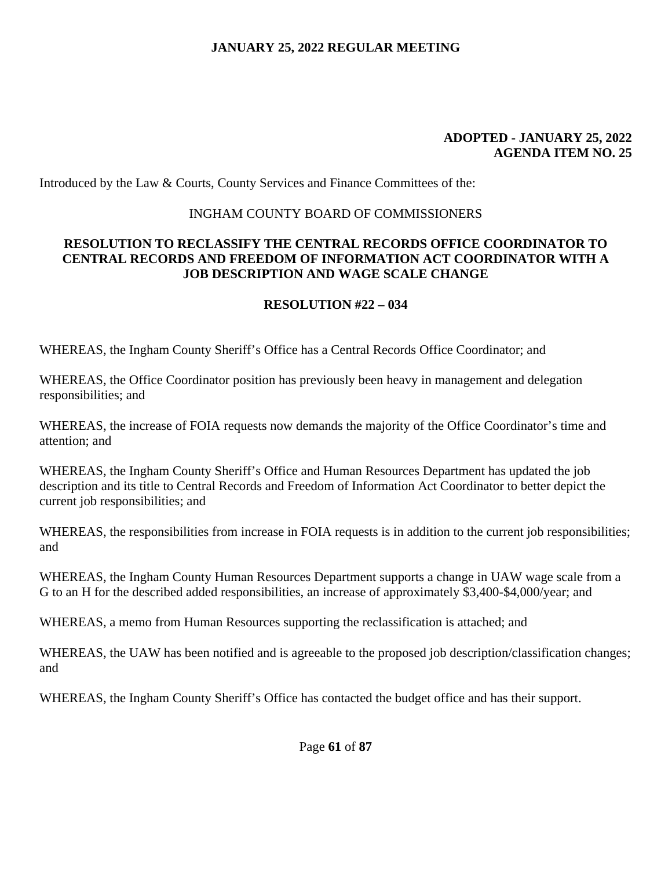#### **ADOPTED - JANUARY 25, 2022 AGENDA ITEM NO. 25**

Introduced by the Law & Courts, County Services and Finance Committees of the:

#### INGHAM COUNTY BOARD OF COMMISSIONERS

### **RESOLUTION TO RECLASSIFY THE CENTRAL RECORDS OFFICE COORDINATOR TO CENTRAL RECORDS AND FREEDOM OF INFORMATION ACT COORDINATOR WITH A JOB DESCRIPTION AND WAGE SCALE CHANGE**

### **RESOLUTION #22 – 034**

WHEREAS, the Ingham County Sheriff's Office has a Central Records Office Coordinator; and

WHEREAS, the Office Coordinator position has previously been heavy in management and delegation responsibilities; and

WHEREAS, the increase of FOIA requests now demands the majority of the Office Coordinator's time and attention; and

WHEREAS, the Ingham County Sheriff's Office and Human Resources Department has updated the job description and its title to Central Records and Freedom of Information Act Coordinator to better depict the current job responsibilities; and

WHEREAS, the responsibilities from increase in FOIA requests is in addition to the current job responsibilities; and

WHEREAS, the Ingham County Human Resources Department supports a change in UAW wage scale from a G to an H for the described added responsibilities, an increase of approximately \$3,400-\$4,000/year; and

WHEREAS, a memo from Human Resources supporting the reclassification is attached; and

WHEREAS, the UAW has been notified and is agreeable to the proposed job description/classification changes; and

WHEREAS, the Ingham County Sheriff's Office has contacted the budget office and has their support.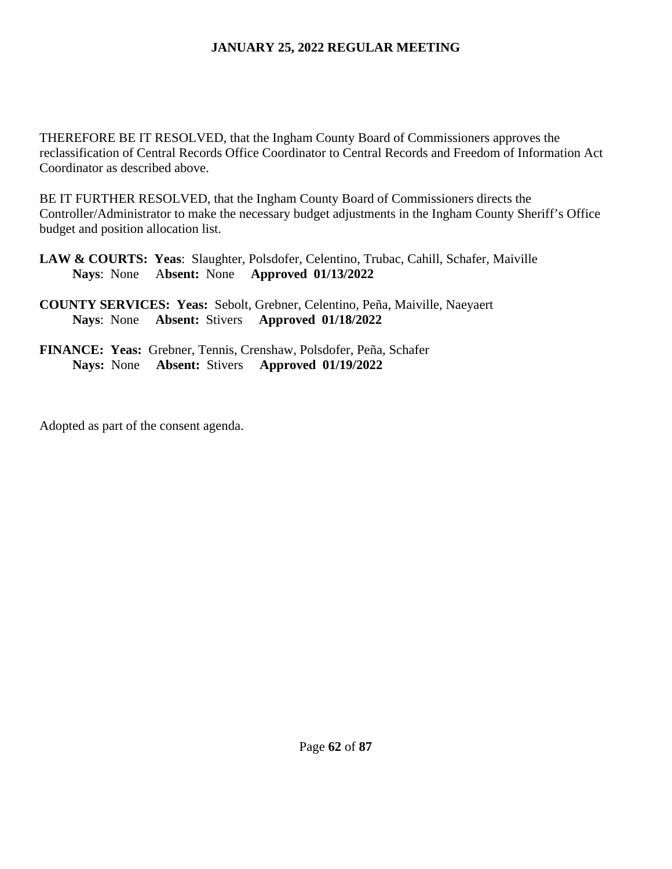THEREFORE BE IT RESOLVED, that the Ingham County Board of Commissioners approves the reclassification of Central Records Office Coordinator to Central Records and Freedom of Information Act Coordinator as described above.

BE IT FURTHER RESOLVED, that the Ingham County Board of Commissioners directs the Controller/Administrator to make the necessary budget adjustments in the Ingham County Sheriff's Office budget and position allocation list.

- **LAW & COURTS: Yeas**: Slaughter, Polsdofer, Celentino, Trubac, Cahill, Schafer, Maiville  **Nays**: None A**bsent:** None **Approved 01/13/2022**
- **COUNTY SERVICES: Yeas:** Sebolt, Grebner, Celentino, Peña, Maiville, Naeyaert **Nays**: None **Absent:** Stivers **Approved 01/18/2022**
- **FINANCE: Yeas:** Grebner, Tennis, Crenshaw, Polsdofer, Peña, Schafer **Nays:** None **Absent:** Stivers **Approved 01/19/2022**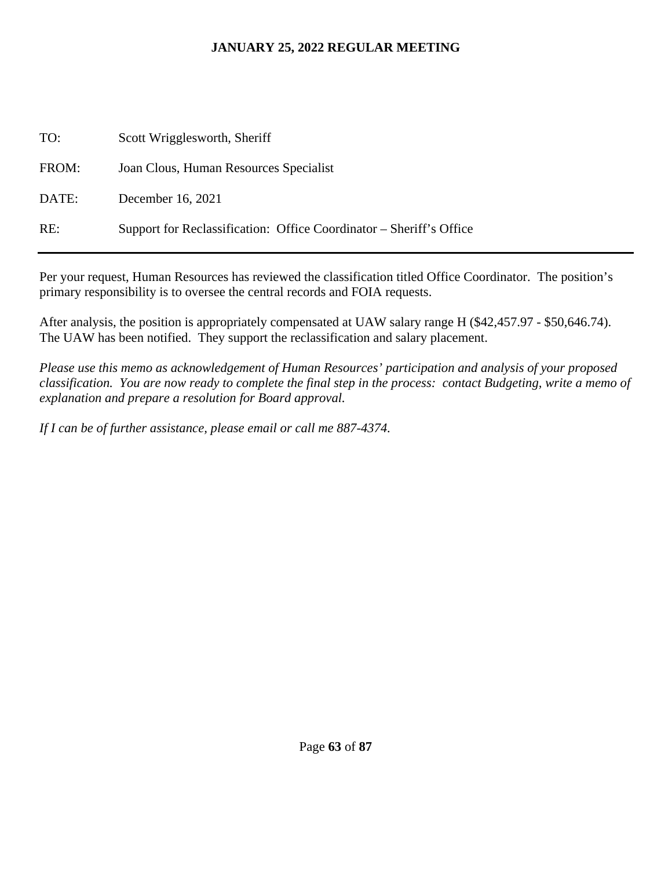| TO:   | Scott Wrigglesworth, Sheriff                                        |
|-------|---------------------------------------------------------------------|
| FROM: | Joan Clous, Human Resources Specialist                              |
| DATE: | December 16, 2021                                                   |
| RE:   | Support for Reclassification: Office Coordinator – Sheriff's Office |

Per your request, Human Resources has reviewed the classification titled Office Coordinator. The position's primary responsibility is to oversee the central records and FOIA requests.

After analysis, the position is appropriately compensated at UAW salary range H (\$42,457.97 - \$50,646.74). The UAW has been notified. They support the reclassification and salary placement.

*Please use this memo as acknowledgement of Human Resources' participation and analysis of your proposed classification. You are now ready to complete the final step in the process: contact Budgeting, write a memo of explanation and prepare a resolution for Board approval.* 

*If I can be of further assistance, please email or call me 887-4374.*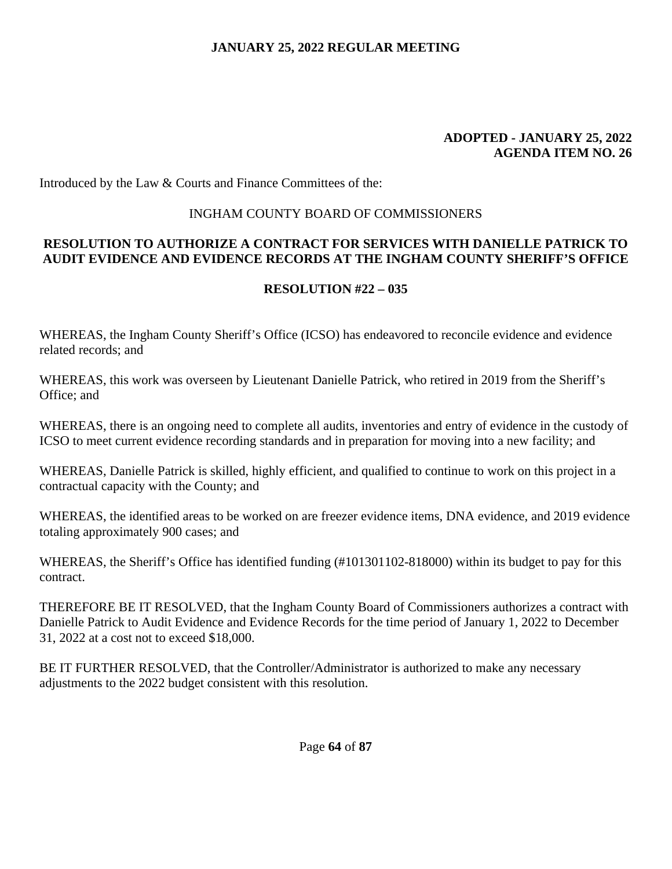#### **ADOPTED - JANUARY 25, 2022 AGENDA ITEM NO. 26**

Introduced by the Law & Courts and Finance Committees of the:

### INGHAM COUNTY BOARD OF COMMISSIONERS

### **RESOLUTION TO AUTHORIZE A CONTRACT FOR SERVICES WITH DANIELLE PATRICK TO AUDIT EVIDENCE AND EVIDENCE RECORDS AT THE INGHAM COUNTY SHERIFF'S OFFICE**

## **RESOLUTION #22 – 035**

WHEREAS, the Ingham County Sheriff's Office (ICSO) has endeavored to reconcile evidence and evidence related records; and

WHEREAS, this work was overseen by Lieutenant Danielle Patrick, who retired in 2019 from the Sheriff's Office; and

WHEREAS, there is an ongoing need to complete all audits, inventories and entry of evidence in the custody of ICSO to meet current evidence recording standards and in preparation for moving into a new facility; and

WHEREAS, Danielle Patrick is skilled, highly efficient, and qualified to continue to work on this project in a contractual capacity with the County; and

WHEREAS, the identified areas to be worked on are freezer evidence items, DNA evidence, and 2019 evidence totaling approximately 900 cases; and

WHEREAS, the Sheriff's Office has identified funding (#101301102-818000) within its budget to pay for this contract.

THEREFORE BE IT RESOLVED, that the Ingham County Board of Commissioners authorizes a contract with Danielle Patrick to Audit Evidence and Evidence Records for the time period of January 1, 2022 to December 31, 2022 at a cost not to exceed \$18,000.

BE IT FURTHER RESOLVED, that the Controller/Administrator is authorized to make any necessary adjustments to the 2022 budget consistent with this resolution.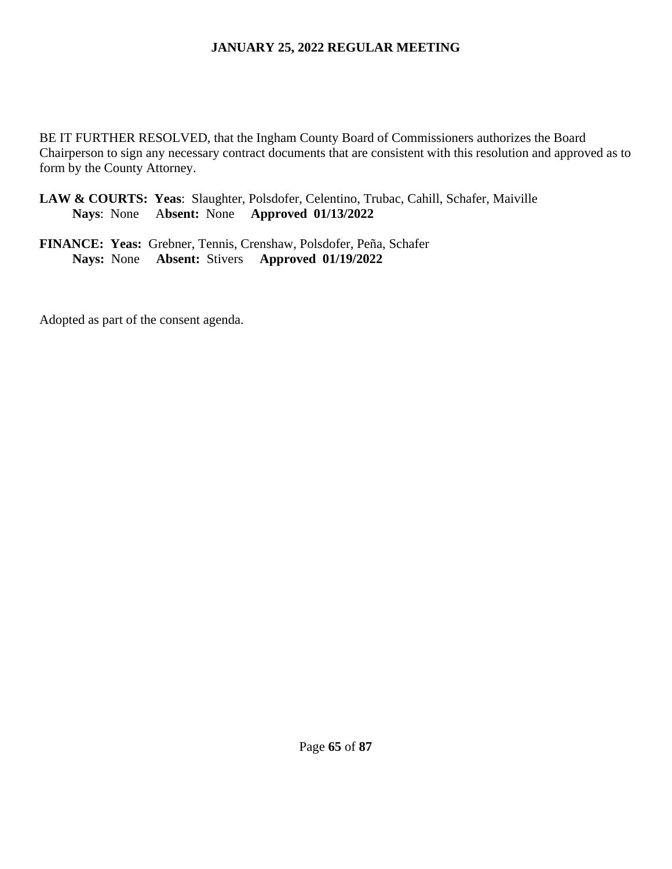BE IT FURTHER RESOLVED, that the Ingham County Board of Commissioners authorizes the Board Chairperson to sign any necessary contract documents that are consistent with this resolution and approved as to form by the County Attorney.

**LAW & COURTS: Yeas**: Slaughter, Polsdofer, Celentino, Trubac, Cahill, Schafer, Maiville  **Nays**: None A**bsent:** None **Approved 01/13/2022**

**FINANCE: Yeas:** Grebner, Tennis, Crenshaw, Polsdofer, Peña, Schafer **Nays:** None **Absent:** Stivers **Approved 01/19/2022**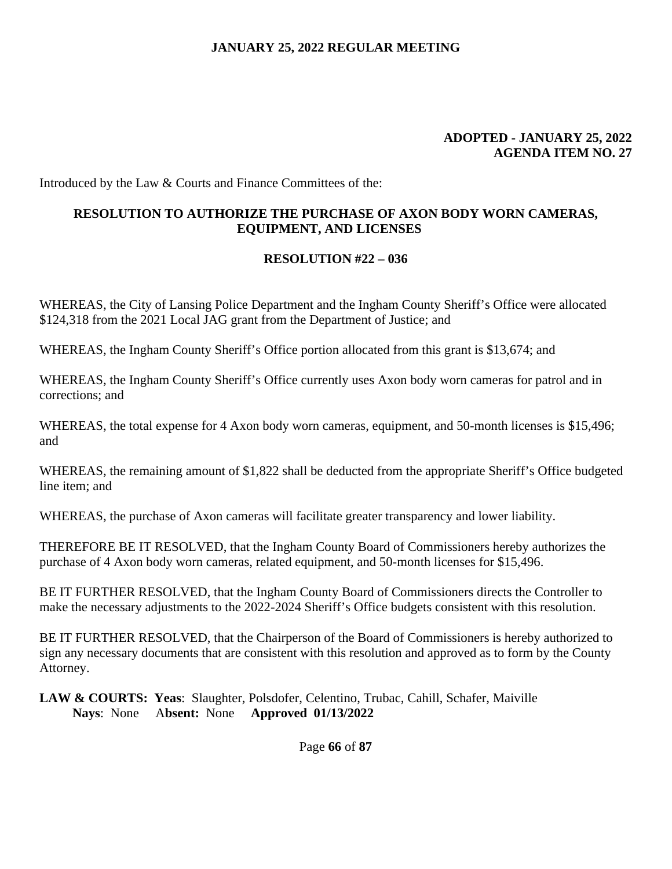#### **ADOPTED - JANUARY 25, 2022 AGENDA ITEM NO. 27**

Introduced by the Law & Courts and Finance Committees of the:

### **RESOLUTION TO AUTHORIZE THE PURCHASE OF AXON BODY WORN CAMERAS, EQUIPMENT, AND LICENSES**

#### **RESOLUTION #22 – 036**

WHEREAS, the City of Lansing Police Department and the Ingham County Sheriff's Office were allocated \$124,318 from the 2021 Local JAG grant from the Department of Justice; and

WHEREAS, the Ingham County Sheriff's Office portion allocated from this grant is \$13,674; and

WHEREAS, the Ingham County Sheriff's Office currently uses Axon body worn cameras for patrol and in corrections; and

WHEREAS, the total expense for 4 Axon body worn cameras, equipment, and 50-month licenses is \$15,496; and

WHEREAS, the remaining amount of \$1,822 shall be deducted from the appropriate Sheriff's Office budgeted line item; and

WHEREAS, the purchase of Axon cameras will facilitate greater transparency and lower liability.

THEREFORE BE IT RESOLVED, that the Ingham County Board of Commissioners hereby authorizes the purchase of 4 Axon body worn cameras, related equipment, and 50-month licenses for \$15,496.

BE IT FURTHER RESOLVED, that the Ingham County Board of Commissioners directs the Controller to make the necessary adjustments to the 2022-2024 Sheriff's Office budgets consistent with this resolution.

BE IT FURTHER RESOLVED, that the Chairperson of the Board of Commissioners is hereby authorized to sign any necessary documents that are consistent with this resolution and approved as to form by the County Attorney.

**LAW & COURTS: Yeas**: Slaughter, Polsdofer, Celentino, Trubac, Cahill, Schafer, Maiville  **Nays**: None A**bsent:** None **Approved 01/13/2022**

Page **66** of **87**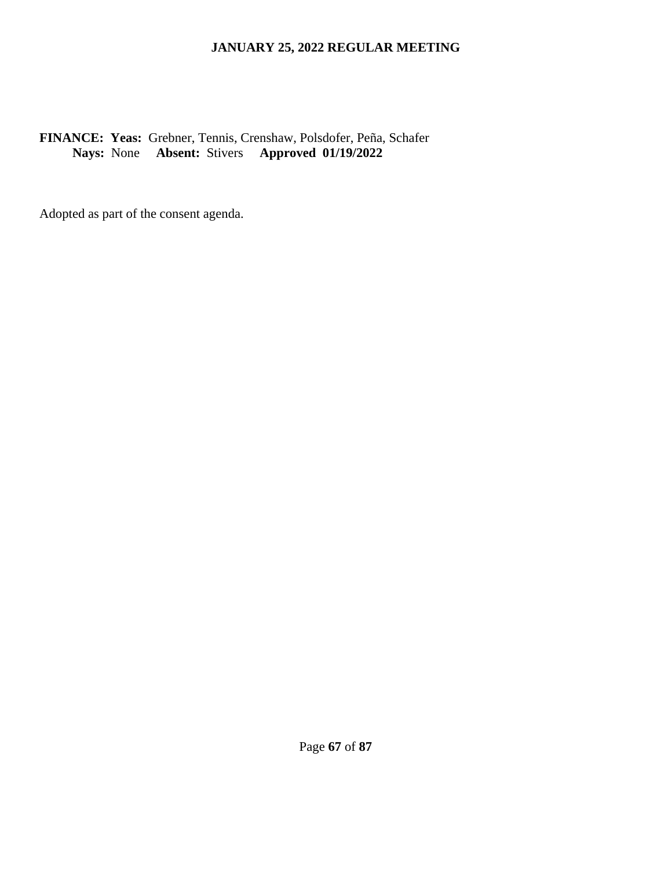### **FINANCE: Yeas:** Grebner, Tennis, Crenshaw, Polsdofer, Peña, Schafer **Nays:** None **Absent:** Stivers **Approved 01/19/2022**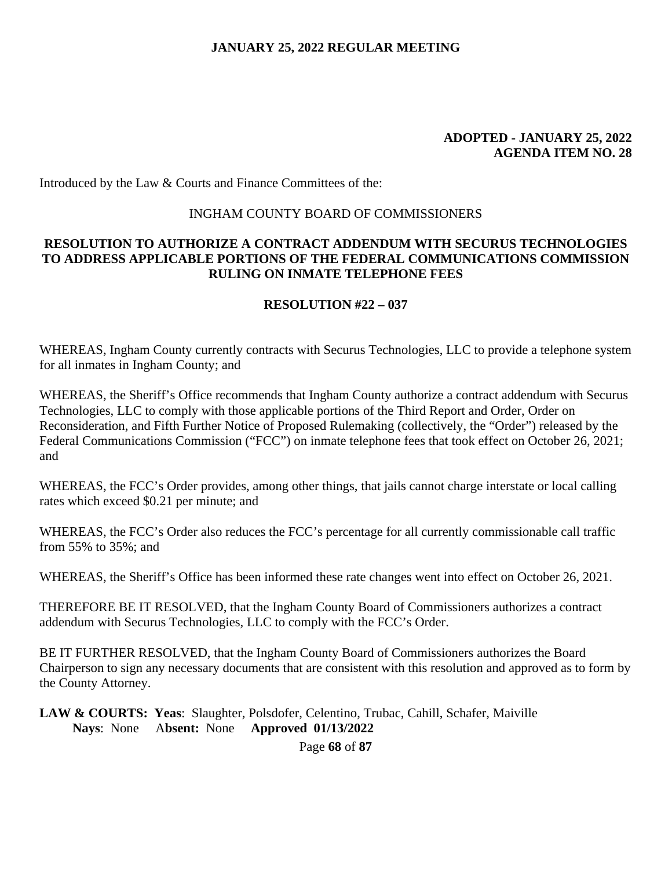#### **ADOPTED - JANUARY 25, 2022 AGENDA ITEM NO. 28**

Introduced by the Law & Courts and Finance Committees of the:

#### INGHAM COUNTY BOARD OF COMMISSIONERS

#### **RESOLUTION TO AUTHORIZE A CONTRACT ADDENDUM WITH SECURUS TECHNOLOGIES TO ADDRESS APPLICABLE PORTIONS OF THE FEDERAL COMMUNICATIONS COMMISSION RULING ON INMATE TELEPHONE FEES**

#### **RESOLUTION #22 – 037**

WHEREAS, Ingham County currently contracts with Securus Technologies, LLC to provide a telephone system for all inmates in Ingham County; and

WHEREAS, the Sheriff's Office recommends that Ingham County authorize a contract addendum with Securus Technologies, LLC to comply with those applicable portions of the Third Report and Order, Order on Reconsideration, and Fifth Further Notice of Proposed Rulemaking (collectively, the "Order") released by the Federal Communications Commission ("FCC") on inmate telephone fees that took effect on October 26, 2021; and

WHEREAS, the FCC's Order provides, among other things, that jails cannot charge interstate or local calling rates which exceed \$0.21 per minute; and

WHEREAS, the FCC's Order also reduces the FCC's percentage for all currently commissionable call traffic from 55% to 35%; and

WHEREAS, the Sheriff's Office has been informed these rate changes went into effect on October 26, 2021.

THEREFORE BE IT RESOLVED, that the Ingham County Board of Commissioners authorizes a contract addendum with Securus Technologies, LLC to comply with the FCC's Order.

BE IT FURTHER RESOLVED, that the Ingham County Board of Commissioners authorizes the Board Chairperson to sign any necessary documents that are consistent with this resolution and approved as to form by the County Attorney.

**LAW & COURTS: Yeas**: Slaughter, Polsdofer, Celentino, Trubac, Cahill, Schafer, Maiville  **Nays**: None A**bsent:** None **Approved 01/13/2022**

Page **68** of **87**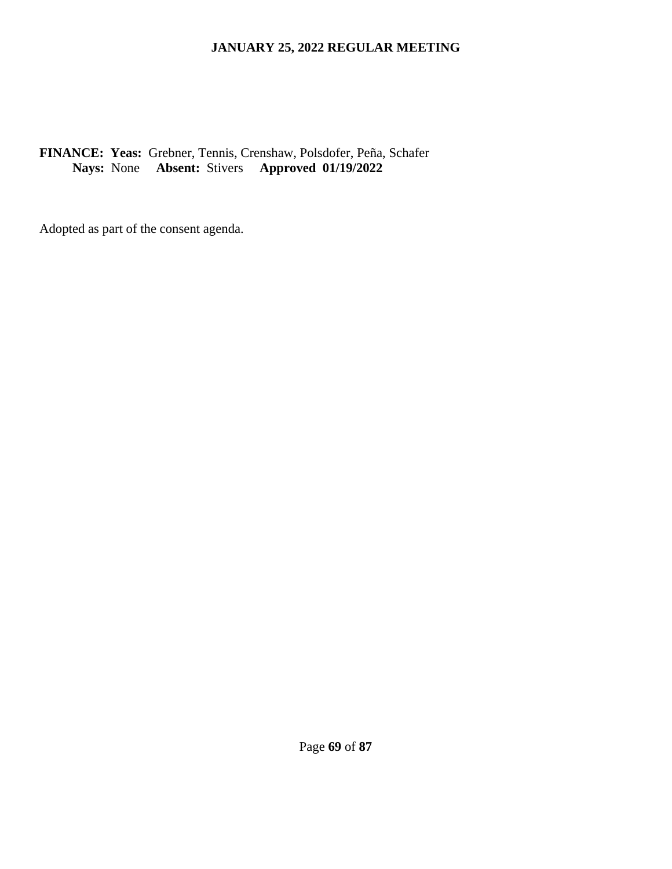## **FINANCE: Yeas:** Grebner, Tennis, Crenshaw, Polsdofer, Peña, Schafer **Nays:** None **Absent:** Stivers **Approved 01/19/2022**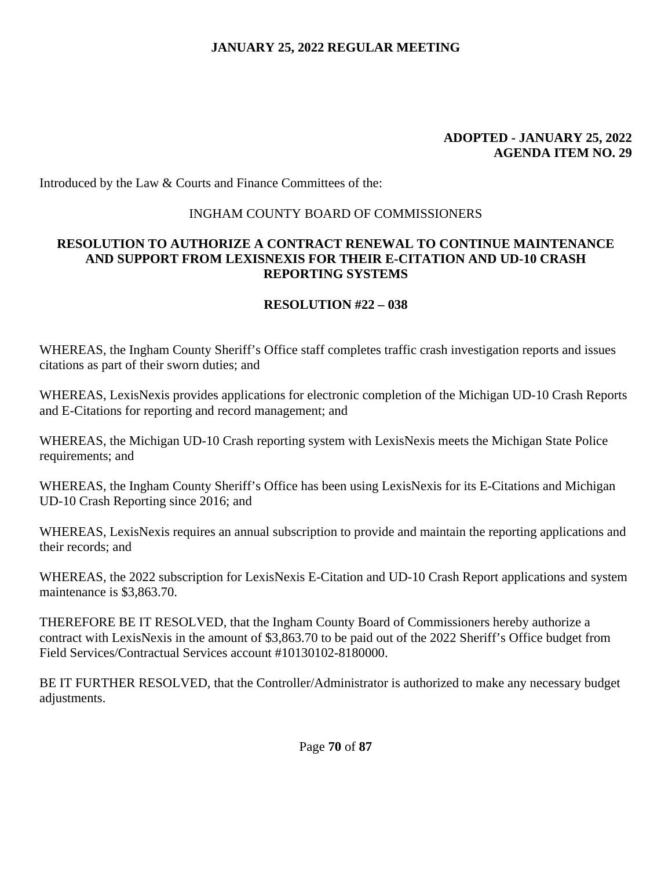#### **ADOPTED - JANUARY 25, 2022 AGENDA ITEM NO. 29**

Introduced by the Law & Courts and Finance Committees of the:

## INGHAM COUNTY BOARD OF COMMISSIONERS

## **RESOLUTION TO AUTHORIZE A CONTRACT RENEWAL TO CONTINUE MAINTENANCE AND SUPPORT FROM LEXISNEXIS FOR THEIR E-CITATION AND UD-10 CRASH REPORTING SYSTEMS**

# **RESOLUTION #22 – 038**

WHEREAS, the Ingham County Sheriff's Office staff completes traffic crash investigation reports and issues citations as part of their sworn duties; and

WHEREAS, LexisNexis provides applications for electronic completion of the Michigan UD-10 Crash Reports and E-Citations for reporting and record management; and

WHEREAS, the Michigan UD-10 Crash reporting system with LexisNexis meets the Michigan State Police requirements; and

WHEREAS, the Ingham County Sheriff's Office has been using LexisNexis for its E-Citations and Michigan UD-10 Crash Reporting since 2016; and

WHEREAS, LexisNexis requires an annual subscription to provide and maintain the reporting applications and their records; and

WHEREAS, the 2022 subscription for LexisNexis E-Citation and UD-10 Crash Report applications and system maintenance is \$3,863.70.

THEREFORE BE IT RESOLVED, that the Ingham County Board of Commissioners hereby authorize a contract with LexisNexis in the amount of \$3,863.70 to be paid out of the 2022 Sheriff's Office budget from Field Services/Contractual Services account #10130102-8180000.

BE IT FURTHER RESOLVED, that the Controller/Administrator is authorized to make any necessary budget adjustments.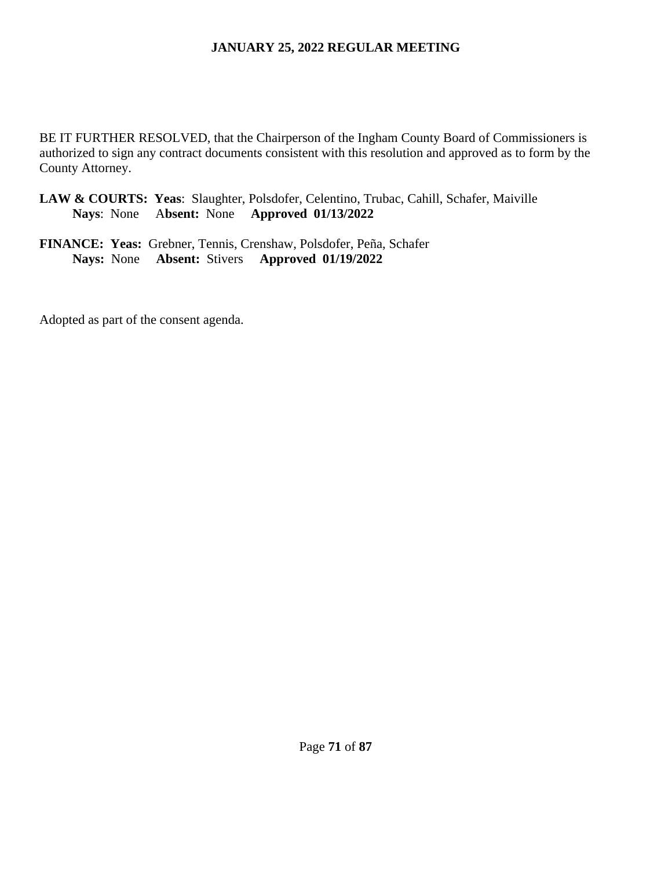BE IT FURTHER RESOLVED, that the Chairperson of the Ingham County Board of Commissioners is authorized to sign any contract documents consistent with this resolution and approved as to form by the County Attorney.

- **LAW & COURTS: Yeas**: Slaughter, Polsdofer, Celentino, Trubac, Cahill, Schafer, Maiville  **Nays**: None A**bsent:** None **Approved 01/13/2022**
- **FINANCE: Yeas:** Grebner, Tennis, Crenshaw, Polsdofer, Peña, Schafer **Nays:** None **Absent:** Stivers **Approved 01/19/2022**

Adopted as part of the consent agenda.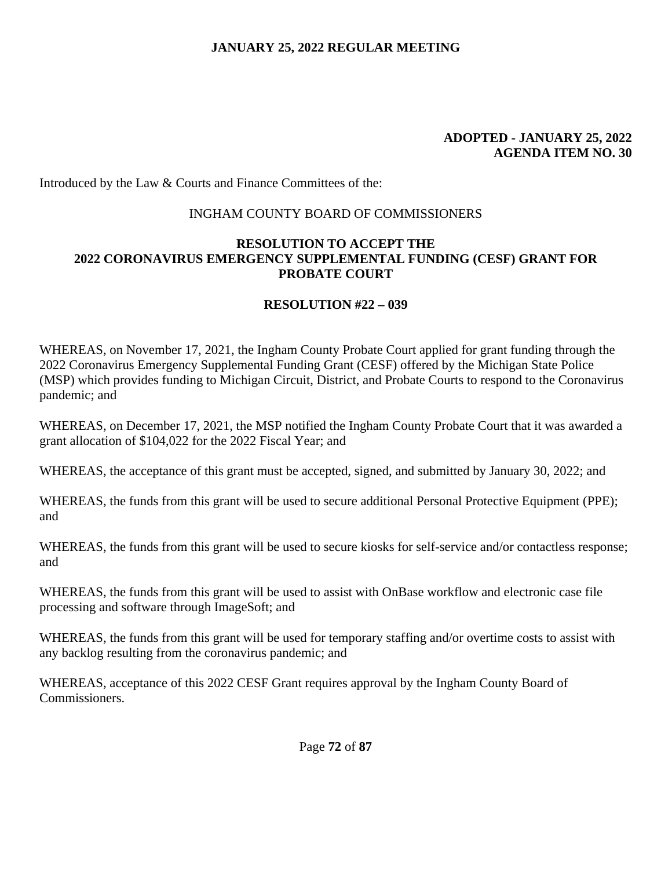#### **ADOPTED - JANUARY 25, 2022 AGENDA ITEM NO. 30**

Introduced by the Law & Courts and Finance Committees of the:

## INGHAM COUNTY BOARD OF COMMISSIONERS

## **RESOLUTION TO ACCEPT THE 2022 CORONAVIRUS EMERGENCY SUPPLEMENTAL FUNDING (CESF) GRANT FOR PROBATE COURT**

# **RESOLUTION #22 – 039**

WHEREAS, on November 17, 2021, the Ingham County Probate Court applied for grant funding through the 2022 Coronavirus Emergency Supplemental Funding Grant (CESF) offered by the Michigan State Police (MSP) which provides funding to Michigan Circuit, District, and Probate Courts to respond to the Coronavirus pandemic; and

WHEREAS, on December 17, 2021, the MSP notified the Ingham County Probate Court that it was awarded a grant allocation of \$104,022 for the 2022 Fiscal Year; and

WHEREAS, the acceptance of this grant must be accepted, signed, and submitted by January 30, 2022; and

WHEREAS, the funds from this grant will be used to secure additional Personal Protective Equipment (PPE); and

WHEREAS, the funds from this grant will be used to secure kiosks for self-service and/or contactless response; and

WHEREAS, the funds from this grant will be used to assist with OnBase workflow and electronic case file processing and software through ImageSoft; and

WHEREAS, the funds from this grant will be used for temporary staffing and/or overtime costs to assist with any backlog resulting from the coronavirus pandemic; and

WHEREAS, acceptance of this 2022 CESF Grant requires approval by the Ingham County Board of Commissioners.

Page **72** of **87**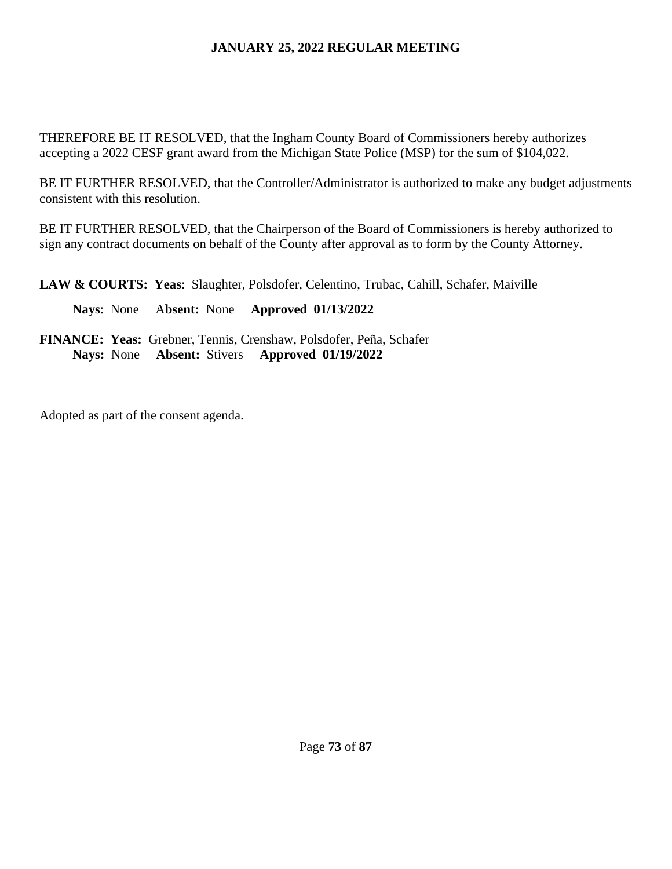THEREFORE BE IT RESOLVED, that the Ingham County Board of Commissioners hereby authorizes accepting a 2022 CESF grant award from the Michigan State Police (MSP) for the sum of \$104,022.

BE IT FURTHER RESOLVED, that the Controller/Administrator is authorized to make any budget adjustments consistent with this resolution.

BE IT FURTHER RESOLVED, that the Chairperson of the Board of Commissioners is hereby authorized to sign any contract documents on behalf of the County after approval as to form by the County Attorney.

**LAW & COURTS: Yeas**: Slaughter, Polsdofer, Celentino, Trubac, Cahill, Schafer, Maiville

 **Nays**: None A**bsent:** None **Approved 01/13/2022**

**FINANCE: Yeas:** Grebner, Tennis, Crenshaw, Polsdofer, Peña, Schafer **Nays:** None **Absent:** Stivers **Approved 01/19/2022** 

Adopted as part of the consent agenda.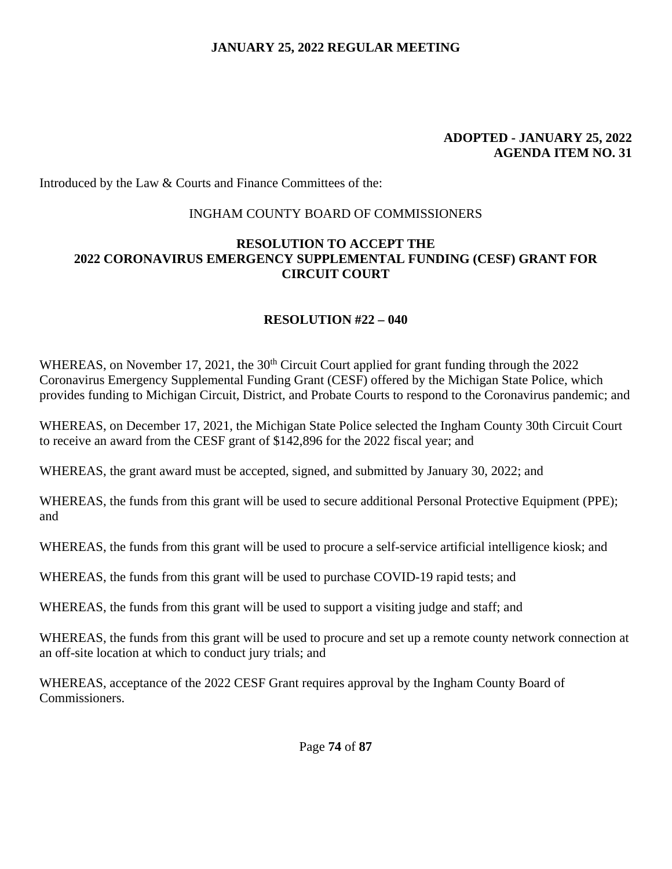#### **ADOPTED - JANUARY 25, 2022 AGENDA ITEM NO. 31**

Introduced by the Law & Courts and Finance Committees of the:

## INGHAM COUNTY BOARD OF COMMISSIONERS

## **RESOLUTION TO ACCEPT THE 2022 CORONAVIRUS EMERGENCY SUPPLEMENTAL FUNDING (CESF) GRANT FOR CIRCUIT COURT**

# **RESOLUTION #22 – 040**

WHEREAS, on November 17, 2021, the 30<sup>th</sup> Circuit Court applied for grant funding through the 2022 Coronavirus Emergency Supplemental Funding Grant (CESF) offered by the Michigan State Police, which provides funding to Michigan Circuit, District, and Probate Courts to respond to the Coronavirus pandemic; and

WHEREAS, on December 17, 2021, the Michigan State Police selected the Ingham County 30th Circuit Court to receive an award from the CESF grant of \$142,896 for the 2022 fiscal year; and

WHEREAS, the grant award must be accepted, signed, and submitted by January 30, 2022; and

WHEREAS, the funds from this grant will be used to secure additional Personal Protective Equipment (PPE); and

WHEREAS, the funds from this grant will be used to procure a self-service artificial intelligence kiosk; and

WHEREAS, the funds from this grant will be used to purchase COVID-19 rapid tests; and

WHEREAS, the funds from this grant will be used to support a visiting judge and staff; and

WHEREAS, the funds from this grant will be used to procure and set up a remote county network connection at an off-site location at which to conduct jury trials; and

WHEREAS, acceptance of the 2022 CESF Grant requires approval by the Ingham County Board of Commissioners.

Page **74** of **87**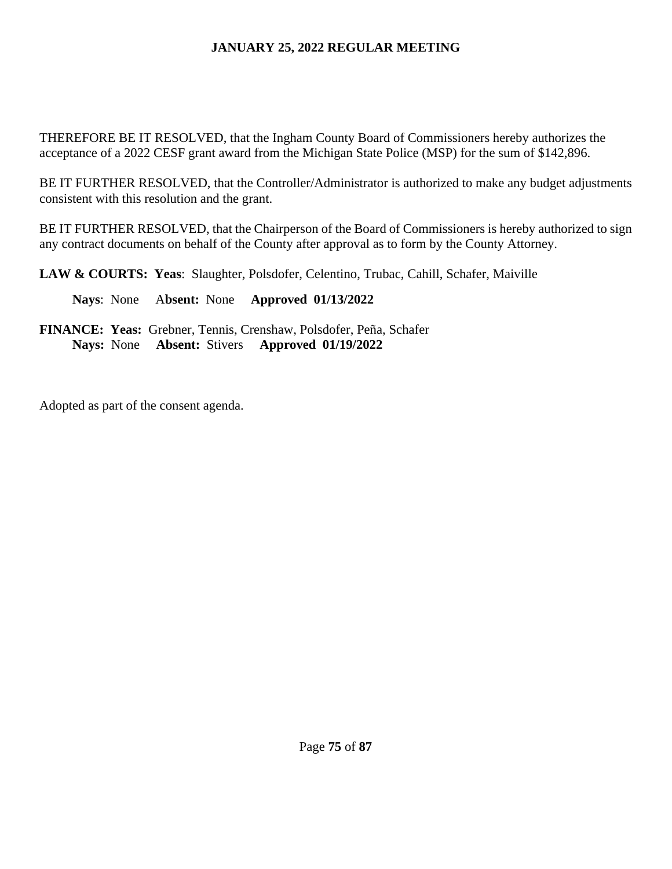THEREFORE BE IT RESOLVED, that the Ingham County Board of Commissioners hereby authorizes the acceptance of a 2022 CESF grant award from the Michigan State Police (MSP) for the sum of \$142,896.

BE IT FURTHER RESOLVED, that the Controller/Administrator is authorized to make any budget adjustments consistent with this resolution and the grant.

BE IT FURTHER RESOLVED, that the Chairperson of the Board of Commissioners is hereby authorized to sign any contract documents on behalf of the County after approval as to form by the County Attorney.

**LAW & COURTS: Yeas**: Slaughter, Polsdofer, Celentino, Trubac, Cahill, Schafer, Maiville

 **Nays**: None A**bsent:** None **Approved 01/13/2022**

**FINANCE: Yeas:** Grebner, Tennis, Crenshaw, Polsdofer, Peña, Schafer **Nays:** None **Absent:** Stivers **Approved 01/19/2022** 

Adopted as part of the consent agenda.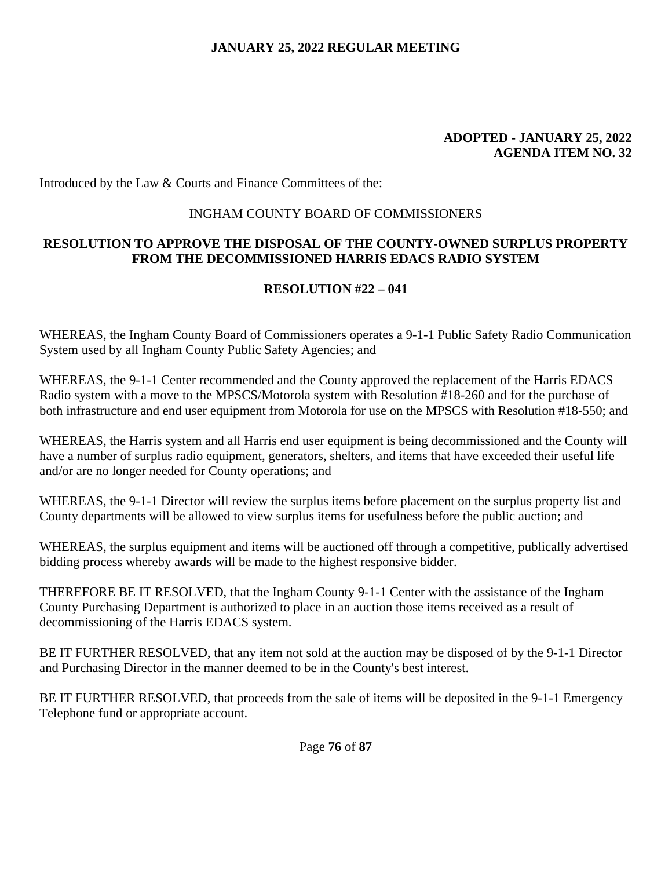#### **ADOPTED - JANUARY 25, 2022 AGENDA ITEM NO. 32**

Introduced by the Law & Courts and Finance Committees of the:

## INGHAM COUNTY BOARD OF COMMISSIONERS

# **RESOLUTION TO APPROVE THE DISPOSAL OF THE COUNTY-OWNED SURPLUS PROPERTY FROM THE DECOMMISSIONED HARRIS EDACS RADIO SYSTEM**

# **RESOLUTION #22 – 041**

WHEREAS, the Ingham County Board of Commissioners operates a 9-1-1 Public Safety Radio Communication System used by all Ingham County Public Safety Agencies; and

WHEREAS, the 9-1-1 Center recommended and the County approved the replacement of the Harris EDACS Radio system with a move to the MPSCS/Motorola system with Resolution #18-260 and for the purchase of both infrastructure and end user equipment from Motorola for use on the MPSCS with Resolution #18-550; and

WHEREAS, the Harris system and all Harris end user equipment is being decommissioned and the County will have a number of surplus radio equipment, generators, shelters, and items that have exceeded their useful life and/or are no longer needed for County operations; and

WHEREAS, the 9-1-1 Director will review the surplus items before placement on the surplus property list and County departments will be allowed to view surplus items for usefulness before the public auction; and

WHEREAS, the surplus equipment and items will be auctioned off through a competitive, publically advertised bidding process whereby awards will be made to the highest responsive bidder.

THEREFORE BE IT RESOLVED, that the Ingham County 9-1-1 Center with the assistance of the Ingham County Purchasing Department is authorized to place in an auction those items received as a result of decommissioning of the Harris EDACS system.

BE IT FURTHER RESOLVED, that any item not sold at the auction may be disposed of by the 9-1-1 Director and Purchasing Director in the manner deemed to be in the County's best interest.

BE IT FURTHER RESOLVED, that proceeds from the sale of items will be deposited in the 9-1-1 Emergency Telephone fund or appropriate account.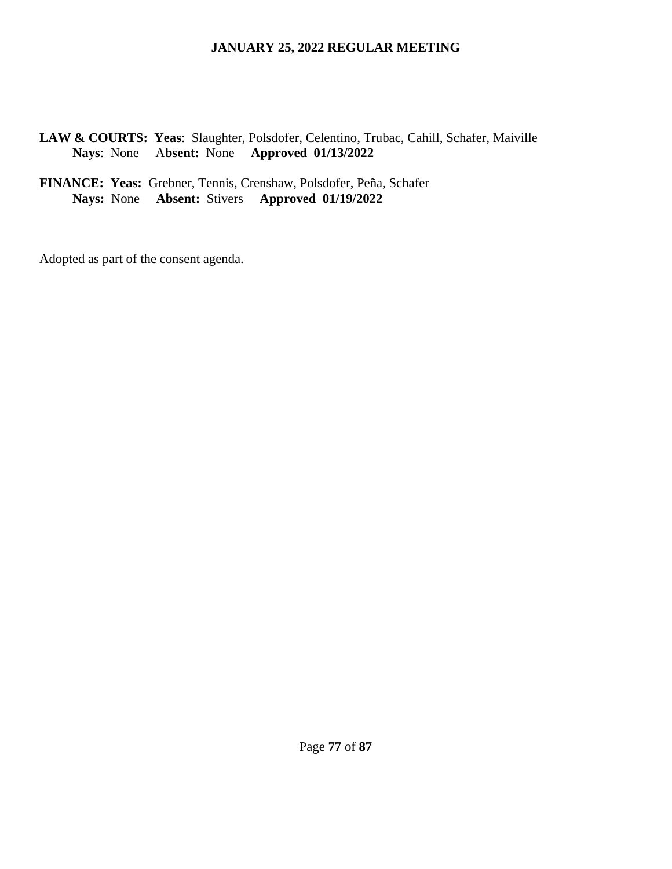**LAW & COURTS: Yeas**: Slaughter, Polsdofer, Celentino, Trubac, Cahill, Schafer, Maiville  **Nays**: None A**bsent:** None **Approved 01/13/2022**

**FINANCE: Yeas:** Grebner, Tennis, Crenshaw, Polsdofer, Peña, Schafer **Nays:** None **Absent:** Stivers **Approved 01/19/2022** 

Adopted as part of the consent agenda.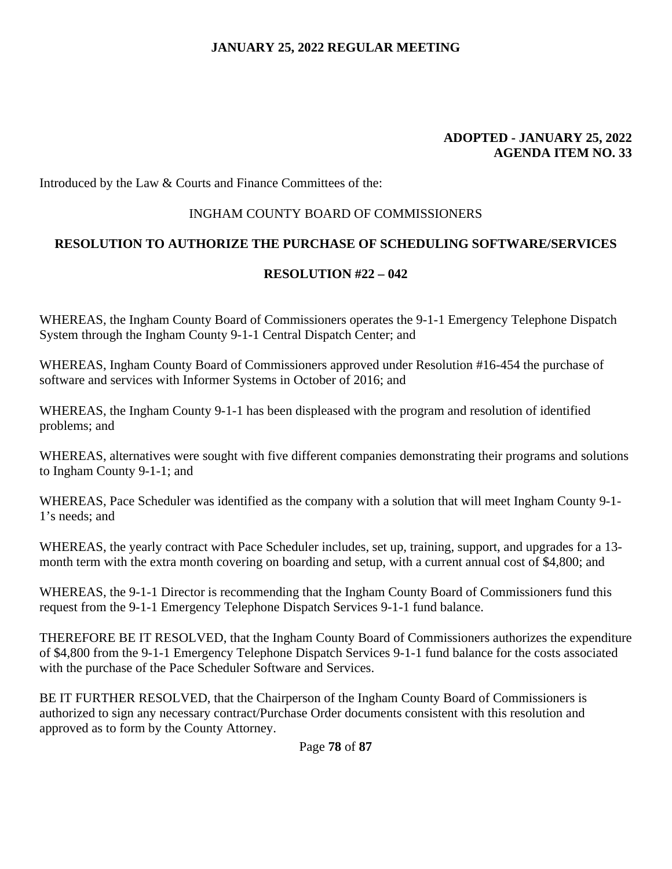#### **ADOPTED - JANUARY 25, 2022 AGENDA ITEM NO. 33**

Introduced by the Law & Courts and Finance Committees of the:

## INGHAM COUNTY BOARD OF COMMISSIONERS

## **RESOLUTION TO AUTHORIZE THE PURCHASE OF SCHEDULING SOFTWARE/SERVICES**

#### **RESOLUTION #22 – 042**

WHEREAS, the Ingham County Board of Commissioners operates the 9-1-1 Emergency Telephone Dispatch System through the Ingham County 9-1-1 Central Dispatch Center; and

WHEREAS, Ingham County Board of Commissioners approved under Resolution #16-454 the purchase of software and services with Informer Systems in October of 2016; and

WHEREAS, the Ingham County 9-1-1 has been displeased with the program and resolution of identified problems; and

WHEREAS, alternatives were sought with five different companies demonstrating their programs and solutions to Ingham County 9-1-1; and

WHEREAS, Pace Scheduler was identified as the company with a solution that will meet Ingham County 9-1- 1's needs; and

WHEREAS, the yearly contract with Pace Scheduler includes, set up, training, support, and upgrades for a 13 month term with the extra month covering on boarding and setup, with a current annual cost of \$4,800; and

WHEREAS, the 9-1-1 Director is recommending that the Ingham County Board of Commissioners fund this request from the 9-1-1 Emergency Telephone Dispatch Services 9-1-1 fund balance.

THEREFORE BE IT RESOLVED, that the Ingham County Board of Commissioners authorizes the expenditure of \$4,800 from the 9-1-1 Emergency Telephone Dispatch Services 9-1-1 fund balance for the costs associated with the purchase of the Pace Scheduler Software and Services.

BE IT FURTHER RESOLVED, that the Chairperson of the Ingham County Board of Commissioners is authorized to sign any necessary contract/Purchase Order documents consistent with this resolution and approved as to form by the County Attorney.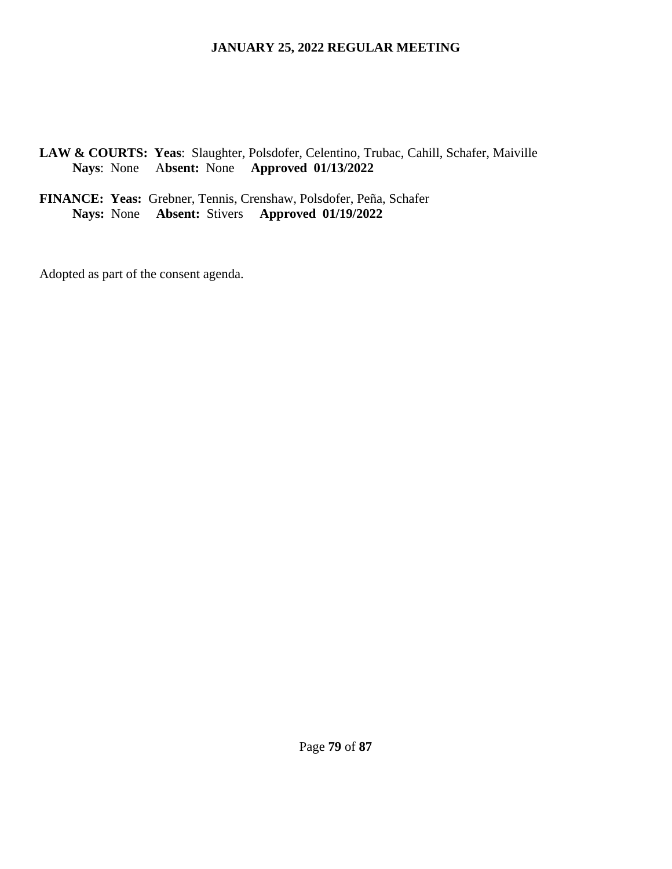# **LAW & COURTS: Yeas**: Slaughter, Polsdofer, Celentino, Trubac, Cahill, Schafer, Maiville  **Nays**: None A**bsent:** None **Approved 01/13/2022**

**FINANCE: Yeas:** Grebner, Tennis, Crenshaw, Polsdofer, Peña, Schafer **Nays:** None **Absent:** Stivers **Approved 01/19/2022** 

Adopted as part of the consent agenda.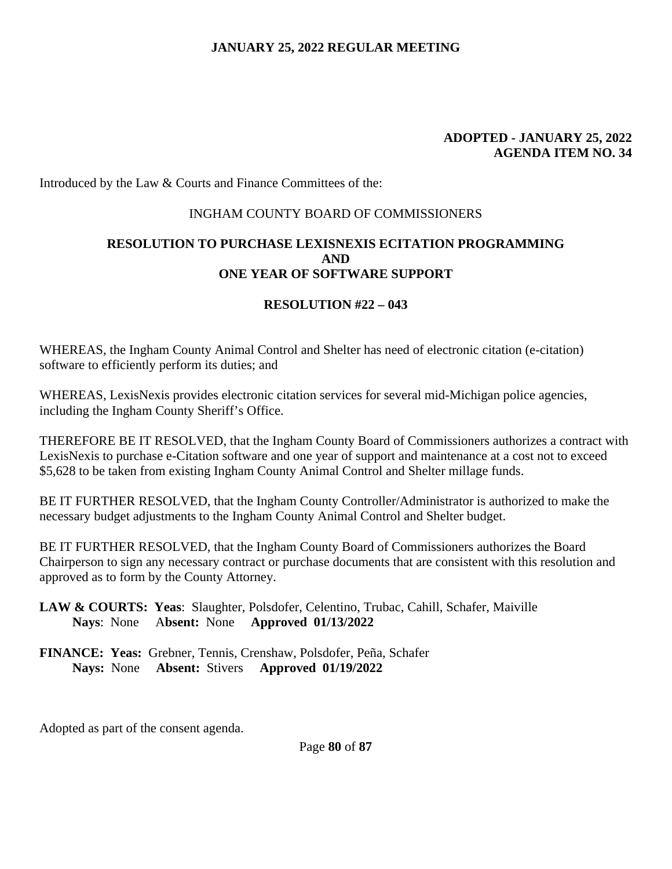#### **ADOPTED - JANUARY 25, 2022 AGENDA ITEM NO. 34**

Introduced by the Law & Courts and Finance Committees of the:

#### INGHAM COUNTY BOARD OF COMMISSIONERS

## **RESOLUTION TO PURCHASE LEXISNEXIS ECITATION PROGRAMMING AND ONE YEAR OF SOFTWARE SUPPORT**

## **RESOLUTION #22 – 043**

WHEREAS, the Ingham County Animal Control and Shelter has need of electronic citation (e-citation) software to efficiently perform its duties; and

WHEREAS, LexisNexis provides electronic citation services for several mid-Michigan police agencies, including the Ingham County Sheriff's Office.

THEREFORE BE IT RESOLVED, that the Ingham County Board of Commissioners authorizes a contract with LexisNexis to purchase e-Citation software and one year of support and maintenance at a cost not to exceed \$5,628 to be taken from existing Ingham County Animal Control and Shelter millage funds.

BE IT FURTHER RESOLVED, that the Ingham County Controller/Administrator is authorized to make the necessary budget adjustments to the Ingham County Animal Control and Shelter budget.

BE IT FURTHER RESOLVED, that the Ingham County Board of Commissioners authorizes the Board Chairperson to sign any necessary contract or purchase documents that are consistent with this resolution and approved as to form by the County Attorney.

## **LAW & COURTS: Yeas**: Slaughter, Polsdofer, Celentino, Trubac, Cahill, Schafer, Maiville  **Nays**: None A**bsent:** None **Approved 01/13/2022**

**FINANCE: Yeas:** Grebner, Tennis, Crenshaw, Polsdofer, Peña, Schafer **Nays:** None **Absent:** Stivers **Approved 01/19/2022** 

Adopted as part of the consent agenda.

Page **80** of **87**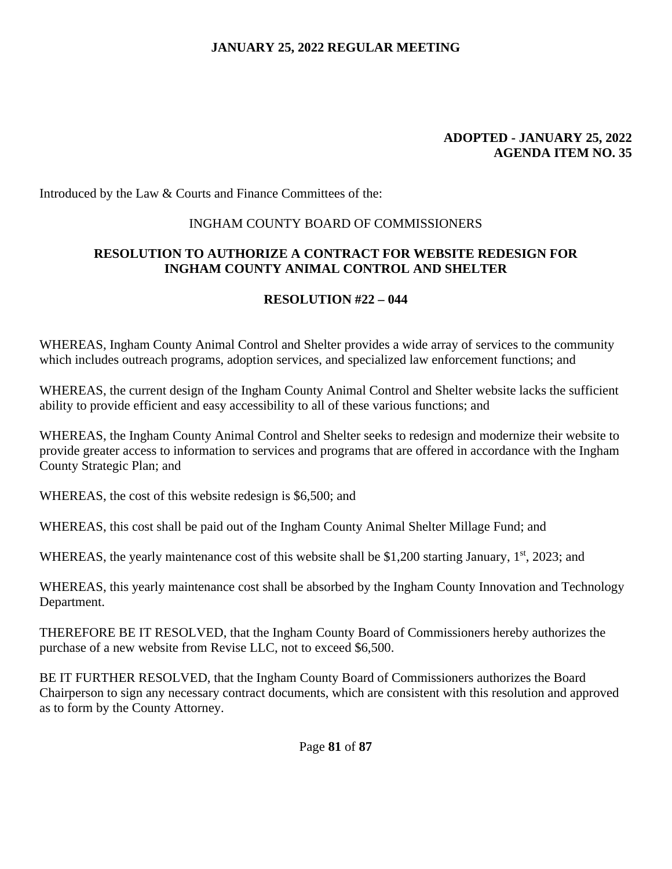#### **ADOPTED - JANUARY 25, 2022 AGENDA ITEM NO. 35**

Introduced by the Law & Courts and Finance Committees of the:

# INGHAM COUNTY BOARD OF COMMISSIONERS

# **RESOLUTION TO AUTHORIZE A CONTRACT FOR WEBSITE REDESIGN FOR INGHAM COUNTY ANIMAL CONTROL AND SHELTER**

# **RESOLUTION #22 – 044**

WHEREAS, Ingham County Animal Control and Shelter provides a wide array of services to the community which includes outreach programs, adoption services, and specialized law enforcement functions; and

WHEREAS, the current design of the Ingham County Animal Control and Shelter website lacks the sufficient ability to provide efficient and easy accessibility to all of these various functions; and

WHEREAS, the Ingham County Animal Control and Shelter seeks to redesign and modernize their website to provide greater access to information to services and programs that are offered in accordance with the Ingham County Strategic Plan; and

WHEREAS, the cost of this website redesign is \$6,500; and

WHEREAS, this cost shall be paid out of the Ingham County Animal Shelter Millage Fund; and

WHEREAS, the yearly maintenance cost of this website shall be \$1,200 starting January,  $1<sup>st</sup>$ , 2023; and

WHEREAS, this yearly maintenance cost shall be absorbed by the Ingham County Innovation and Technology Department.

THEREFORE BE IT RESOLVED, that the Ingham County Board of Commissioners hereby authorizes the purchase of a new website from Revise LLC, not to exceed \$6,500.

BE IT FURTHER RESOLVED, that the Ingham County Board of Commissioners authorizes the Board Chairperson to sign any necessary contract documents, which are consistent with this resolution and approved as to form by the County Attorney.

Page **81** of **87**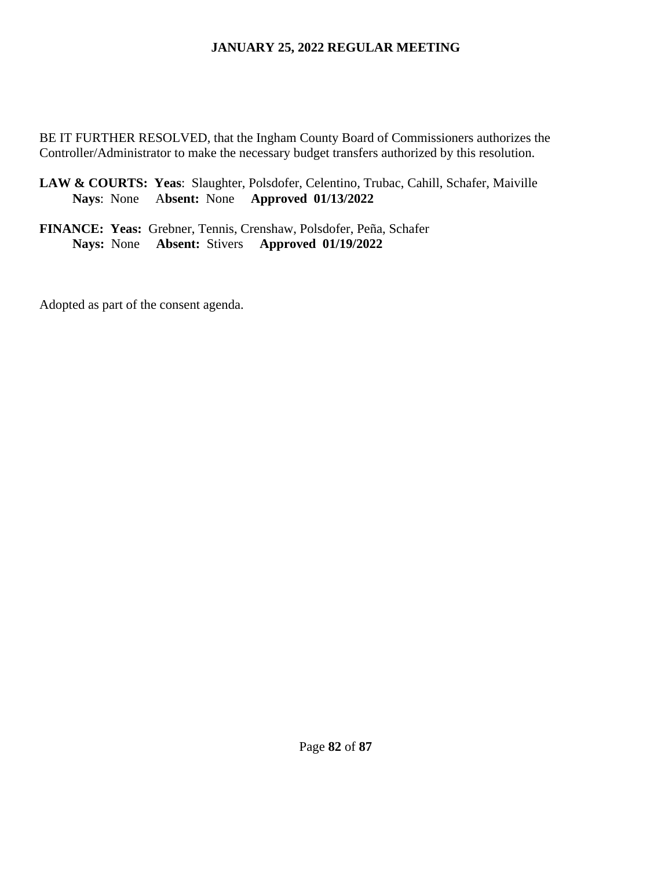BE IT FURTHER RESOLVED, that the Ingham County Board of Commissioners authorizes the Controller/Administrator to make the necessary budget transfers authorized by this resolution.

**LAW & COURTS: Yeas**: Slaughter, Polsdofer, Celentino, Trubac, Cahill, Schafer, Maiville  **Nays**: None A**bsent:** None **Approved 01/13/2022**

**FINANCE: Yeas:** Grebner, Tennis, Crenshaw, Polsdofer, Peña, Schafer **Nays:** None **Absent:** Stivers **Approved 01/19/2022** 

Adopted as part of the consent agenda.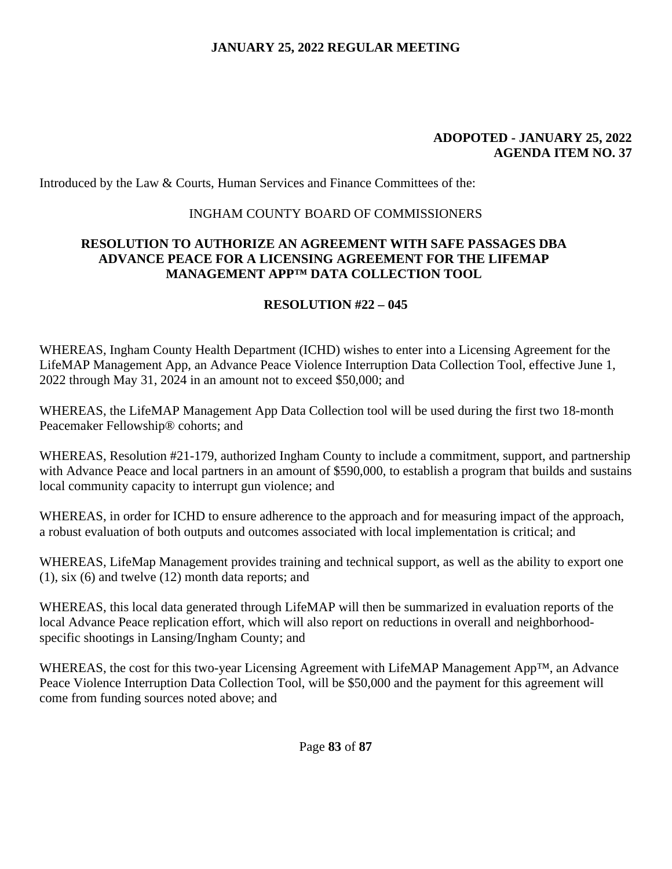#### **ADOPOTED - JANUARY 25, 2022 AGENDA ITEM NO. 37**

Introduced by the Law & Courts, Human Services and Finance Committees of the:

## INGHAM COUNTY BOARD OF COMMISSIONERS

## **RESOLUTION TO AUTHORIZE AN AGREEMENT WITH SAFE PASSAGES DBA ADVANCE PEACE FOR A LICENSING AGREEMENT FOR THE LIFEMAP MANAGEMENT APP™ DATA COLLECTION TOOL**

# **RESOLUTION #22 – 045**

WHEREAS, Ingham County Health Department (ICHD) wishes to enter into a Licensing Agreement for the LifeMAP Management App, an Advance Peace Violence Interruption Data Collection Tool, effective June 1, 2022 through May 31, 2024 in an amount not to exceed \$50,000; and

WHEREAS, the LifeMAP Management App Data Collection tool will be used during the first two 18-month Peacemaker Fellowship® cohorts; and

WHEREAS, Resolution #21-179, authorized Ingham County to include a commitment, support, and partnership with Advance Peace and local partners in an amount of \$590,000, to establish a program that builds and sustains local community capacity to interrupt gun violence; and

WHEREAS, in order for ICHD to ensure adherence to the approach and for measuring impact of the approach, a robust evaluation of both outputs and outcomes associated with local implementation is critical; and

WHEREAS, LifeMap Management provides training and technical support, as well as the ability to export one (1), six (6) and twelve (12) month data reports; and

WHEREAS, this local data generated through LifeMAP will then be summarized in evaluation reports of the local Advance Peace replication effort, which will also report on reductions in overall and neighborhoodspecific shootings in Lansing/Ingham County; and

WHEREAS, the cost for this two-year Licensing Agreement with LifeMAP Management App™, an Advance Peace Violence Interruption Data Collection Tool, will be \$50,000 and the payment for this agreement will come from funding sources noted above; and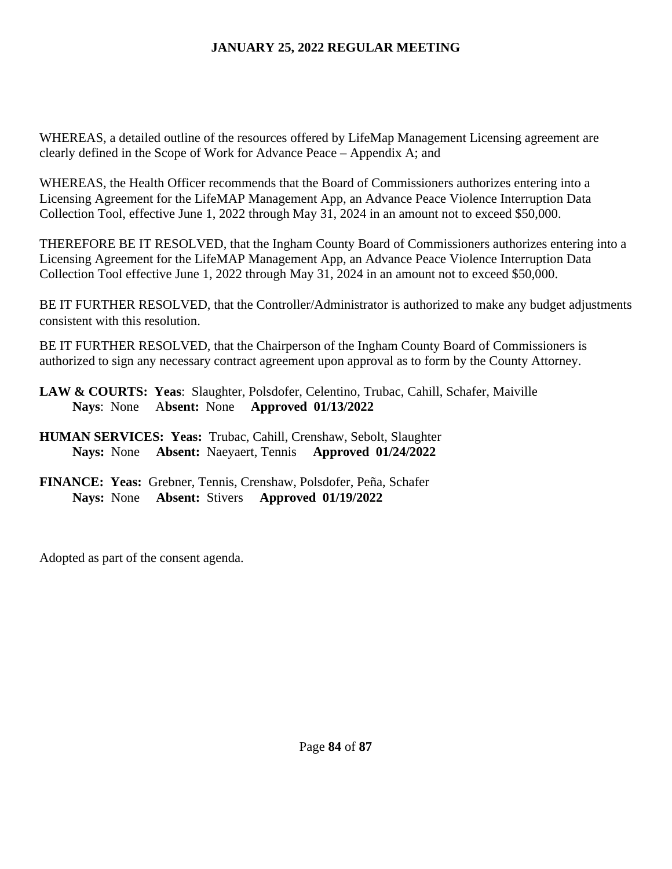WHEREAS, a detailed outline of the resources offered by LifeMap Management Licensing agreement are clearly defined in the Scope of Work for Advance Peace – Appendix A; and

WHEREAS, the Health Officer recommends that the Board of Commissioners authorizes entering into a Licensing Agreement for the LifeMAP Management App, an Advance Peace Violence Interruption Data Collection Tool, effective June 1, 2022 through May 31, 2024 in an amount not to exceed \$50,000.

THEREFORE BE IT RESOLVED, that the Ingham County Board of Commissioners authorizes entering into a Licensing Agreement for the LifeMAP Management App, an Advance Peace Violence Interruption Data Collection Tool effective June 1, 2022 through May 31, 2024 in an amount not to exceed \$50,000.

BE IT FURTHER RESOLVED, that the Controller/Administrator is authorized to make any budget adjustments consistent with this resolution.

BE IT FURTHER RESOLVED, that the Chairperson of the Ingham County Board of Commissioners is authorized to sign any necessary contract agreement upon approval as to form by the County Attorney.

**LAW & COURTS: Yeas**: Slaughter, Polsdofer, Celentino, Trubac, Cahill, Schafer, Maiville  **Nays**: None A**bsent:** None **Approved 01/13/2022**

- **HUMAN SERVICES: Yeas:** Trubac, Cahill, Crenshaw, Sebolt, Slaughter **Nays:** None **Absent:** Naeyaert, Tennis **Approved 01/24/2022**
- **FINANCE: Yeas:** Grebner, Tennis, Crenshaw, Polsdofer, Peña, Schafer **Nays:** None **Absent:** Stivers **Approved 01/19/2022**

Adopted as part of the consent agenda.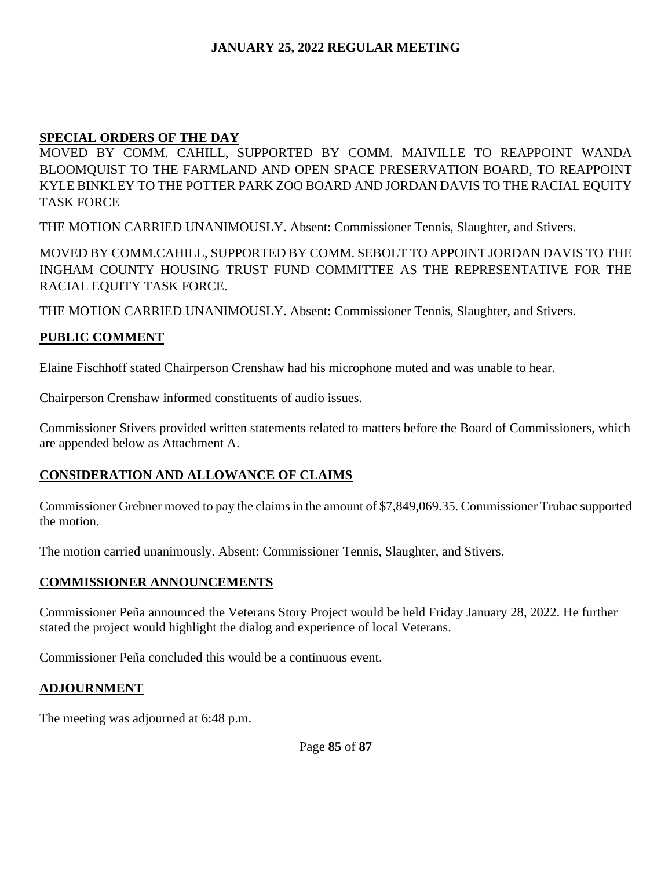# **SPECIAL ORDERS OF THE DAY**

MOVED BY COMM. CAHILL, SUPPORTED BY COMM. MAIVILLE TO REAPPOINT WANDA BLOOMQUIST TO THE FARMLAND AND OPEN SPACE PRESERVATION BOARD, TO REAPPOINT KYLE BINKLEY TO THE POTTER PARK ZOO BOARD AND JORDAN DAVIS TO THE RACIAL EQUITY TASK FORCE

THE MOTION CARRIED UNANIMOUSLY. Absent: Commissioner Tennis, Slaughter, and Stivers.

MOVED BY COMM.CAHILL, SUPPORTED BY COMM. SEBOLT TO APPOINT JORDAN DAVIS TO THE INGHAM COUNTY HOUSING TRUST FUND COMMITTEE AS THE REPRESENTATIVE FOR THE RACIAL EQUITY TASK FORCE.

THE MOTION CARRIED UNANIMOUSLY. Absent: Commissioner Tennis, Slaughter, and Stivers.

# **PUBLIC COMMENT**

Elaine Fischhoff stated Chairperson Crenshaw had his microphone muted and was unable to hear.

Chairperson Crenshaw informed constituents of audio issues.

Commissioner Stivers provided written statements related to matters before the Board of Commissioners, which are appended below as Attachment A.

# **CONSIDERATION AND ALLOWANCE OF CLAIMS**

Commissioner Grebner moved to pay the claims in the amount of \$7,849,069.35. Commissioner Trubac supported the motion.

The motion carried unanimously. Absent: Commissioner Tennis, Slaughter, and Stivers.

# **COMMISSIONER ANNOUNCEMENTS**

Commissioner Peña announced the Veterans Story Project would be held Friday January 28, 2022. He further stated the project would highlight the dialog and experience of local Veterans.

Commissioner Peña concluded this would be a continuous event.

# **ADJOURNMENT**

The meeting was adjourned at 6:48 p.m.

Page **85** of **87**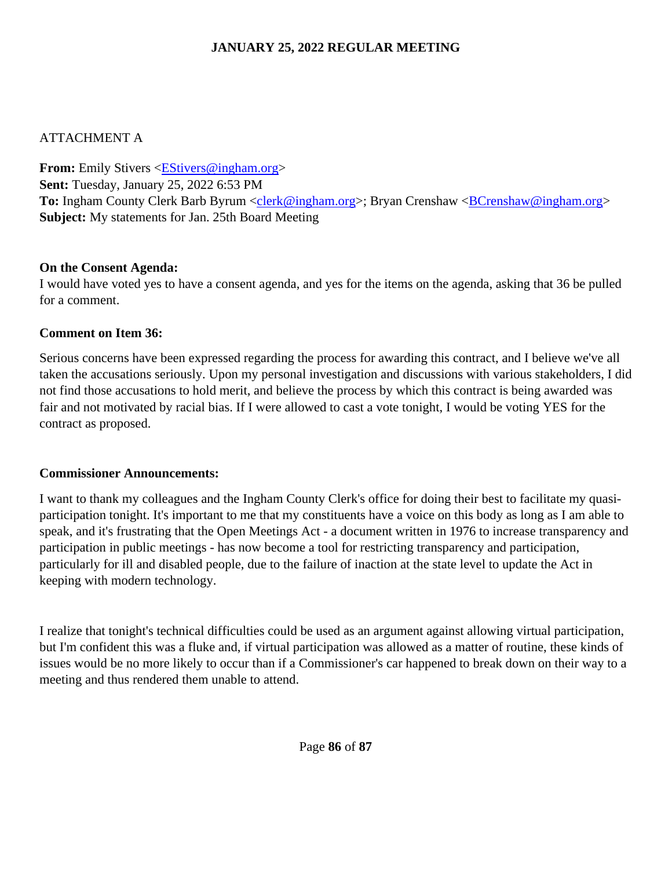# ATTACHMENT A

**From:** Emily Stivers <**EStivers@ingham.org> Sent:** Tuesday, January 25, 2022 6:53 PM **To:** Ingham County Clerk Barb Byrum <clerk@ingham.org>; Bryan Crenshaw <BCrenshaw@ingham.org> **Subject:** My statements for Jan. 25th Board Meeting

# **On the Consent Agenda:**

I would have voted yes to have a consent agenda, and yes for the items on the agenda, asking that 36 be pulled for a comment.

# **Comment on Item 36:**

Serious concerns have been expressed regarding the process for awarding this contract, and I believe we've all taken the accusations seriously. Upon my personal investigation and discussions with various stakeholders, I did not find those accusations to hold merit, and believe the process by which this contract is being awarded was fair and not motivated by racial bias. If I were allowed to cast a vote tonight, I would be voting YES for the contract as proposed.

# **Commissioner Announcements:**

I want to thank my colleagues and the Ingham County Clerk's office for doing their best to facilitate my quasiparticipation tonight. It's important to me that my constituents have a voice on this body as long as I am able to speak, and it's frustrating that the Open Meetings Act - a document written in 1976 to increase transparency and participation in public meetings - has now become a tool for restricting transparency and participation, particularly for ill and disabled people, due to the failure of inaction at the state level to update the Act in keeping with modern technology.

I realize that tonight's technical difficulties could be used as an argument against allowing virtual participation, but I'm confident this was a fluke and, if virtual participation was allowed as a matter of routine, these kinds of issues would be no more likely to occur than if a Commissioner's car happened to break down on their way to a meeting and thus rendered them unable to attend.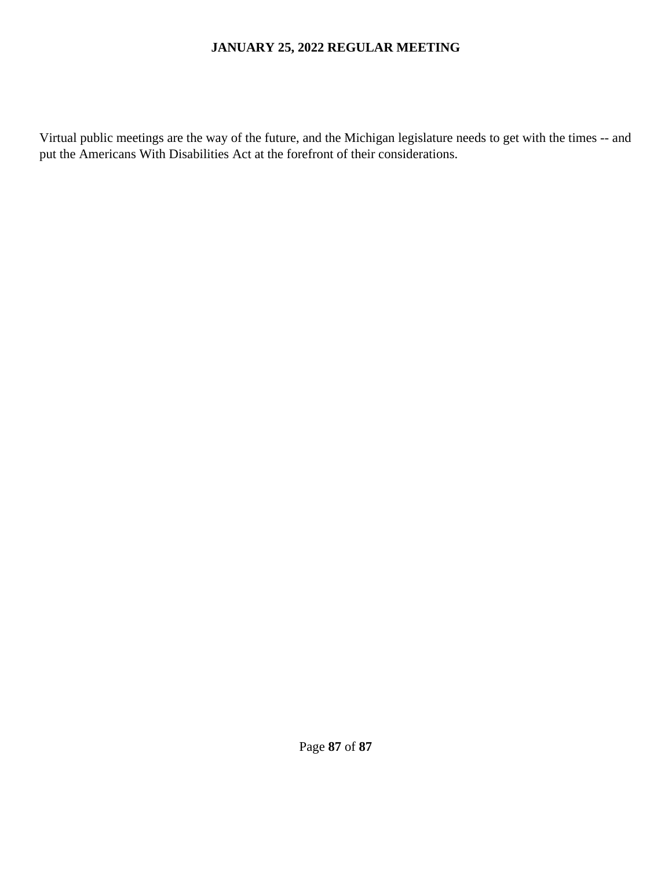Virtual public meetings are the way of the future, and the Michigan legislature needs to get with the times -- and put the Americans With Disabilities Act at the forefront of their considerations.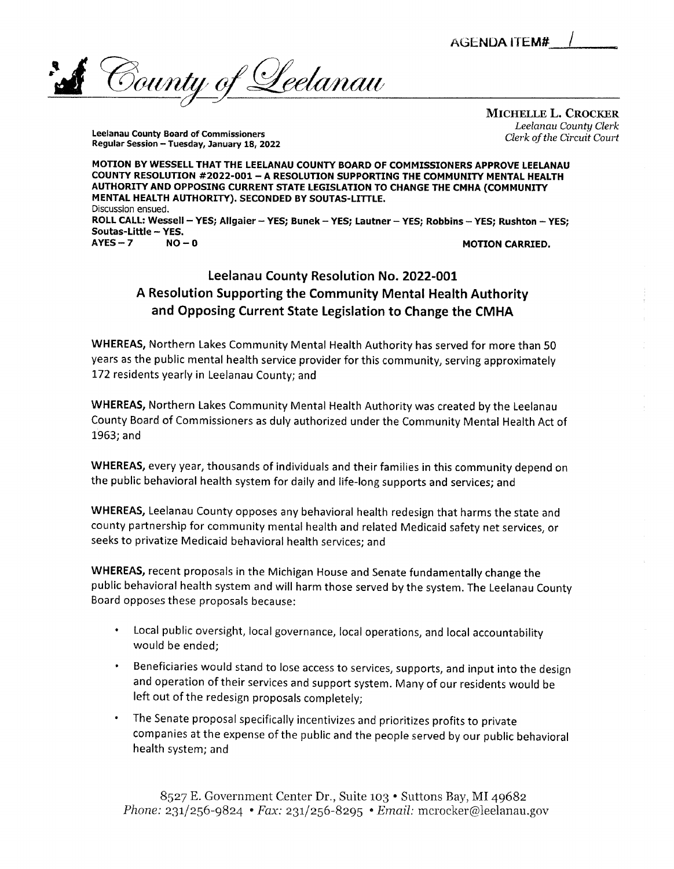**AGENDA ITEM#** 

<u>'Leelanau</u>  $\delta$ ounty of

Leelanau County Board of Commissioners Regular Session - Tuesday, January 18, 2022 *Michelle L. Crocker* **Leelanau County Clerk Clerk ofthe Circuit Court**

*MOTION BY WESSELL THAT THE LEELANAU COUNTY BOARD OF COMMISSIONERS APPROVE LEELANAU COUNTY RESOLUTION #2022-001 - A RESOLUTION SUPPORTING THE COMMUNITY MENTAL HEALTH AUTHORITY AND OPPOSING CURRENT STATE LEGISLATION TO CHANGE THE CMHA (COMMUNITY MENTAL HEALTH AUTHORITY). SECONDED BY SOUTAS-LITTLE.* Discussion ensued. *ROLLCALL: Wessell - YES; Allgaier - YES; Bunek - YES; Lautner - YES; Robbins - YES; Rushton - YES; Soutas-Little - YES. AYES -7 NO - 0 MOTION CARRIED.*

# Leelanau County Resolution No. 2022-001 A Resolution Supporting the Community Mental Health Authority and Opposing Current State Legislation to Change the CMHA

WHEREAS, Northern Lakes Community Mental Health Authority has served for more than 50 years as the public mental health service provider for this community, serving approximately 172 residents yearly in Leelanau County; and

*WHEREAS,* Northern Lakes Community Mental Health Authority was created by the Leelanau County Board of Commissioners as duly authorized under the Community Mental Health Act of 1963;and

*WHEREAS,* every year, thousands of individuals and their families in this community depend on the public behavioral health system for daily and life-long supports and services; and

*WHEREAS,* Leelanau County opposes any behavioral health redesign that harms the state and county partnership for community mental health and related Medicaid safety net services, or seeks to privatize Medicaid behavioral health services; and

*WHEREAS,* recent proposals in the Michigan Houseand Senate fundamentally change the public behavioral health system and will harm those served by the system. The Leelanau County Board opposes these proposals because:

- Local public oversight, local governance, local operations, and local accountability would be ended;
- Beneficiaries would stand to lose access to services, supports, and input into the design and operation of their services and support system. Many of our residents would be left out of the redesign proposals completely;
- The Senate proposal specifically incentivizes and prioritizes profits to private companies at the expense of the public and the peopleserved by our public behavioral health system; and

8527 E. Government Center Dr., Suite 103 • Suttons Bay, MI 49682 **Phone:** 231/256-9824 • **Fax:** 231/256-8295 \***Email:** mcrocker@leelanau.gov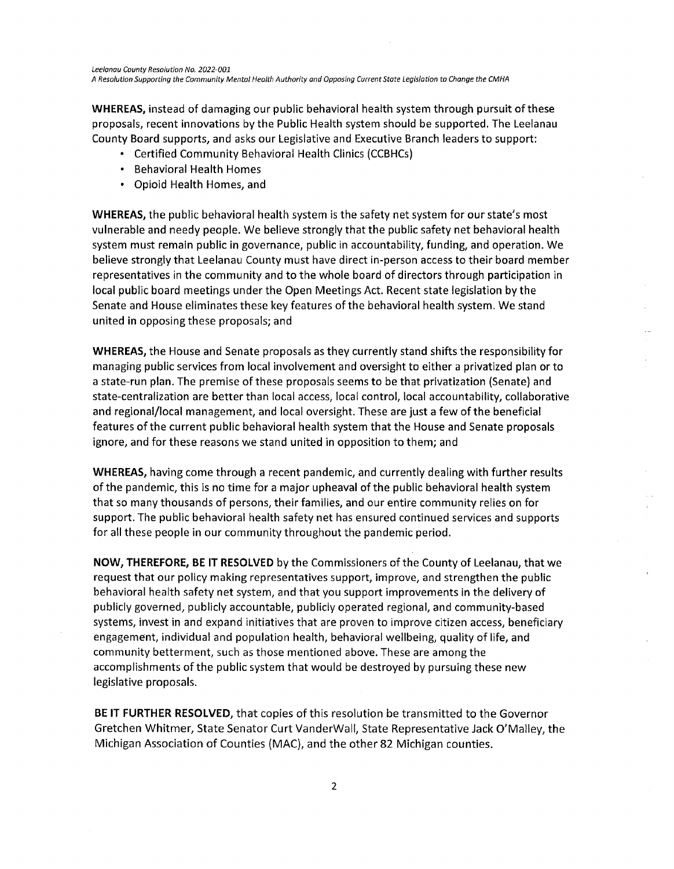**Leelanau County Resolution No. 2022-001 A Resolution Supporting the Community Mental Health Authority and Opposing CurrentState Legislation to Change the CMHA**

*WHEREAS,* instead of damaging our public behavioral health system through pursuit of these proposals, recent innovations by the Public Health system should be supported. The Leelanau County Board supports, and asks our Legislative and Executive Branch leaders to support:

- Certified Community Behavioral Health Clinics (CCBHCs)
- Behavioral Health Homes
- Opioid Health Homes, and

*WHEREAS,* the public behavioral health system is the safety net system for our state's most vulnerable and needy people. We believe strongly that the public safety net behavioral health system must remain public in governance, public in accountability, funding, and operation. We believe strongly that Leelanau County must have direct in-person access to their board member representatives in the community and to the whole board of directors through participation in local public board meetings under the Open Meetings Act. Recent state legislation by the Senate and House eliminates these key features of the behavioral health system. We stand united in opposing these proposals; and

*WHEREAS,* the House and Senate proposals as they currently stand shifts the responsibility for managing public services from local involvement and oversight to either a privatized plan or to a state-run plan. The premise of these proposals seems to be that privatization (Senate) and state-centralization are better than local access, local control, local accountability, collaborative and regional/local management, and local oversight. These are just a few of the beneficial features of the current public behavioral health system that the House and Senate proposals ignore, and for these reasons we stand united in opposition to them; and

*WHEREAS,* having come through a recent pandemic, and currently dealing with further results of the pandemic, this is no time for a major upheaval of the public behavioral health system that so many thousands of persons, their families, and our entire community relies on for support. The public behavioral health safety net has ensured continued services and supports for all these people in our community throughout the pandemic period.

*NOW, THEREFORE, BE IT RESOLVED* by the Commissioners of the County of Leelanau, that we request that our policy making representatives support, improve, and strengthen the public behavioral health safety net system, and that you support improvements in the delivery of publicly governed, publicly accountable, publicly operated regional, and community-based systems, invest in and expand initiatives that are proven to improve citizen access, beneficiary engagement, individual and population health, behavioral wellbeing, quality of life, and community betterment, such as those mentioned above. These are among the accomplishments of the public system that would be destroyed by pursuing these new legislative proposals.

*BE IT FURTHER RESOLVED,* that copies of this resolution be transmitted to the Governor Gretchen Whitmer, State Senator Curt VanderWall, State Representative Jack O'Malley, the Michigan Association of Counties (MAC), and the other 82 Michigan counties.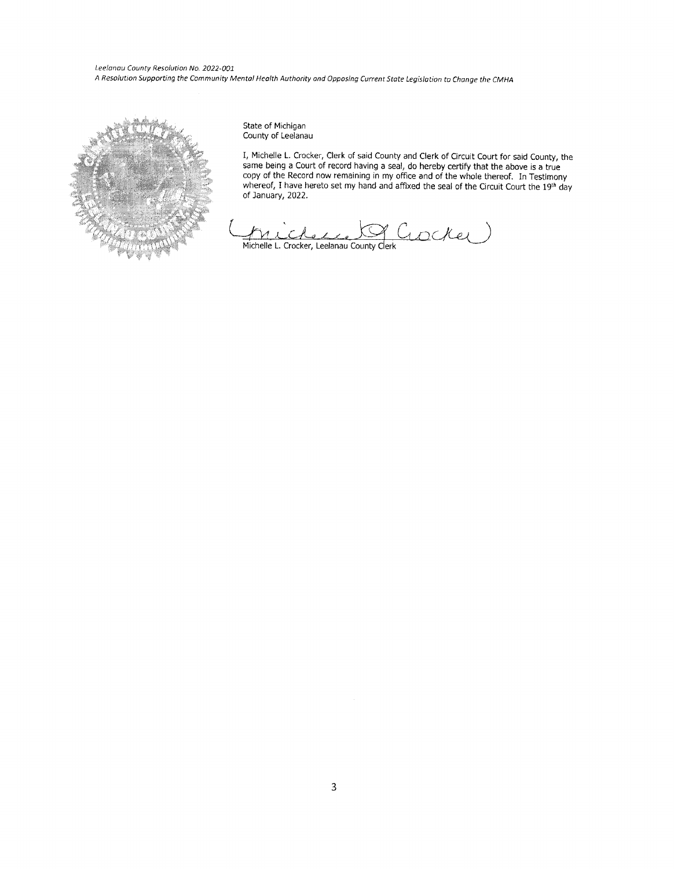**Leelanau County Resolution No. 2022-001 AResolution Supporting theCommunity Mental Health Authority andOpposing Current StateLegislation toChange the CMHA**



State of Michigan County of Leelanau

I, Michelle L. Crocker, Clerk of said County and Clerk of Circuit Court for said County, the same being a Court of record having a seal, do hereby certify that the above is a true copy of the Record now remaining in my office and of the whole thereof. In Testimony whereof, I have hereto set my hand and affixed the seal of the Circuit Court the 19th day of January, 2022.

 $C$ *iocke* N Michelle L. Crocker, Leelanau County Clerk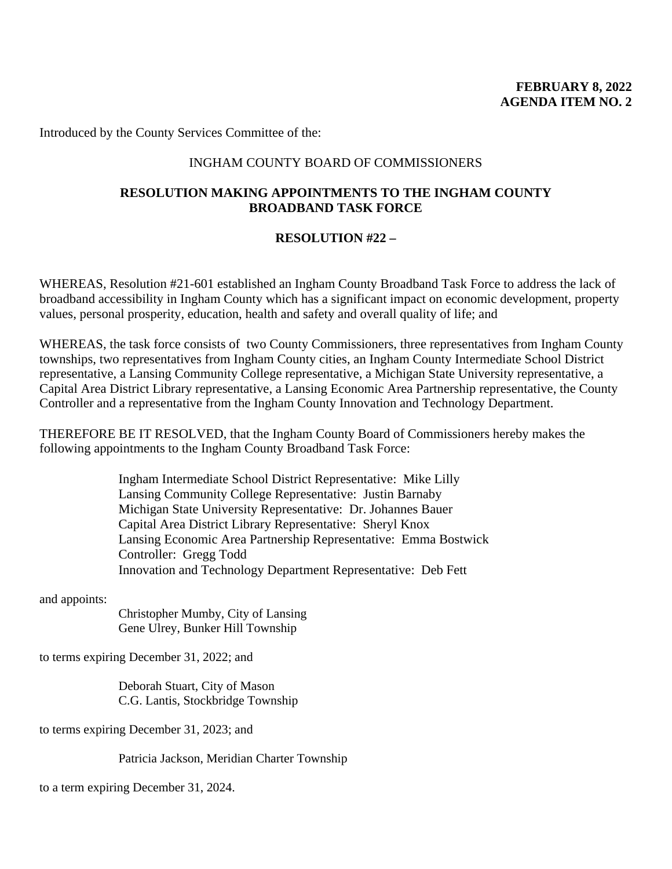Introduced by the County Services Committee of the:

#### INGHAM COUNTY BOARD OF COMMISSIONERS

## **RESOLUTION MAKING APPOINTMENTS TO THE INGHAM COUNTY BROADBAND TASK FORCE**

#### **RESOLUTION #22 –**

WHEREAS, Resolution #21-601 established an Ingham County Broadband Task Force to address the lack of broadband accessibility in Ingham County which has a significant impact on economic development, property values, personal prosperity, education, health and safety and overall quality of life; and

WHEREAS, the task force consists of two County Commissioners, three representatives from Ingham County townships, two representatives from Ingham County cities, an Ingham County Intermediate School District representative, a Lansing Community College representative, a Michigan State University representative, a Capital Area District Library representative, a Lansing Economic Area Partnership representative, the County Controller and a representative from the Ingham County Innovation and Technology Department.

THEREFORE BE IT RESOLVED, that the Ingham County Board of Commissioners hereby makes the following appointments to the Ingham County Broadband Task Force:

> Ingham Intermediate School District Representative: Mike Lilly Lansing Community College Representative: Justin Barnaby Michigan State University Representative: Dr. Johannes Bauer Capital Area District Library Representative: Sheryl Knox Lansing Economic Area Partnership Representative: Emma Bostwick Controller: Gregg Todd Innovation and Technology Department Representative: Deb Fett

and appoints:

Christopher Mumby, City of Lansing Gene Ulrey, Bunker Hill Township

to terms expiring December 31, 2022; and

Deborah Stuart, City of Mason C.G. Lantis, Stockbridge Township

to terms expiring December 31, 2023; and

Patricia Jackson, Meridian Charter Township

to a term expiring December 31, 2024.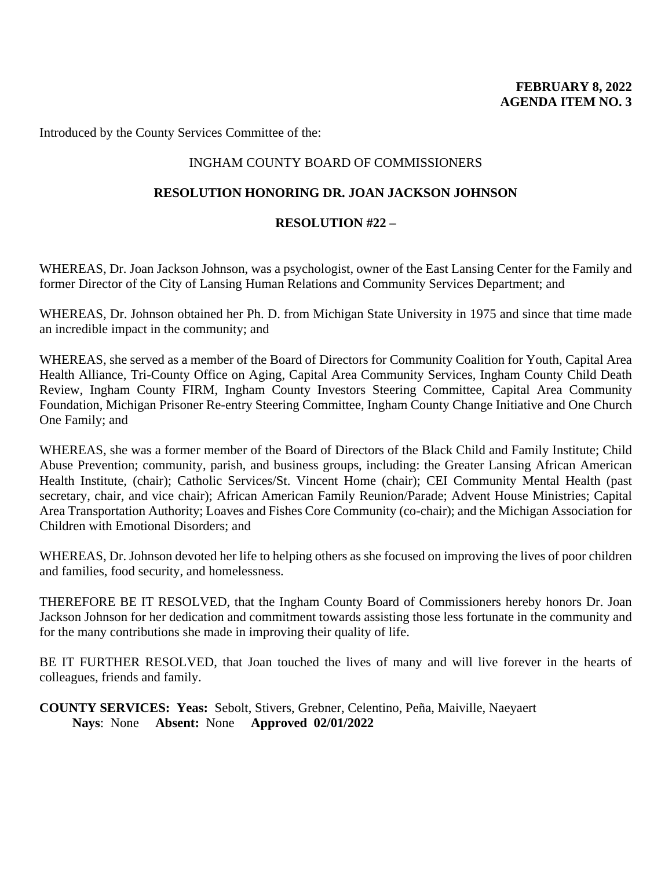Introduced by the County Services Committee of the:

## INGHAM COUNTY BOARD OF COMMISSIONERS

## **RESOLUTION HONORING DR. JOAN JACKSON JOHNSON**

## **RESOLUTION #22 –**

WHEREAS, Dr. Joan Jackson Johnson, was a psychologist, owner of the East Lansing Center for the Family and former Director of the City of Lansing Human Relations and Community Services Department; and

WHEREAS, Dr. Johnson obtained her Ph. D. from Michigan State University in 1975 and since that time made an incredible impact in the community; and

WHEREAS, she served as a member of the Board of Directors for Community Coalition for Youth, Capital Area Health Alliance, Tri-County Office on Aging, Capital Area Community Services, Ingham County Child Death Review, Ingham County FIRM, Ingham County Investors Steering Committee, Capital Area Community Foundation, Michigan Prisoner Re-entry Steering Committee, Ingham County Change Initiative and One Church One Family; and

WHEREAS, she was a former member of the Board of Directors of the Black Child and Family Institute; Child Abuse Prevention; community, parish, and business groups, including: the Greater Lansing African American Health Institute, (chair); Catholic Services/St. Vincent Home (chair); CEI Community Mental Health (past secretary, chair, and vice chair); African American Family Reunion/Parade; Advent House Ministries; Capital Area Transportation Authority; Loaves and Fishes Core Community (co-chair); and the Michigan Association for Children with Emotional Disorders; and

WHEREAS, Dr. Johnson devoted her life to helping others as she focused on improving the lives of poor children and families, food security, and homelessness.

THEREFORE BE IT RESOLVED, that the Ingham County Board of Commissioners hereby honors Dr. Joan Jackson Johnson for her dedication and commitment towards assisting those less fortunate in the community and for the many contributions she made in improving their quality of life.

BE IT FURTHER RESOLVED, that Joan touched the lives of many and will live forever in the hearts of colleagues, friends and family.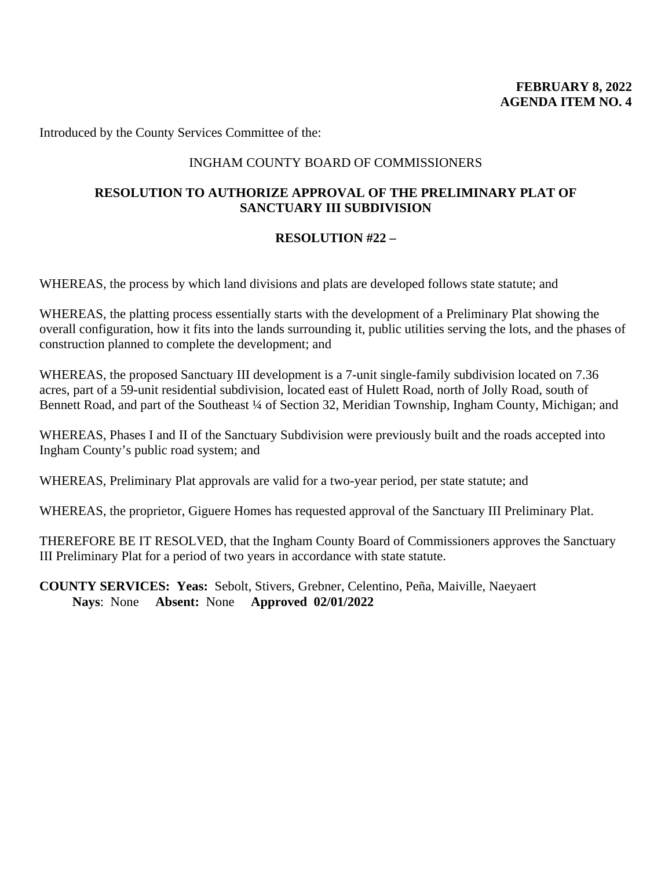Introduced by the County Services Committee of the:

## INGHAM COUNTY BOARD OF COMMISSIONERS

## **RESOLUTION TO AUTHORIZE APPROVAL OF THE PRELIMINARY PLAT OF SANCTUARY III SUBDIVISION**

#### **RESOLUTION #22 –**

WHEREAS, the process by which land divisions and plats are developed follows state statute; and

WHEREAS, the platting process essentially starts with the development of a Preliminary Plat showing the overall configuration, how it fits into the lands surrounding it, public utilities serving the lots, and the phases of construction planned to complete the development; and

WHEREAS, the proposed Sanctuary III development is a 7-unit single-family subdivision located on 7.36 acres, part of a 59-unit residential subdivision, located east of Hulett Road, north of Jolly Road, south of Bennett Road, and part of the Southeast ¼ of Section 32, Meridian Township, Ingham County, Michigan; and

WHEREAS, Phases I and II of the Sanctuary Subdivision were previously built and the roads accepted into Ingham County's public road system; and

WHEREAS, Preliminary Plat approvals are valid for a two-year period, per state statute; and

WHEREAS, the proprietor, Giguere Homes has requested approval of the Sanctuary III Preliminary Plat.

THEREFORE BE IT RESOLVED, that the Ingham County Board of Commissioners approves the Sanctuary III Preliminary Plat for a period of two years in accordance with state statute.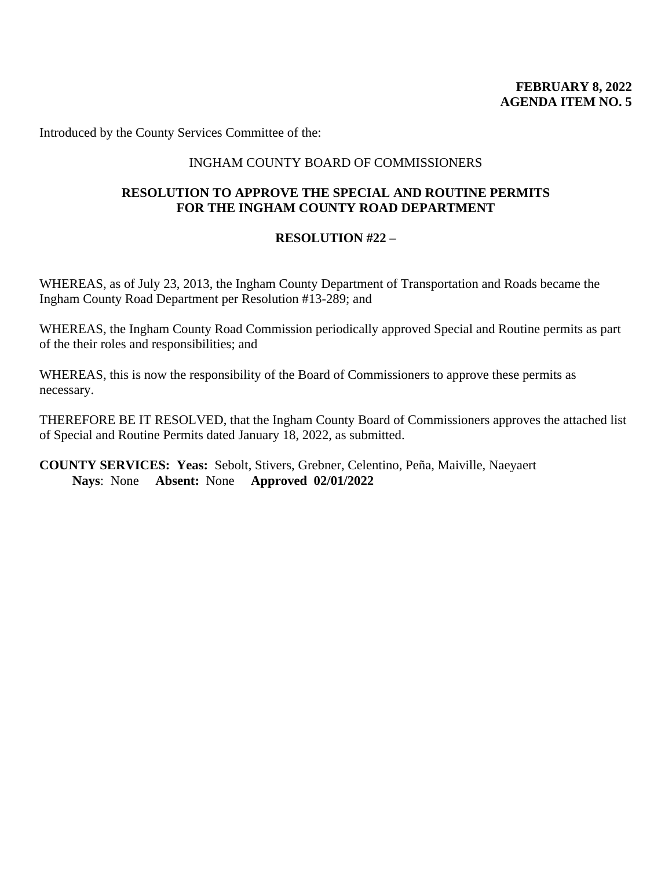## **FEBRUARY 8, 2022 AGENDA ITEM NO. 5**

Introduced by the County Services Committee of the:

## INGHAM COUNTY BOARD OF COMMISSIONERS

## **RESOLUTION TO APPROVE THE SPECIAL AND ROUTINE PERMITS FOR THE INGHAM COUNTY ROAD DEPARTMENT**

#### **RESOLUTION #22 –**

WHEREAS, as of July 23, 2013, the Ingham County Department of Transportation and Roads became the Ingham County Road Department per Resolution #13-289; and

WHEREAS, the Ingham County Road Commission periodically approved Special and Routine permits as part of the their roles and responsibilities; and

WHEREAS, this is now the responsibility of the Board of Commissioners to approve these permits as necessary.

THEREFORE BE IT RESOLVED, that the Ingham County Board of Commissioners approves the attached list of Special and Routine Permits dated January 18, 2022, as submitted.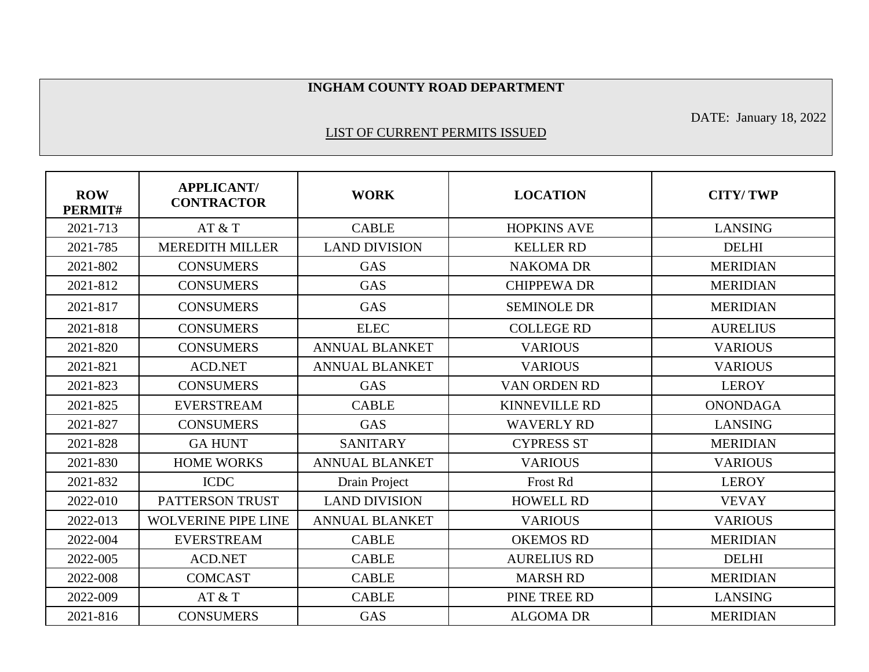#### **INGHAM COUNTY ROAD DEPARTMENT**

DATE: January 18, 2022

#### LIST OF CURRENT PERMITS ISSUED

| <b>ROW</b><br>PERMIT# | <b>APPLICANT/</b><br><b>CONTRACTOR</b> | <b>WORK</b>           | <b>LOCATION</b>      | <b>CITY/TWP</b> |
|-----------------------|----------------------------------------|-----------------------|----------------------|-----------------|
| 2021-713              | AT & T                                 | <b>CABLE</b>          | <b>HOPKINS AVE</b>   | <b>LANSING</b>  |
| 2021-785              | <b>MEREDITH MILLER</b>                 | <b>LAND DIVISION</b>  | <b>KELLER RD</b>     | <b>DELHI</b>    |
| 2021-802              | <b>CONSUMERS</b>                       | <b>GAS</b>            | <b>NAKOMA DR</b>     | <b>MERIDIAN</b> |
| 2021-812              | <b>CONSUMERS</b>                       | <b>GAS</b>            | <b>CHIPPEWA DR</b>   | <b>MERIDIAN</b> |
| 2021-817              | <b>CONSUMERS</b>                       | <b>GAS</b>            | <b>SEMINOLE DR</b>   | <b>MERIDIAN</b> |
| 2021-818              | <b>CONSUMERS</b>                       | <b>ELEC</b>           | <b>COLLEGE RD</b>    | <b>AURELIUS</b> |
| 2021-820              | <b>CONSUMERS</b>                       | <b>ANNUAL BLANKET</b> | <b>VARIOUS</b>       | <b>VARIOUS</b>  |
| 2021-821              | <b>ACD.NET</b>                         | <b>ANNUAL BLANKET</b> | <b>VARIOUS</b>       | <b>VARIOUS</b>  |
| 2021-823              | <b>CONSUMERS</b>                       | <b>GAS</b>            | VAN ORDEN RD         | <b>LEROY</b>    |
| 2021-825              | <b>EVERSTREAM</b>                      | <b>CABLE</b>          | <b>KINNEVILLE RD</b> | <b>ONONDAGA</b> |
| 2021-827              | <b>CONSUMERS</b>                       | <b>GAS</b>            | <b>WAVERLY RD</b>    | <b>LANSING</b>  |
| 2021-828              | <b>GA HUNT</b>                         | <b>SANITARY</b>       | <b>CYPRESS ST</b>    | <b>MERIDIAN</b> |
| 2021-830              | <b>HOME WORKS</b>                      | <b>ANNUAL BLANKET</b> | <b>VARIOUS</b>       | <b>VARIOUS</b>  |
| 2021-832              | <b>ICDC</b>                            | Drain Project         | Frost Rd             | <b>LEROY</b>    |
| 2022-010              | PATTERSON TRUST                        | <b>LAND DIVISION</b>  | <b>HOWELL RD</b>     | <b>VEVAY</b>    |
| 2022-013              | <b>WOLVERINE PIPE LINE</b>             | <b>ANNUAL BLANKET</b> | <b>VARIOUS</b>       | <b>VARIOUS</b>  |
| 2022-004              | <b>EVERSTREAM</b>                      | <b>CABLE</b>          | <b>OKEMOS RD</b>     | <b>MERIDIAN</b> |
| 2022-005              | <b>ACD.NET</b>                         | <b>CABLE</b>          | <b>AURELIUS RD</b>   | <b>DELHI</b>    |
| 2022-008              | <b>COMCAST</b>                         | <b>CABLE</b>          | <b>MARSH RD</b>      | <b>MERIDIAN</b> |
| 2022-009              | AT & T                                 | <b>CABLE</b>          | PINE TREE RD         | <b>LANSING</b>  |
| 2021-816              | <b>CONSUMERS</b>                       | <b>GAS</b>            | <b>ALGOMA DR</b>     | <b>MERIDIAN</b> |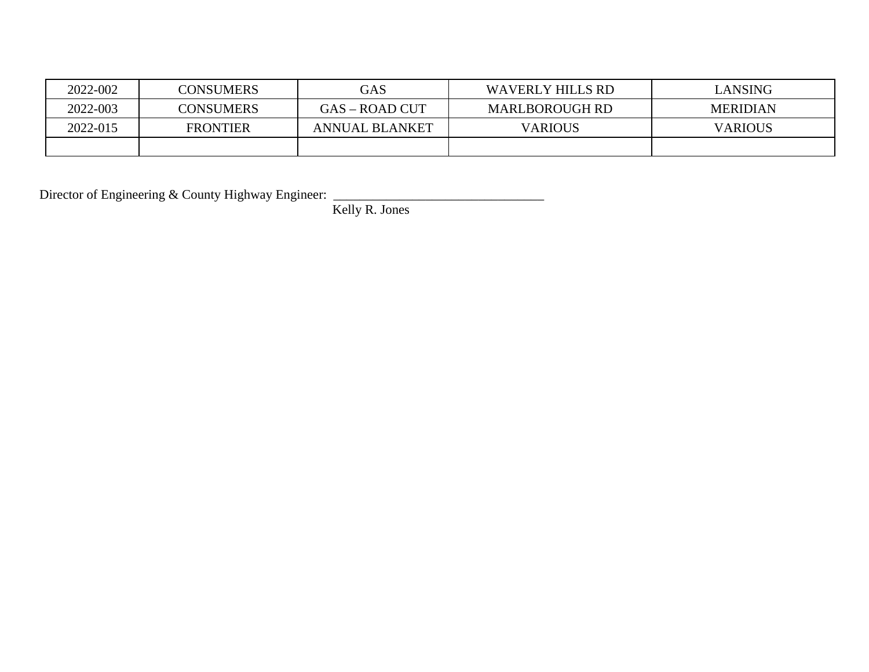| 2022-002 | <b>CONSUMERS</b> | GAS                   | <b>WAVERLY HILLS RD</b> | LANSING         |
|----------|------------------|-----------------------|-------------------------|-----------------|
| 2022-003 | <b>CONSUMERS</b> | GAS – ROAD CUT        | <b>MARLBOROUGH RD</b>   | <b>MERIDIAN</b> |
| 2022-015 | <b>FRONTIER</b>  | <b>ANNUAL BLANKET</b> | <b>VARIOUS</b>          | <b>VARIOUS</b>  |
|          |                  |                       |                         |                 |

Director of Engineering & County Highway Engineer: \_\_\_\_\_\_\_\_\_\_\_\_\_\_\_\_\_\_\_\_\_\_\_\_\_\_\_\_\_\_

Kelly R. Jones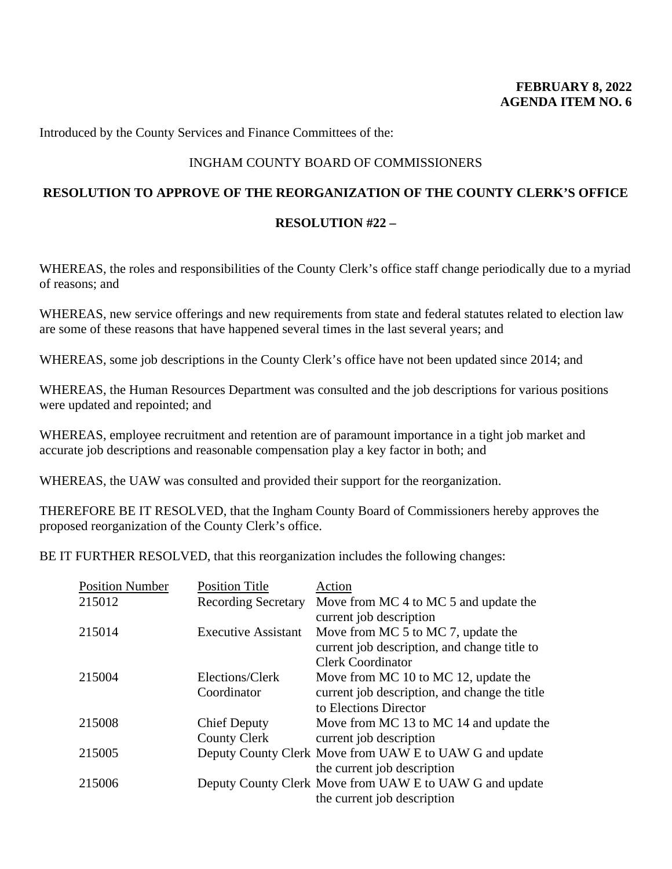# INGHAM COUNTY BOARD OF COMMISSIONERS

## **RESOLUTION TO APPROVE OF THE REORGANIZATION OF THE COUNTY CLERK'S OFFICE**

## **RESOLUTION #22 –**

WHEREAS, the roles and responsibilities of the County Clerk's office staff change periodically due to a myriad of reasons; and

WHEREAS, new service offerings and new requirements from state and federal statutes related to election law are some of these reasons that have happened several times in the last several years; and

WHEREAS, some job descriptions in the County Clerk's office have not been updated since 2014; and

WHEREAS, the Human Resources Department was consulted and the job descriptions for various positions were updated and repointed; and

WHEREAS, employee recruitment and retention are of paramount importance in a tight job market and accurate job descriptions and reasonable compensation play a key factor in both; and

WHEREAS, the UAW was consulted and provided their support for the reorganization.

THEREFORE BE IT RESOLVED, that the Ingham County Board of Commissioners hereby approves the proposed reorganization of the County Clerk's office.

BE IT FURTHER RESOLVED, that this reorganization includes the following changes:

| <b>Position Number</b> | <b>Position Title</b>      | Action                                                  |
|------------------------|----------------------------|---------------------------------------------------------|
| 215012                 | <b>Recording Secretary</b> | Move from MC 4 to MC 5 and update the                   |
|                        |                            | current job description                                 |
| 215014                 | <b>Executive Assistant</b> | Move from MC 5 to MC 7, update the                      |
|                        |                            | current job description, and change title to            |
|                        |                            | <b>Clerk Coordinator</b>                                |
| 215004                 | Elections/Clerk            | Move from MC 10 to MC 12, update the                    |
|                        | Coordinator                | current job description, and change the title           |
|                        |                            | to Elections Director                                   |
| 215008                 | <b>Chief Deputy</b>        | Move from MC 13 to MC 14 and update the                 |
|                        | <b>County Clerk</b>        | current job description                                 |
| 215005                 |                            | Deputy County Clerk Move from UAW E to UAW G and update |
|                        |                            | the current job description                             |
| 215006                 |                            | Deputy County Clerk Move from UAW E to UAW G and update |
|                        |                            | the current job description                             |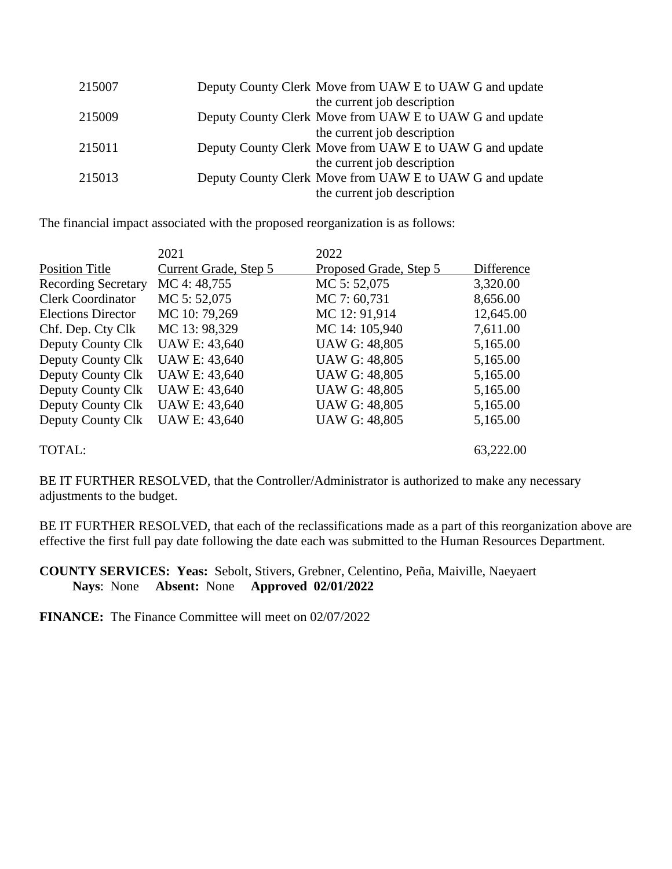| 215007 | Deputy County Clerk Move from UAW E to UAW G and update |
|--------|---------------------------------------------------------|
|        | the current job description                             |
| 215009 | Deputy County Clerk Move from UAW E to UAW G and update |
|        | the current job description                             |
| 215011 | Deputy County Clerk Move from UAW E to UAW G and update |
|        | the current job description                             |
| 215013 | Deputy County Clerk Move from UAW E to UAW G and update |
|        | the current job description                             |
|        |                                                         |

The financial impact associated with the proposed reorganization is as follows:

|                            | 2021                  | 2022                   |            |
|----------------------------|-----------------------|------------------------|------------|
| <b>Position Title</b>      | Current Grade, Step 5 | Proposed Grade, Step 5 | Difference |
| <b>Recording Secretary</b> | MC 4:48,755           | MC 5:52,075            | 3,320.00   |
| <b>Clerk Coordinator</b>   | MC 5:52,075           | MC 7:60,731            | 8,656.00   |
| <b>Elections Director</b>  | MC 10:79,269          | MC 12: 91,914          | 12,645.00  |
| Chf. Dep. Cty Clk          | MC 13: 98,329         | MC 14: 105,940         | 7,611.00   |
| Deputy County Clk          | <b>UAW E: 43,640</b>  | <b>UAW G: 48,805</b>   | 5,165.00   |
| Deputy County Clk          | <b>UAW E: 43,640</b>  | <b>UAW G: 48,805</b>   | 5,165.00   |
| Deputy County Clk          | <b>UAW E: 43,640</b>  | <b>UAW G: 48,805</b>   | 5,165.00   |
| Deputy County Clk          | <b>UAW E: 43,640</b>  | <b>UAW G: 48,805</b>   | 5,165.00   |
| Deputy County Clk          | <b>UAW E: 43,640</b>  | <b>UAW G: 48,805</b>   | 5,165.00   |
| Deputy County Clk          | <b>UAW E: 43,640</b>  | <b>UAW G: 48,805</b>   | 5,165.00   |
| TOTAL:                     |                       |                        | 63,222.00  |

BE IT FURTHER RESOLVED, that the Controller/Administrator is authorized to make any necessary adjustments to the budget.

BE IT FURTHER RESOLVED, that each of the reclassifications made as a part of this reorganization above are effective the first full pay date following the date each was submitted to the Human Resources Department.

**COUNTY SERVICES: Yeas:** Sebolt, Stivers, Grebner, Celentino, Peña, Maiville, Naeyaert **Nays**: None **Absent:** None **Approved 02/01/2022**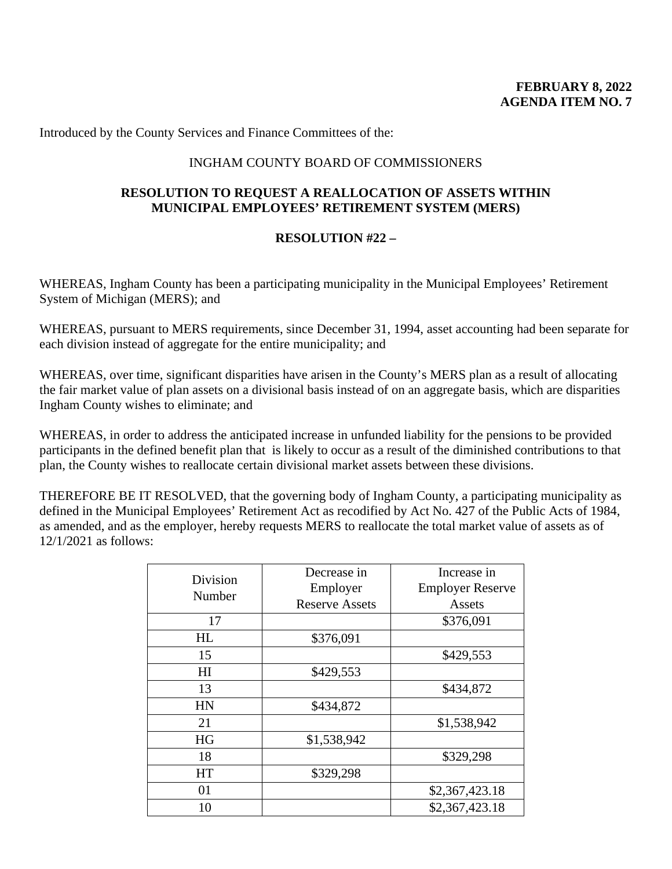## INGHAM COUNTY BOARD OF COMMISSIONERS

## **RESOLUTION TO REQUEST A REALLOCATION OF ASSETS WITHIN MUNICIPAL EMPLOYEES' RETIREMENT SYSTEM (MERS)**

#### **RESOLUTION #22 –**

WHEREAS, Ingham County has been a participating municipality in the Municipal Employees' Retirement System of Michigan (MERS); and

WHEREAS, pursuant to MERS requirements, since December 31, 1994, asset accounting had been separate for each division instead of aggregate for the entire municipality; and

WHEREAS, over time, significant disparities have arisen in the County's MERS plan as a result of allocating the fair market value of plan assets on a divisional basis instead of on an aggregate basis, which are disparities Ingham County wishes to eliminate; and

WHEREAS, in order to address the anticipated increase in unfunded liability for the pensions to be provided participants in the defined benefit plan that is likely to occur as a result of the diminished contributions to that plan, the County wishes to reallocate certain divisional market assets between these divisions.

THEREFORE BE IT RESOLVED, that the governing body of Ingham County, a participating municipality as defined in the Municipal Employees' Retirement Act as recodified by Act No. 427 of the Public Acts of 1984, as amended, and as the employer, hereby requests MERS to reallocate the total market value of assets as of 12/1/2021 as follows:

| Division<br>Number | Decrease in           | Increase in             |
|--------------------|-----------------------|-------------------------|
|                    | Employer              | <b>Employer Reserve</b> |
|                    | <b>Reserve Assets</b> | Assets                  |
| 17                 |                       | \$376,091               |
| HL                 | \$376,091             |                         |
| 15                 |                       | \$429,553               |
| H <sub>I</sub>     | \$429,553             |                         |
| 13                 |                       | \$434,872               |
| HN                 | \$434,872             |                         |
| 21                 |                       | \$1,538,942             |
| <b>HG</b>          | \$1,538,942           |                         |
| 18                 |                       | \$329,298               |
| <b>HT</b>          | \$329,298             |                         |
| 01                 |                       | \$2,367,423.18          |
| 10                 |                       | \$2,367,423.18          |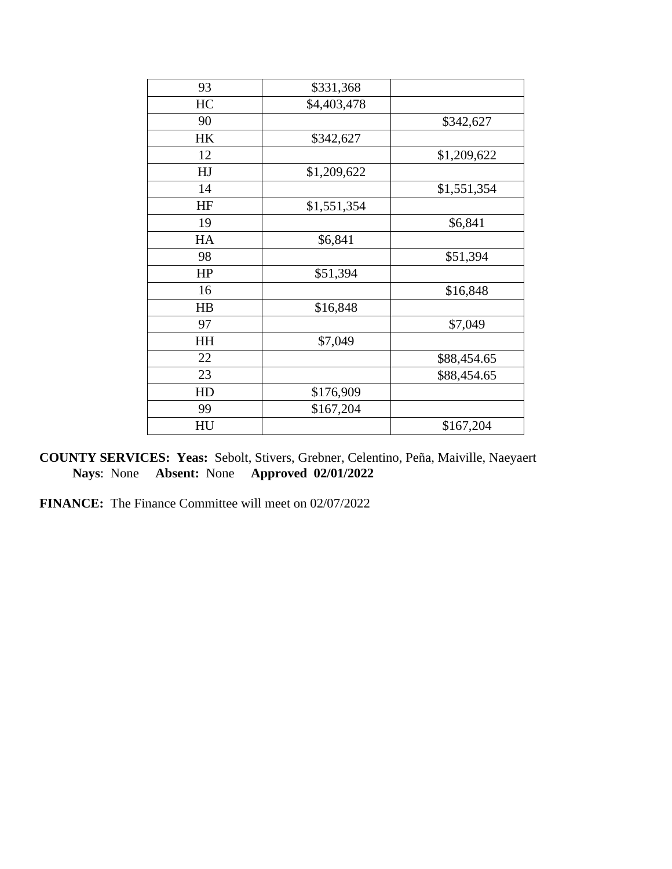| 93 | \$331,368   |             |
|----|-------------|-------------|
| HC | \$4,403,478 |             |
| 90 |             | \$342,627   |
| HK | \$342,627   |             |
| 12 |             | \$1,209,622 |
| HJ | \$1,209,622 |             |
| 14 |             | \$1,551,354 |
| HF | \$1,551,354 |             |
| 19 |             | \$6,841     |
| HA | \$6,841     |             |
| 98 |             | \$51,394    |
| HP | \$51,394    |             |
| 16 |             | \$16,848    |
| HB | \$16,848    |             |
| 97 |             | \$7,049     |
| HH | \$7,049     |             |
| 22 |             | \$88,454.65 |
| 23 |             | \$88,454.65 |
| HD | \$176,909   |             |
| 99 | \$167,204   |             |
| HU |             | \$167,204   |

**COUNTY SERVICES: Yeas:** Sebolt, Stivers, Grebner, Celentino, Peña, Maiville, Naeyaert **Nays**: None **Absent:** None **Approved 02/01/2022**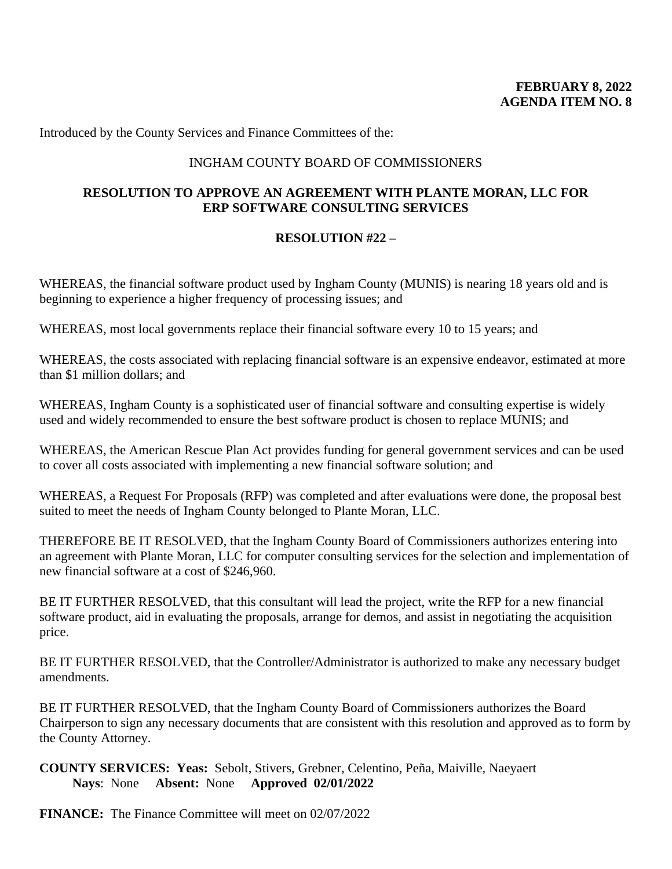## INGHAM COUNTY BOARD OF COMMISSIONERS

## **RESOLUTION TO APPROVE AN AGREEMENT WITH PLANTE MORAN, LLC FOR ERP SOFTWARE CONSULTING SERVICES**

## **RESOLUTION #22 –**

WHEREAS, the financial software product used by Ingham County (MUNIS) is nearing 18 years old and is beginning to experience a higher frequency of processing issues; and

WHEREAS, most local governments replace their financial software every 10 to 15 years; and

WHEREAS, the costs associated with replacing financial software is an expensive endeavor, estimated at more than \$1 million dollars; and

WHEREAS, Ingham County is a sophisticated user of financial software and consulting expertise is widely used and widely recommended to ensure the best software product is chosen to replace MUNIS; and

WHEREAS, the American Rescue Plan Act provides funding for general government services and can be used to cover all costs associated with implementing a new financial software solution; and

WHEREAS, a Request For Proposals (RFP) was completed and after evaluations were done, the proposal best suited to meet the needs of Ingham County belonged to Plante Moran, LLC.

THEREFORE BE IT RESOLVED, that the Ingham County Board of Commissioners authorizes entering into an agreement with Plante Moran, LLC for computer consulting services for the selection and implementation of new financial software at a cost of \$246,960.

BE IT FURTHER RESOLVED, that this consultant will lead the project, write the RFP for a new financial software product, aid in evaluating the proposals, arrange for demos, and assist in negotiating the acquisition price.

BE IT FURTHER RESOLVED, that the Controller/Administrator is authorized to make any necessary budget amendments.

BE IT FURTHER RESOLVED, that the Ingham County Board of Commissioners authorizes the Board Chairperson to sign any necessary documents that are consistent with this resolution and approved as to form by the County Attorney.

**COUNTY SERVICES: Yeas:** Sebolt, Stivers, Grebner, Celentino, Peña, Maiville, Naeyaert **Nays**: None **Absent:** None **Approved 02/01/2022**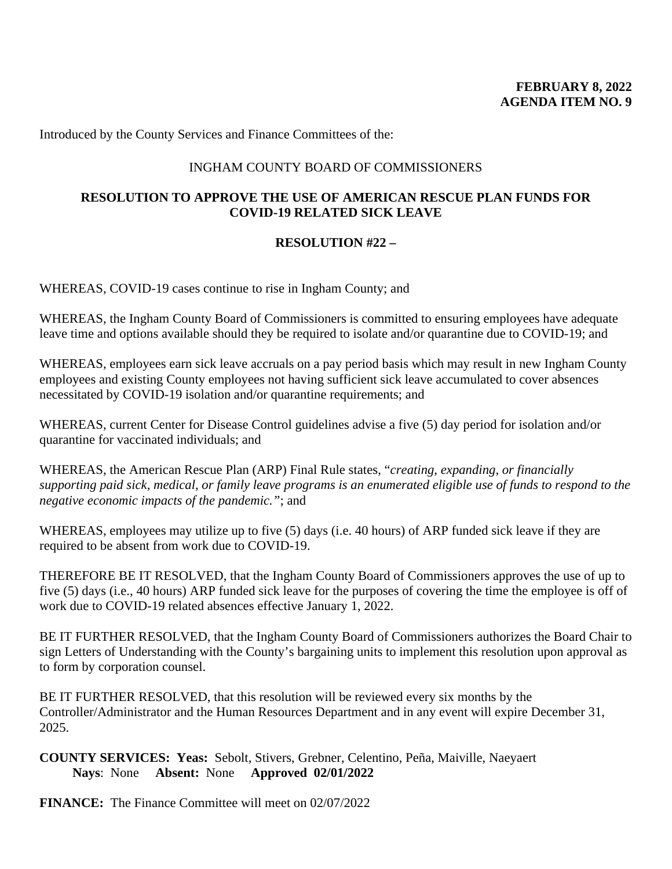## INGHAM COUNTY BOARD OF COMMISSIONERS

# **RESOLUTION TO APPROVE THE USE OF AMERICAN RESCUE PLAN FUNDS FOR COVID-19 RELATED SICK LEAVE**

## **RESOLUTION #22 –**

WHEREAS, COVID-19 cases continue to rise in Ingham County; and

WHEREAS, the Ingham County Board of Commissioners is committed to ensuring employees have adequate leave time and options available should they be required to isolate and/or quarantine due to COVID-19; and

WHEREAS, employees earn sick leave accruals on a pay period basis which may result in new Ingham County employees and existing County employees not having sufficient sick leave accumulated to cover absences necessitated by COVID-19 isolation and/or quarantine requirements; and

WHEREAS, current Center for Disease Control guidelines advise a five (5) day period for isolation and/or quarantine for vaccinated individuals; and

WHEREAS, the American Rescue Plan (ARP) Final Rule states, "*creating, expanding, or financially supporting paid sick, medical, or family leave programs is an enumerated eligible use of funds to respond to the negative economic impacts of the pandemic."*; and

WHEREAS, employees may utilize up to five (5) days (i.e. 40 hours) of ARP funded sick leave if they are required to be absent from work due to COVID-19.

THEREFORE BE IT RESOLVED, that the Ingham County Board of Commissioners approves the use of up to five (5) days (i.e., 40 hours) ARP funded sick leave for the purposes of covering the time the employee is off of work due to COVID-19 related absences effective January 1, 2022.

BE IT FURTHER RESOLVED, that the Ingham County Board of Commissioners authorizes the Board Chair to sign Letters of Understanding with the County's bargaining units to implement this resolution upon approval as to form by corporation counsel.

BE IT FURTHER RESOLVED, that this resolution will be reviewed every six months by the Controller/Administrator and the Human Resources Department and in any event will expire December 31, 2025.

**COUNTY SERVICES: Yeas:** Sebolt, Stivers, Grebner, Celentino, Peña, Maiville, Naeyaert **Nays**: None **Absent:** None **Approved 02/01/2022**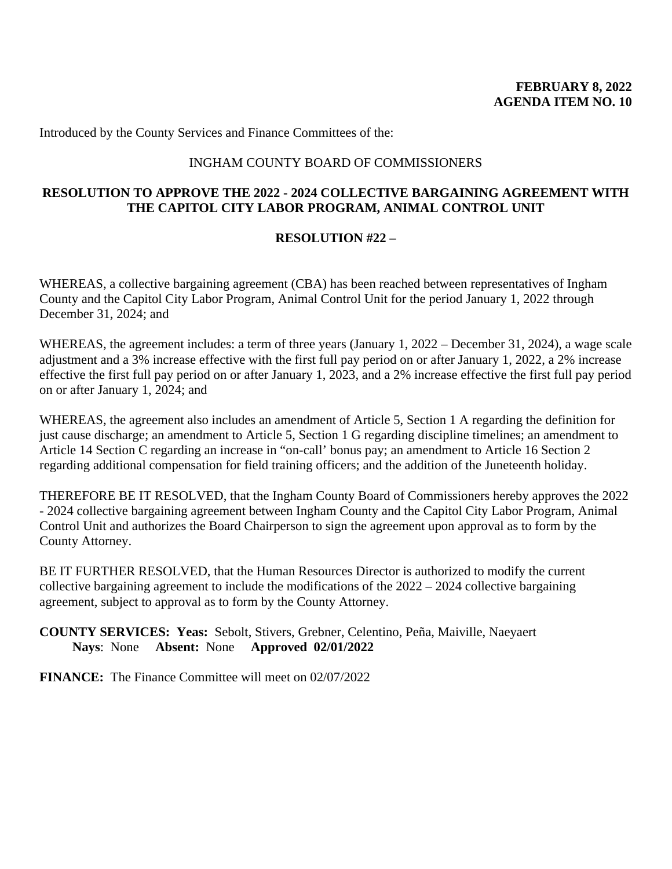## INGHAM COUNTY BOARD OF COMMISSIONERS

# **RESOLUTION TO APPROVE THE 2022 - 2024 COLLECTIVE BARGAINING AGREEMENT WITH THE CAPITOL CITY LABOR PROGRAM, ANIMAL CONTROL UNIT**

## **RESOLUTION #22 –**

WHEREAS, a collective bargaining agreement (CBA) has been reached between representatives of Ingham County and the Capitol City Labor Program, Animal Control Unit for the period January 1, 2022 through December 31, 2024; and

WHEREAS, the agreement includes: a term of three years (January 1, 2022 – December 31, 2024), a wage scale adjustment and a 3% increase effective with the first full pay period on or after January 1, 2022, a 2% increase effective the first full pay period on or after January 1, 2023, and a 2% increase effective the first full pay period on or after January 1, 2024; and

WHEREAS, the agreement also includes an amendment of Article 5, Section 1 A regarding the definition for just cause discharge; an amendment to Article 5, Section 1 G regarding discipline timelines; an amendment to Article 14 Section C regarding an increase in "on-call' bonus pay; an amendment to Article 16 Section 2 regarding additional compensation for field training officers; and the addition of the Juneteenth holiday.

THEREFORE BE IT RESOLVED, that the Ingham County Board of Commissioners hereby approves the 2022 - 2024 collective bargaining agreement between Ingham County and the Capitol City Labor Program, Animal Control Unit and authorizes the Board Chairperson to sign the agreement upon approval as to form by the County Attorney.

BE IT FURTHER RESOLVED, that the Human Resources Director is authorized to modify the current collective bargaining agreement to include the modifications of the 2022 – 2024 collective bargaining agreement, subject to approval as to form by the County Attorney.

**COUNTY SERVICES: Yeas:** Sebolt, Stivers, Grebner, Celentino, Peña, Maiville, Naeyaert **Nays**: None **Absent:** None **Approved 02/01/2022**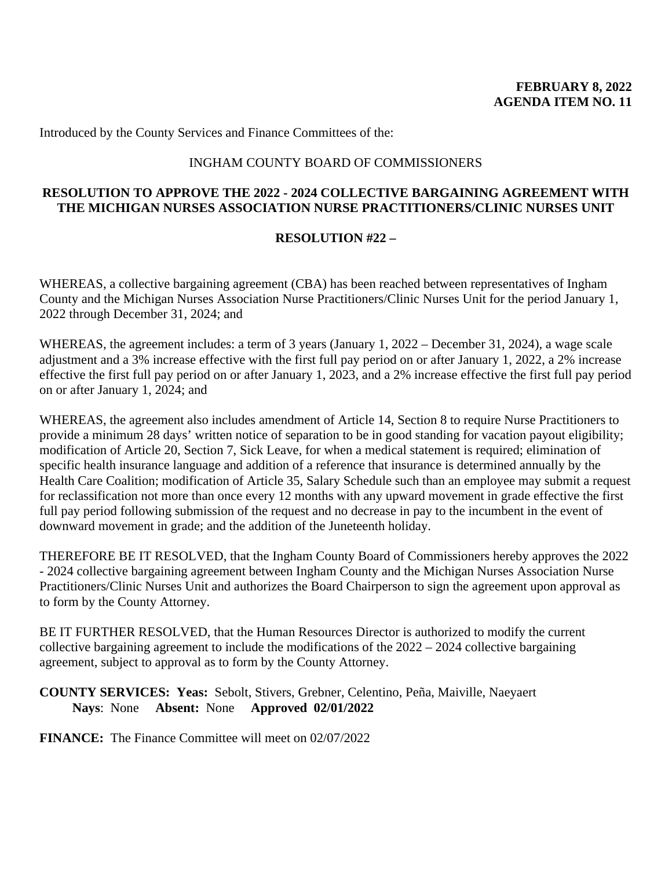## INGHAM COUNTY BOARD OF COMMISSIONERS

## **RESOLUTION TO APPROVE THE 2022 - 2024 COLLECTIVE BARGAINING AGREEMENT WITH THE MICHIGAN NURSES ASSOCIATION NURSE PRACTITIONERS/CLINIC NURSES UNIT**

## **RESOLUTION #22 –**

WHEREAS, a collective bargaining agreement (CBA) has been reached between representatives of Ingham County and the Michigan Nurses Association Nurse Practitioners/Clinic Nurses Unit for the period January 1, 2022 through December 31, 2024; and

WHEREAS, the agreement includes: a term of 3 years (January 1, 2022 – December 31, 2024), a wage scale adjustment and a 3% increase effective with the first full pay period on or after January 1, 2022, a 2% increase effective the first full pay period on or after January 1, 2023, and a 2% increase effective the first full pay period on or after January 1, 2024; and

WHEREAS, the agreement also includes amendment of Article 14, Section 8 to require Nurse Practitioners to provide a minimum 28 days' written notice of separation to be in good standing for vacation payout eligibility; modification of Article 20, Section 7, Sick Leave, for when a medical statement is required; elimination of specific health insurance language and addition of a reference that insurance is determined annually by the Health Care Coalition; modification of Article 35, Salary Schedule such than an employee may submit a request for reclassification not more than once every 12 months with any upward movement in grade effective the first full pay period following submission of the request and no decrease in pay to the incumbent in the event of downward movement in grade; and the addition of the Juneteenth holiday.

THEREFORE BE IT RESOLVED, that the Ingham County Board of Commissioners hereby approves the 2022 - 2024 collective bargaining agreement between Ingham County and the Michigan Nurses Association Nurse Practitioners/Clinic Nurses Unit and authorizes the Board Chairperson to sign the agreement upon approval as to form by the County Attorney.

BE IT FURTHER RESOLVED, that the Human Resources Director is authorized to modify the current collective bargaining agreement to include the modifications of the 2022 – 2024 collective bargaining agreement, subject to approval as to form by the County Attorney.

#### **COUNTY SERVICES: Yeas:** Sebolt, Stivers, Grebner, Celentino, Peña, Maiville, Naeyaert **Nays**: None **Absent:** None **Approved 02/01/2022**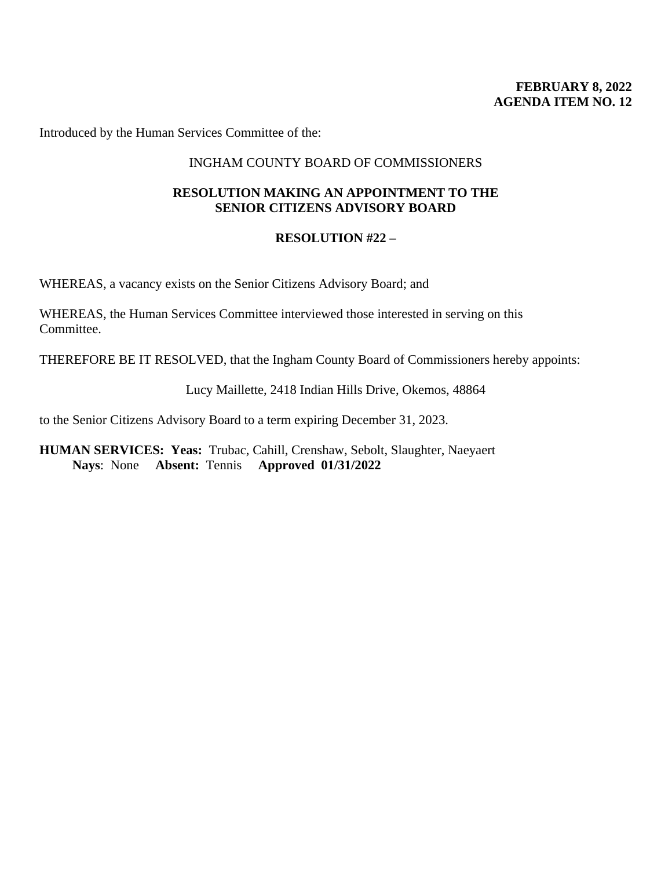## **FEBRUARY 8, 2022 AGENDA ITEM NO. 12**

Introduced by the Human Services Committee of the:

### INGHAM COUNTY BOARD OF COMMISSIONERS

### **RESOLUTION MAKING AN APPOINTMENT TO THE SENIOR CITIZENS ADVISORY BOARD**

### **RESOLUTION #22 –**

WHEREAS, a vacancy exists on the Senior Citizens Advisory Board; and

WHEREAS, the Human Services Committee interviewed those interested in serving on this Committee.

THEREFORE BE IT RESOLVED, that the Ingham County Board of Commissioners hereby appoints:

Lucy Maillette, 2418 Indian Hills Drive, Okemos, 48864

to the Senior Citizens Advisory Board to a term expiring December 31, 2023.

**HUMAN SERVICES: Yeas:** Trubac, Cahill, Crenshaw, Sebolt, Slaughter, Naeyaert  **Nays**: None **Absent:** Tennis **Approved 01/31/2022**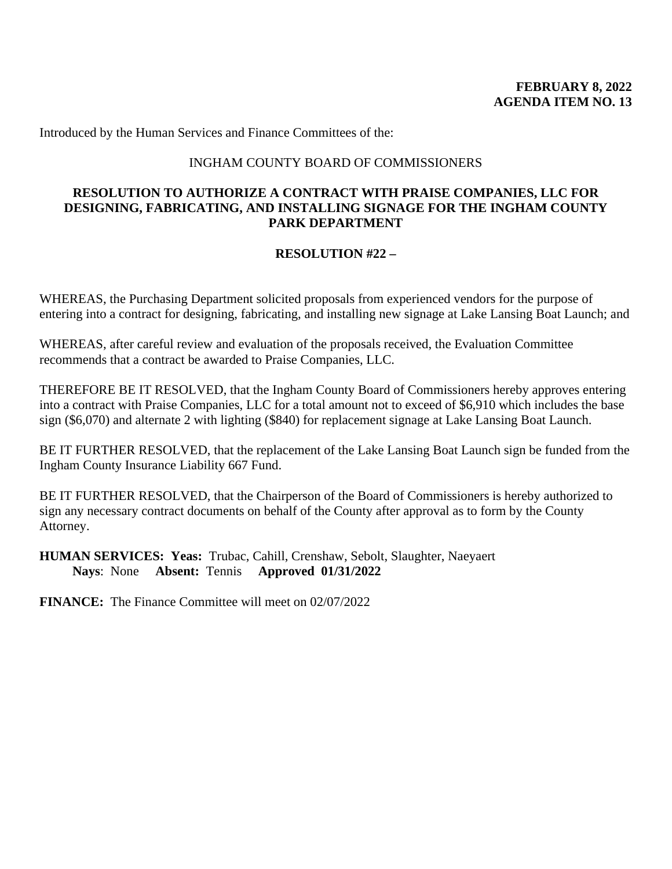Introduced by the Human Services and Finance Committees of the:

#### INGHAM COUNTY BOARD OF COMMISSIONERS

### **RESOLUTION TO AUTHORIZE A CONTRACT WITH PRAISE COMPANIES, LLC FOR DESIGNING, FABRICATING, AND INSTALLING SIGNAGE FOR THE INGHAM COUNTY PARK DEPARTMENT**

# **RESOLUTION #22 –**

WHEREAS, the Purchasing Department solicited proposals from experienced vendors for the purpose of entering into a contract for designing, fabricating, and installing new signage at Lake Lansing Boat Launch; and

WHEREAS, after careful review and evaluation of the proposals received, the Evaluation Committee recommends that a contract be awarded to Praise Companies, LLC.

THEREFORE BE IT RESOLVED, that the Ingham County Board of Commissioners hereby approves entering into a contract with Praise Companies, LLC for a total amount not to exceed of \$6,910 which includes the base sign (\$6,070) and alternate 2 with lighting (\$840) for replacement signage at Lake Lansing Boat Launch.

BE IT FURTHER RESOLVED, that the replacement of the Lake Lansing Boat Launch sign be funded from the Ingham County Insurance Liability 667 Fund.

BE IT FURTHER RESOLVED, that the Chairperson of the Board of Commissioners is hereby authorized to sign any necessary contract documents on behalf of the County after approval as to form by the County Attorney.

**HUMAN SERVICES: Yeas:** Trubac, Cahill, Crenshaw, Sebolt, Slaughter, Naeyaert  **Nays**: None **Absent:** Tennis **Approved 01/31/2022**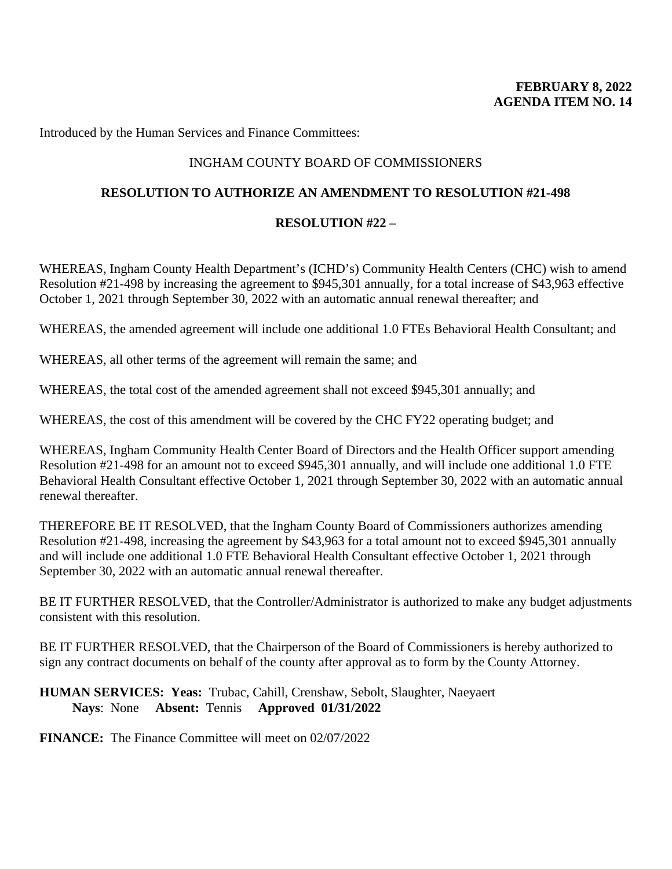Introduced by the Human Services and Finance Committees:

# INGHAM COUNTY BOARD OF COMMISSIONERS

# **RESOLUTION TO AUTHORIZE AN AMENDMENT TO RESOLUTION #21-498**

# **RESOLUTION #22 –**

WHEREAS, Ingham County Health Department's (ICHD's) Community Health Centers (CHC) wish to amend Resolution #21-498 by increasing the agreement to \$945,301 annually, for a total increase of \$43,963 effective October 1, 2021 through September 30, 2022 with an automatic annual renewal thereafter; and

WHEREAS, the amended agreement will include one additional 1.0 FTEs Behavioral Health Consultant; and

WHEREAS, all other terms of the agreement will remain the same; and

WHEREAS, the total cost of the amended agreement shall not exceed \$945,301 annually; and

WHEREAS, the cost of this amendment will be covered by the CHC FY22 operating budget; and

WHEREAS, Ingham Community Health Center Board of Directors and the Health Officer support amending Resolution #21-498 for an amount not to exceed \$945,301 annually, and will include one additional 1.0 FTE Behavioral Health Consultant effective October 1, 2021 through September 30, 2022 with an automatic annual renewal thereafter.

THEREFORE BE IT RESOLVED, that the Ingham County Board of Commissioners authorizes amending Resolution #21-498, increasing the agreement by \$43,963 for a total amount not to exceed \$945,301 annually and will include one additional 1.0 FTE Behavioral Health Consultant effective October 1, 2021 through September 30, 2022 with an automatic annual renewal thereafter.

BE IT FURTHER RESOLVED, that the Controller/Administrator is authorized to make any budget adjustments consistent with this resolution.

BE IT FURTHER RESOLVED, that the Chairperson of the Board of Commissioners is hereby authorized to sign any contract documents on behalf of the county after approval as to form by the County Attorney.

### **HUMAN SERVICES: Yeas:** Trubac, Cahill, Crenshaw, Sebolt, Slaughter, Naeyaert  **Nays**: None **Absent:** Tennis **Approved 01/31/2022**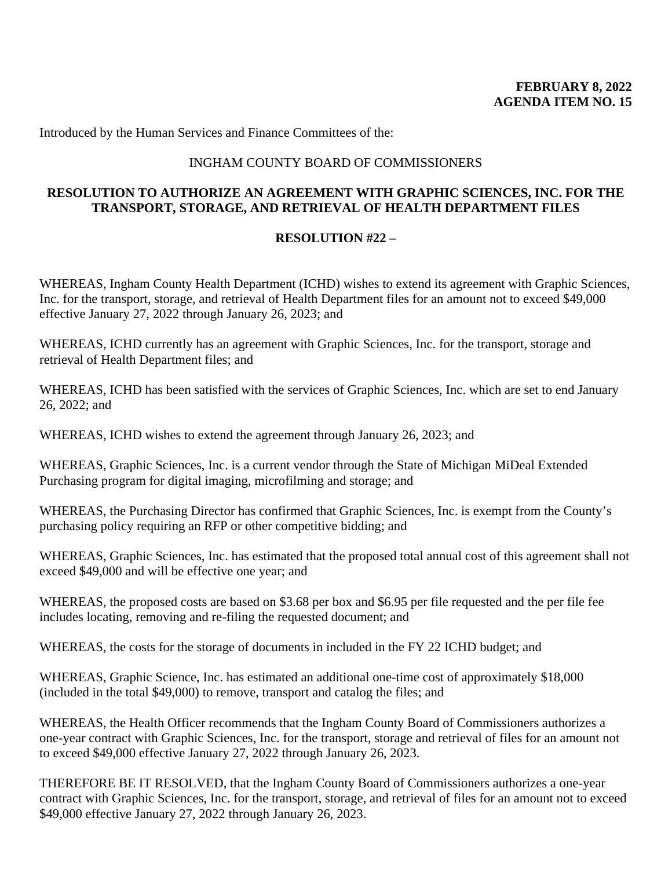Introduced by the Human Services and Finance Committees of the:

## INGHAM COUNTY BOARD OF COMMISSIONERS

# **RESOLUTION TO AUTHORIZE AN AGREEMENT WITH GRAPHIC SCIENCES, INC. FOR THE TRANSPORT, STORAGE, AND RETRIEVAL OF HEALTH DEPARTMENT FILES**

### **RESOLUTION #22 –**

WHEREAS, Ingham County Health Department (ICHD) wishes to extend its agreement with Graphic Sciences, Inc. for the transport, storage, and retrieval of Health Department files for an amount not to exceed \$49,000 effective January 27, 2022 through January 26, 2023; and

WHEREAS, ICHD currently has an agreement with Graphic Sciences, Inc. for the transport, storage and retrieval of Health Department files; and

WHEREAS, ICHD has been satisfied with the services of Graphic Sciences, Inc. which are set to end January 26, 2022; and

WHEREAS, ICHD wishes to extend the agreement through January 26, 2023; and

WHEREAS, Graphic Sciences, Inc. is a current vendor through the State of Michigan MiDeal Extended Purchasing program for digital imaging, microfilming and storage; and

WHEREAS, the Purchasing Director has confirmed that Graphic Sciences, Inc. is exempt from the County's purchasing policy requiring an RFP or other competitive bidding; and

WHEREAS, Graphic Sciences, Inc. has estimated that the proposed total annual cost of this agreement shall not exceed \$49,000 and will be effective one year; and

WHEREAS, the proposed costs are based on \$3.68 per box and \$6.95 per file requested and the per file fee includes locating, removing and re-filing the requested document; and

WHEREAS, the costs for the storage of documents in included in the FY 22 ICHD budget; and

WHEREAS, Graphic Science, Inc. has estimated an additional one-time cost of approximately \$18,000 (included in the total \$49,000) to remove, transport and catalog the files; and

WHEREAS, the Health Officer recommends that the Ingham County Board of Commissioners authorizes a one-year contract with Graphic Sciences, Inc. for the transport, storage and retrieval of files for an amount not to exceed \$49,000 effective January 27, 2022 through January 26, 2023.

THEREFORE BE IT RESOLVED, that the Ingham County Board of Commissioners authorizes a one-year contract with Graphic Sciences, Inc. for the transport, storage, and retrieval of files for an amount not to exceed \$49,000 effective January 27, 2022 through January 26, 2023.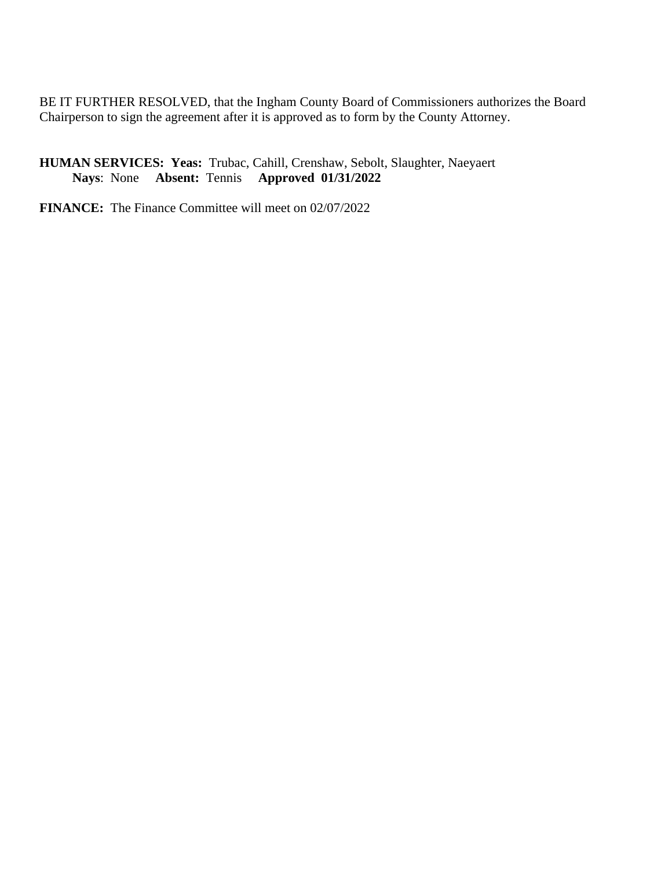BE IT FURTHER RESOLVED, that the Ingham County Board of Commissioners authorizes the Board Chairperson to sign the agreement after it is approved as to form by the County Attorney.

**HUMAN SERVICES: Yeas:** Trubac, Cahill, Crenshaw, Sebolt, Slaughter, Naeyaert  **Nays**: None **Absent:** Tennis **Approved 01/31/2022**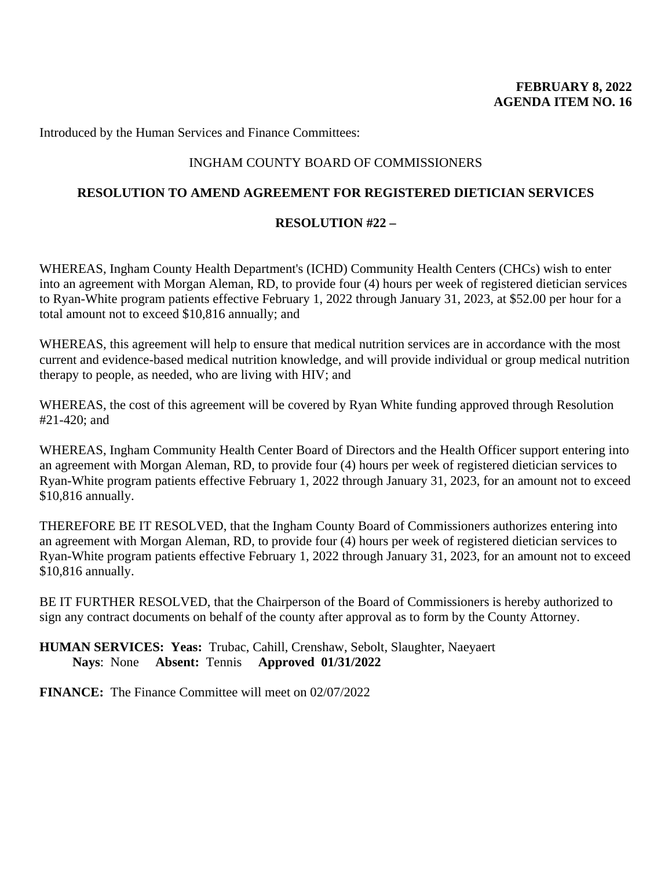Introduced by the Human Services and Finance Committees:

# INGHAM COUNTY BOARD OF COMMISSIONERS

# **RESOLUTION TO AMEND AGREEMENT FOR REGISTERED DIETICIAN SERVICES**

# **RESOLUTION #22 –**

WHEREAS, Ingham County Health Department's (ICHD) Community Health Centers (CHCs) wish to enter into an agreement with Morgan Aleman, RD, to provide four (4) hours per week of registered dietician services to Ryan-White program patients effective February 1, 2022 through January 31, 2023, at \$52.00 per hour for a total amount not to exceed \$10,816 annually; and

WHEREAS, this agreement will help to ensure that medical nutrition services are in accordance with the most current and evidence-based medical nutrition knowledge, and will provide individual or group medical nutrition therapy to people, as needed, who are living with HIV; and

WHEREAS, the cost of this agreement will be covered by Ryan White funding approved through Resolution #21-420; and

WHEREAS, Ingham Community Health Center Board of Directors and the Health Officer support entering into an agreement with Morgan Aleman, RD, to provide four (4) hours per week of registered dietician services to Ryan-White program patients effective February 1, 2022 through January 31, 2023, for an amount not to exceed \$10,816 annually.

THEREFORE BE IT RESOLVED, that the Ingham County Board of Commissioners authorizes entering into an agreement with Morgan Aleman, RD, to provide four (4) hours per week of registered dietician services to Ryan-White program patients effective February 1, 2022 through January 31, 2023, for an amount not to exceed \$10,816 annually.

BE IT FURTHER RESOLVED, that the Chairperson of the Board of Commissioners is hereby authorized to sign any contract documents on behalf of the county after approval as to form by the County Attorney.

# **HUMAN SERVICES: Yeas:** Trubac, Cahill, Crenshaw, Sebolt, Slaughter, Naeyaert  **Nays**: None **Absent:** Tennis **Approved 01/31/2022**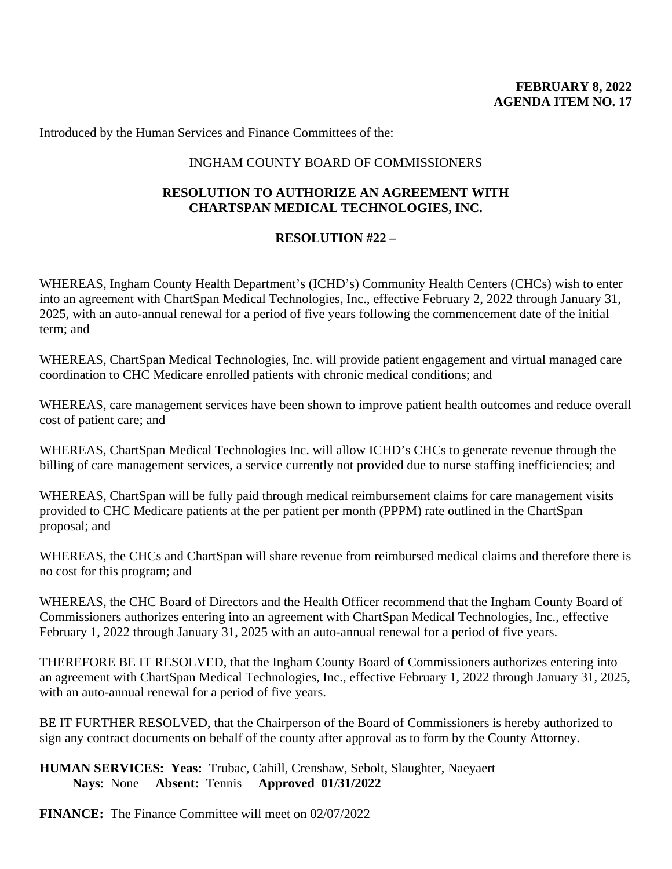Introduced by the Human Services and Finance Committees of the:

## INGHAM COUNTY BOARD OF COMMISSIONERS

# **RESOLUTION TO AUTHORIZE AN AGREEMENT WITH CHARTSPAN MEDICAL TECHNOLOGIES, INC.**

### **RESOLUTION #22 –**

WHEREAS, Ingham County Health Department's (ICHD's) Community Health Centers (CHCs) wish to enter into an agreement with ChartSpan Medical Technologies, Inc., effective February 2, 2022 through January 31, 2025, with an auto-annual renewal for a period of five years following the commencement date of the initial term; and

WHEREAS, ChartSpan Medical Technologies, Inc. will provide patient engagement and virtual managed care coordination to CHC Medicare enrolled patients with chronic medical conditions; and

WHEREAS, care management services have been shown to improve patient health outcomes and reduce overall cost of patient care; and

WHEREAS, ChartSpan Medical Technologies Inc. will allow ICHD's CHCs to generate revenue through the billing of care management services, a service currently not provided due to nurse staffing inefficiencies; and

WHEREAS, ChartSpan will be fully paid through medical reimbursement claims for care management visits provided to CHC Medicare patients at the per patient per month (PPPM) rate outlined in the ChartSpan proposal; and

WHEREAS, the CHCs and ChartSpan will share revenue from reimbursed medical claims and therefore there is no cost for this program; and

WHEREAS, the CHC Board of Directors and the Health Officer recommend that the Ingham County Board of Commissioners authorizes entering into an agreement with ChartSpan Medical Technologies, Inc., effective February 1, 2022 through January 31, 2025 with an auto-annual renewal for a period of five years.

THEREFORE BE IT RESOLVED, that the Ingham County Board of Commissioners authorizes entering into an agreement with ChartSpan Medical Technologies, Inc., effective February 1, 2022 through January 31, 2025, with an auto-annual renewal for a period of five years.

BE IT FURTHER RESOLVED, that the Chairperson of the Board of Commissioners is hereby authorized to sign any contract documents on behalf of the county after approval as to form by the County Attorney.

**HUMAN SERVICES: Yeas:** Trubac, Cahill, Crenshaw, Sebolt, Slaughter, Naeyaert  **Nays**: None **Absent:** Tennis **Approved 01/31/2022**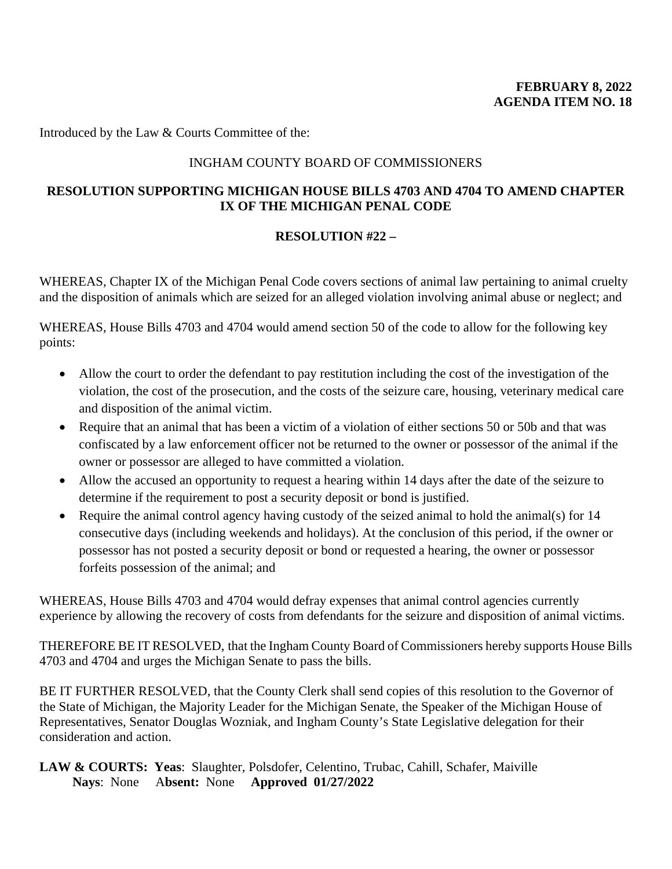Introduced by the Law & Courts Committee of the:

# INGHAM COUNTY BOARD OF COMMISSIONERS

# **RESOLUTION SUPPORTING MICHIGAN HOUSE BILLS 4703 AND 4704 TO AMEND CHAPTER IX OF THE MICHIGAN PENAL CODE**

# **RESOLUTION #22 –**

WHEREAS, Chapter IX of the Michigan Penal Code covers sections of animal law pertaining to animal cruelty and the disposition of animals which are seized for an alleged violation involving animal abuse or neglect; and

WHEREAS, House Bills 4703 and 4704 would amend section 50 of the code to allow for the following key points:

- Allow the court to order the defendant to pay restitution including the cost of the investigation of the violation, the cost of the prosecution, and the costs of the seizure care, housing, veterinary medical care and disposition of the animal victim.
- Require that an animal that has been a victim of a violation of either sections 50 or 50b and that was confiscated by a law enforcement officer not be returned to the owner or possessor of the animal if the owner or possessor are alleged to have committed a violation.
- Allow the accused an opportunity to request a hearing within 14 days after the date of the seizure to determine if the requirement to post a security deposit or bond is justified.
- Require the animal control agency having custody of the seized animal to hold the animal(s) for 14 consecutive days (including weekends and holidays). At the conclusion of this period, if the owner or possessor has not posted a security deposit or bond or requested a hearing, the owner or possessor forfeits possession of the animal; and

WHEREAS, House Bills 4703 and 4704 would defray expenses that animal control agencies currently experience by allowing the recovery of costs from defendants for the seizure and disposition of animal victims.

THEREFORE BE IT RESOLVED, that the Ingham County Board of Commissioners hereby supports House Bills 4703 and 4704 and urges the Michigan Senate to pass the bills.

BE IT FURTHER RESOLVED, that the County Clerk shall send copies of this resolution to the Governor of the State of Michigan, the Majority Leader for the Michigan Senate, the Speaker of the Michigan House of Representatives, Senator Douglas Wozniak, and Ingham County's State Legislative delegation for their consideration and action.

**LAW & COURTS: Yeas**: Slaughter, Polsdofer, Celentino, Trubac, Cahill, Schafer, Maiville  **Nays**: None A**bsent:** None **Approved 01/27/2022**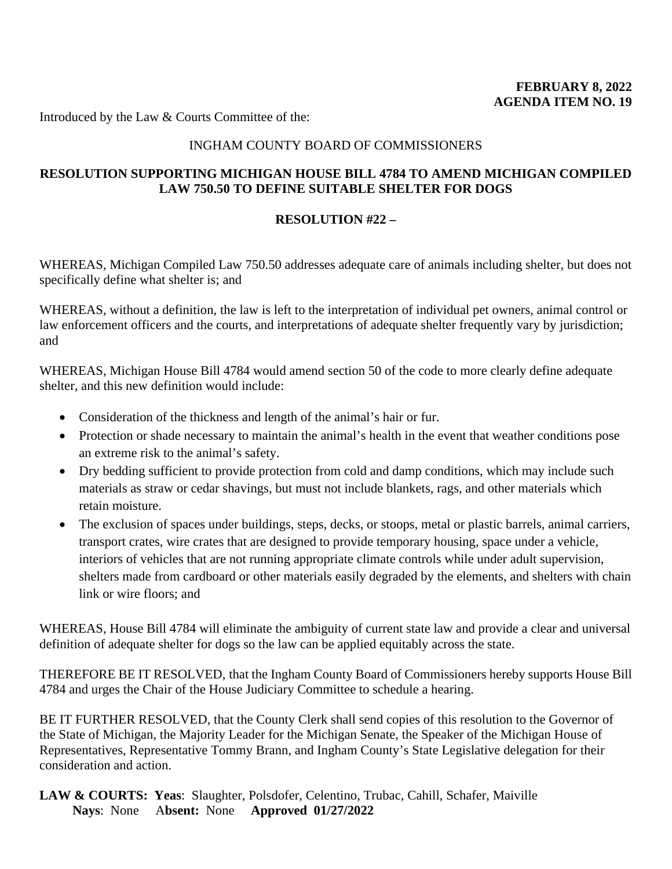Introduced by the Law & Courts Committee of the:

## INGHAM COUNTY BOARD OF COMMISSIONERS

### **RESOLUTION SUPPORTING MICHIGAN HOUSE BILL 4784 TO AMEND MICHIGAN COMPILED LAW 750.50 TO DEFINE SUITABLE SHELTER FOR DOGS**

### **RESOLUTION #22 –**

WHEREAS, Michigan Compiled Law 750.50 addresses adequate care of animals including shelter, but does not specifically define what shelter is; and

WHEREAS, without a definition, the law is left to the interpretation of individual pet owners, animal control or law enforcement officers and the courts, and interpretations of adequate shelter frequently vary by jurisdiction; and

WHEREAS, Michigan House Bill 4784 would amend section 50 of the code to more clearly define adequate shelter, and this new definition would include:

- Consideration of the thickness and length of the animal's hair or fur.
- Protection or shade necessary to maintain the animal's health in the event that weather conditions pose an extreme risk to the animal's safety.
- Dry bedding sufficient to provide protection from cold and damp conditions, which may include such materials as straw or cedar shavings, but must not include blankets, rags, and other materials which retain moisture.
- The exclusion of spaces under buildings, steps, decks, or stoops, metal or plastic barrels, animal carriers, transport crates, wire crates that are designed to provide temporary housing, space under a vehicle, interiors of vehicles that are not running appropriate climate controls while under adult supervision, shelters made from cardboard or other materials easily degraded by the elements, and shelters with chain link or wire floors; and

WHEREAS, House Bill 4784 will eliminate the ambiguity of current state law and provide a clear and universal definition of adequate shelter for dogs so the law can be applied equitably across the state.

THEREFORE BE IT RESOLVED, that the Ingham County Board of Commissioners hereby supports House Bill 4784 and urges the Chair of the House Judiciary Committee to schedule a hearing.

BE IT FURTHER RESOLVED, that the County Clerk shall send copies of this resolution to the Governor of the State of Michigan, the Majority Leader for the Michigan Senate, the Speaker of the Michigan House of Representatives, Representative Tommy Brann, and Ingham County's State Legislative delegation for their consideration and action.

**LAW & COURTS: Yeas**: Slaughter, Polsdofer, Celentino, Trubac, Cahill, Schafer, Maiville  **Nays**: None A**bsent:** None **Approved 01/27/2022**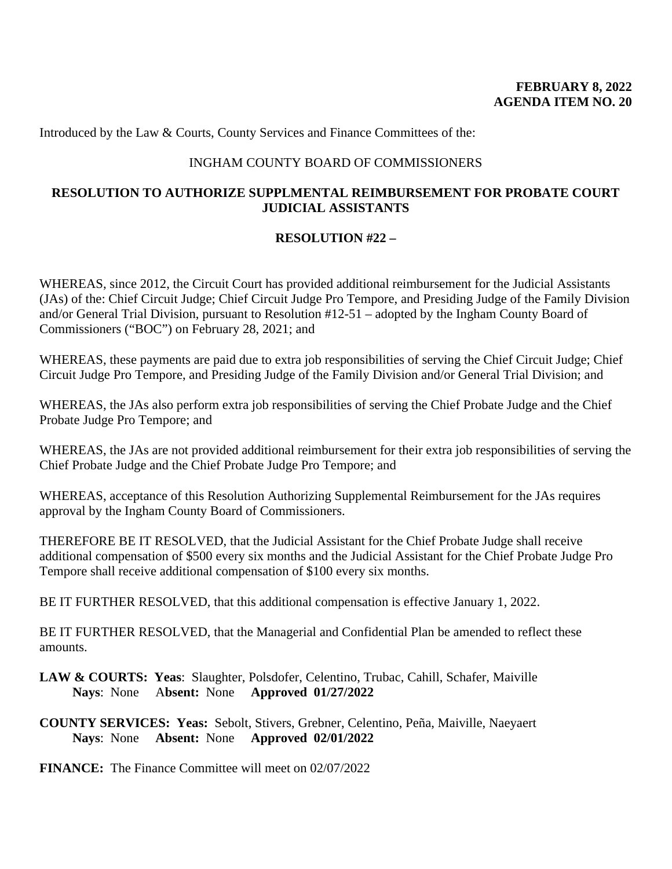Introduced by the Law & Courts, County Services and Finance Committees of the:

# INGHAM COUNTY BOARD OF COMMISSIONERS

# **RESOLUTION TO AUTHORIZE SUPPLMENTAL REIMBURSEMENT FOR PROBATE COURT JUDICIAL ASSISTANTS**

# **RESOLUTION #22 –**

WHEREAS, since 2012, the Circuit Court has provided additional reimbursement for the Judicial Assistants (JAs) of the: Chief Circuit Judge; Chief Circuit Judge Pro Tempore, and Presiding Judge of the Family Division and/or General Trial Division, pursuant to Resolution #12-51 – adopted by the Ingham County Board of Commissioners ("BOC") on February 28, 2021; and

WHEREAS, these payments are paid due to extra job responsibilities of serving the Chief Circuit Judge; Chief Circuit Judge Pro Tempore, and Presiding Judge of the Family Division and/or General Trial Division; and

WHEREAS, the JAs also perform extra job responsibilities of serving the Chief Probate Judge and the Chief Probate Judge Pro Tempore; and

WHEREAS, the JAs are not provided additional reimbursement for their extra job responsibilities of serving the Chief Probate Judge and the Chief Probate Judge Pro Tempore; and

WHEREAS, acceptance of this Resolution Authorizing Supplemental Reimbursement for the JAs requires approval by the Ingham County Board of Commissioners.

THEREFORE BE IT RESOLVED, that the Judicial Assistant for the Chief Probate Judge shall receive additional compensation of \$500 every six months and the Judicial Assistant for the Chief Probate Judge Pro Tempore shall receive additional compensation of \$100 every six months.

BE IT FURTHER RESOLVED, that this additional compensation is effective January 1, 2022.

BE IT FURTHER RESOLVED, that the Managerial and Confidential Plan be amended to reflect these amounts.

**LAW & COURTS: Yeas**: Slaughter, Polsdofer, Celentino, Trubac, Cahill, Schafer, Maiville  **Nays**: None A**bsent:** None **Approved 01/27/2022**

**COUNTY SERVICES: Yeas:** Sebolt, Stivers, Grebner, Celentino, Peña, Maiville, Naeyaert **Nays**: None **Absent:** None **Approved 02/01/2022**